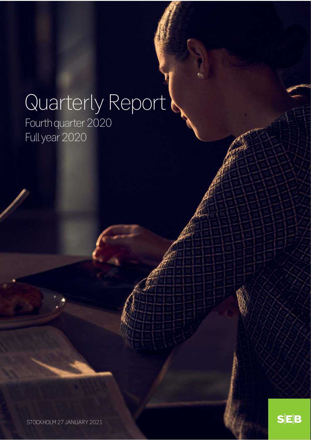# Quarterly Report

Fourth quarter 2020 Full year 2020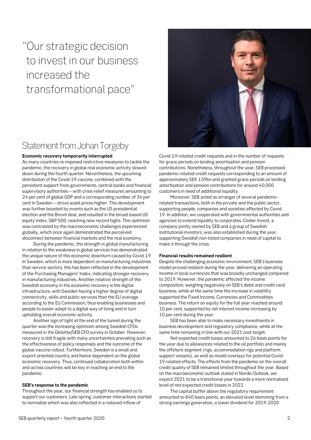# "Our strategic decision to invest in our business increased the transformational pace"

# Statement from Johan Torgeby

#### **Economic recovery temporarily interrupted**

As many countries re-imposed restrictive measures to tackle the pandemic, the recovery in global real economic activity slowed down during the fourth quarter. Nevertheless, the upcoming distribution of the Covid-19 vaccine, combined with the persistent support from governments, central banks and financial supervisory authorities – with crisis relief measures amounting to 24 per cent of global GDP and a corresponding number of 34 per cent in Sweden – drove asset prices higher. This development was further boosted by events such as the US presidential election and the Brexit deal, and resulted in the broad-based US equity index, S&P 500, reaching new record highs. This optimism was contrasted by the macroeconomic challenges experienced globally, which once again demonstrated the perceived disconnect between financial markets and the real economy.

During the pandemic, the strength in global manufacturing in relation to the weakness in global services has demonstrated the unique nature of this economic downturn caused by Covid-19. In Sweden, which is more dependent on manufacturing industries than service sectors, this has been reflected in the development of the Purchasing Managers' Index, indicating stronger recovery in manufacturing industries. Another relative strength of the Swedish economy in the economic recovery is the digital infrastructure, with Sweden having a higher degree of digital connectivity, skills and public services than the EU average according to the EU Commission, thus enabling businesses and people to easier adapt to a digital way of living and in turn upholding overall economic activity.

Another sign of light at the end of the tunnel during the quarter was the increasing optimism among Swedish CFOs measured in the Deloitte/SEB CFO survey in October. However, recovery is still fragile with many uncertainties prevailing such as the effectiveness of policy responses and the outcome of the global vaccine rollout. Furthermore, Sweden is a small and export-oriented country and hence dependent on the global economic recovery. Thus, continued collaboration both within and across countries will be key in reaching an end to the pandemic.

#### **SEB's response to the pandemic**

Throughout the year, our financial strength has enabled us to support our customers. Late spring, customer interactions started to normalise which was also reflected in a reduced inflow of



Covid-19-related credit requests and in the number of requests for grace periods on lending amortisation and pension contributions. Nonetheless, throughout the year, SEB processed pandemic-related credit requests corresponding to an amount of approximately SEK 139bn and granted grace periods on lending amortisation and pension contributions for around 40,000 customers in need of additional liquidity.

Moreover, SEB acted as arranger of several pandemicrelated transactions, both in the private and the public sector, supporting people, companies and societies affected by Covid-19. In addition, we cooperated with governmental authorities and agencies to extend liquidity to corporates. Cinder Invest, a company jointly owned by SEB and a group of Swedish institutional investors, was also established during the year, supporting Swedish non-listed companies in need of capital to make it through the crisis.

#### **Financial results remained resilient**

Despite the challenging economic environment, SEB's business model proved resilient during the year, delivering an operating income in local currencies that was broadly unchanged compared to 2019. However, the pandemic affected the income composition, weighing negatively on SEB's debit and credit card business, while at the same time the increase in volatility supported the Fixed Income, Currencies and Commodities business. The return on equity for the full year reached around 10 per cent, supported by net interest income increasing by 10 per cent during the year.

SEB has been able to make necessary investments in business development and regulatory compliance, while at the same time remaining in line with our 2021 cost target.

Net expected credit losses amounted to 26 basis points for the year due to allowances related to the oil portfolio and mainly the offshore segment (rigs, accommodation rigs and platform support vessels), as well as model overlays for potential Covid-19-related effects. The effects from the pandemic on the overall credit quality of SEB remained limited throughout the year. Based on the macroeconomic outlook stated in Nordic Outlook, we expect 2021 to be a transitional year towards a more normalised level of net expected credit losses in 2022.

The capital buffer above the regulatory requirement amounted to 840 basis points, an elevated level stemming from a strong earnings generation, a lower dividend for 2019-2020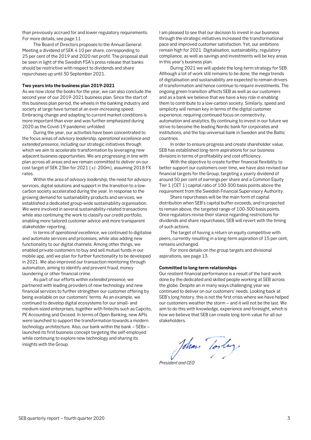than previously accrued for and lower regulatory requirements. For more details, see page 11.

The Board of Directors proposes to the Annual General Meeting a dividend of SEK 4.10 per share, corresponding to 25 per cent of the 2019 and 2020 net profit. The proposal shall be seen in light of the Swedish FSA's press release that banks should be restrictive with respect to dividends and share repurchases up until 30 September 2021.

#### **Two years into the business plan 2019-2021**

As we now close the books for the year, we can also conclude the second year of our 2019-2021 business plan. Since the start of this business plan period, the wheels in the banking industry and society at large have turned at an ever-increasing speed. Embracing change and adapting to current market conditions is more important than ever and was further emphasized during 2020 as the Covid-19 pandemic unfolded.

During the year, our activities have been concentrated to the focus areas of *advisory leadership, operational excellence* and *extended presence*, including our strategic initiatives through which we aim to accelerate transformation by leveraging new adjacent business opportunities. We are progressing in line with plan across all areas and we remain committed to deliver on our cost target of SEK 23bn for 2021 (+/- 200m), assuming 2018 FX rates.

Within the area of *advisory leadership*, the need for advisory services, digital solutions and support in the transition to a lowcarbon society accelerated during the year. In response to the growing demand for sustainability products and services, we established a dedicated group-wide sustainability organisation. We were involved in several sustainability-related transactions while also continuing the work to classify our credit portfolio, enabling more tailored customer advice and more transparent stakeholder reporting.

In terms of *operational excellence*, we continued to digitalise and automate services and processes, while also adding new functionality to our digital channels. Among other things, we enabled private customers to buy and sell mutual funds in our mobile app, and we plan for further functionality to be developed in 2021. We also improved our transaction monitoring through automation, aiming to identify and prevent fraud, money laundering or other financial crime.

As part of our efforts within *extended presence*, we partnered with leading providers of new technology and new financial services to further strengthen our customer offering by being available on our customers' terms. As an example, we continued to develop digital ecosystems for our small- and medium-sized enterprises, together with fintechs such as Capcito, PE Accounting and Oxceed. In terms of Open Banking, new APIs were launched to support the transformation towards a modern technology architecture. Also, our bank within the bank – SEBx – launched its first business concept targeting the self-employed while continuing to explore new technology and sharing its insights with the Group.

I am pleased to see that our decision to invest in our business through the strategic initiatives increased the transformational pace and improved customer satisfaction. Yet, our ambitions remain high for 2021. Digitalisation, sustainability, regulatory compliance, as well as savings and investments will be key areas in this year's business plan.

During 2021 we will update the long-term strategy for SEB. Although a lot of work still remains to be done, the mega trends of digitalisation and sustainability are expected to remain drivers of transformation and hence continue to require investments. The ongoing green transition affects SEB as well as our customers and as a bank we believe that we have a key role in enabling them to contribute to a low-carbon society. Similarly, speed and simplicity will remain key in terms of the digital customer experience, requiring continued focus on connectivity, automation and analytics. By continuing to invest in our future we strive to become the leading Nordic bank for corporates and institutions, and the top universal bank in Sweden and the Baltic countries.

In order to ensure progress and create shareholder value, SEB has established long-term aspirations for our business divisions in terms of profitability and cost efficiency.

With the objective to create further financial flexibility to better support our customers over time, we have also revised our financial targets for the Group, targeting a yearly dividend of around 50 per cent of earnings per share and a Common Equity Tier 1 (CET 1) capital ratio of 100-300 basis points above the requirement from the Swedish Financial Supervisory Authority.

Share repurchases will be the main form of capital distribution when SEB's capital buffer exceeds, and is projected to remain above, the targeted range of 100-300 basis points. Once regulators revise their stance regarding restrictions for dividends and share repurchases, SEB will revert with the timing of such actions.

The target of having a return on equity competitive with peers, currently resulting in a long-term aspiration of 15 per cent, remains unchanged.

For more details on the group targets and divisional aspirations, see page 13.

#### **Committed to long-term relationships**

Our resilient financial performance is a result of the hard work done by the dedicated and skilled people working at SEB across the globe. Despite an in many ways challenging year we continued to deliver on our customers' needs. Looking back at SEB's long history, this is not the first crisis where we have helped our customers weather the storm – and it will not be the last. We aim to do this with knowledge, experience and foresight, which is how we believe that SEB can create long-term value for all our stakeholders.

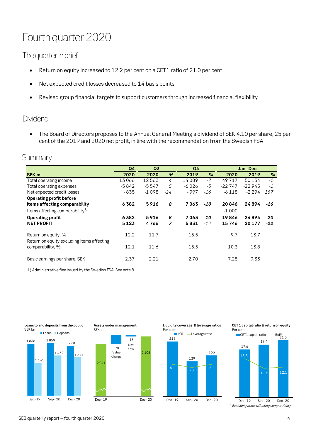# Fourth quarter 2020

# The quarter in brief

- Return on equity increased to 12.2 per cent on a CET1 ratio of 21.0 per cent
- Net expected credit losses decreased to 14 basis points
- Revised group financial targets to support customers through increased financial flexibility

# Dividend

• The Board of Directors proposes to the Annual General Meeting a dividend of SEK 4.10 per share, 25 per cent of the 2019 and 2020 net profit, in line with the recommendation from the Swedish FSA

# **Summary**

SEK bn

|                                                                   | Q <sub>4</sub><br>Q <sub>3</sub> |         | Q <sub>4</sub> |         | Jan-Dec |          |          |       |
|-------------------------------------------------------------------|----------------------------------|---------|----------------|---------|---------|----------|----------|-------|
| <b>SEK m</b>                                                      | 2020                             | 2020    | %              | 2019    | %       | 2020     | 2019     | $\%$  |
| Total operating income                                            | 13066                            | 12563   | 4              | 14089   | $-7$    | 49717    | 50134    | $-1$  |
| Total operating expenses                                          | $-5842$                          | $-5547$ | 5              | $-6026$ | -3      | $-22747$ | $-22945$ | $-1$  |
| Net expected credit losses                                        | $-835$                           | $-1098$ | $-24$          | $-997$  | -16     | $-6118$  | $-2294$  | 167   |
| Operating profit before                                           |                                  |         |                |         |         |          |          |       |
| items affecting comparability                                     | 6382                             | 5916    | 8              | 7063    | -10     | 20846    | 24894    | -16   |
| Items affecting comparability $^{1)}$                             |                                  |         |                |         |         | $-1000$  |          |       |
| <b>Operating profit</b>                                           | 6382                             | 5916    | 8              | 7063    | -10     | 19846    | 24894    | $-20$ |
| <b>NET PROFIT</b>                                                 | 5123                             | 4766    | 7              | 5831    | $-12$   | 15746    | 20 177   | $-22$ |
| Return on equity, %<br>Return on equity excluding items affecting | 12.2                             | 11.7    |                | 15.5    |         | 9.7      | 13.7     |       |
| comparability, %                                                  | 12.1                             | 11.6    |                | 15.5    |         | 10.3     | 13.8     |       |
| Basic earnings per share, SEK                                     | 2.37                             | 2.21    |                | 2.70    |         | 7.28     | 9.33     |       |

1) Administrative fine issued by the Swedish FSA. See note 8.







**Liquidity coverage & leverage ratios**



#### **CET 1 capitalratio & return on equity** Per cent



SEB quarterly report – fourth quarter 2020  $\frac{4}{3}$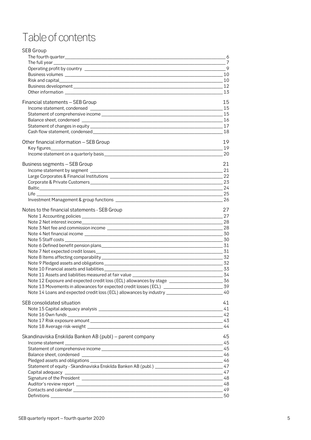# Table of contents

| <b>SEB Group</b>                                                                                                            |       |
|-----------------------------------------------------------------------------------------------------------------------------|-------|
|                                                                                                                             | $= 6$ |
|                                                                                                                             |       |
|                                                                                                                             |       |
|                                                                                                                             |       |
|                                                                                                                             |       |
|                                                                                                                             |       |
|                                                                                                                             | 13    |
| Financial statements - SEB Group                                                                                            | 15    |
|                                                                                                                             | 15    |
|                                                                                                                             |       |
|                                                                                                                             |       |
|                                                                                                                             |       |
|                                                                                                                             | 18    |
|                                                                                                                             |       |
| Other financial information - SEB Group                                                                                     | 19    |
|                                                                                                                             | 19    |
|                                                                                                                             | -20   |
| Business segments - SEB Group                                                                                               | 21    |
|                                                                                                                             | 21    |
|                                                                                                                             |       |
|                                                                                                                             |       |
|                                                                                                                             |       |
| $\sim$ 25<br>Life in the contract of the contract of the contract of the contract of the contract of the contract of the co |       |
|                                                                                                                             | 26    |
| Notes to the financial statements - SEB Group                                                                               | 27    |
|                                                                                                                             |       |
|                                                                                                                             |       |
|                                                                                                                             |       |
|                                                                                                                             |       |
| Note 5 Staff costs _______________<br><u>30</u>                                                                             |       |
|                                                                                                                             |       |
|                                                                                                                             |       |
|                                                                                                                             | 32    |
|                                                                                                                             |       |
|                                                                                                                             |       |
|                                                                                                                             |       |
| Note 12 Exposure and expected credit loss (ECL) allowances by stage                                                         | -36   |
|                                                                                                                             |       |
| Note 14 Loans and expected credit loss (ECL) allowances by industry ___________________                                     | 40    |
| SEB consolidated situation                                                                                                  | 41    |
|                                                                                                                             | 41    |
|                                                                                                                             |       |
|                                                                                                                             |       |
|                                                                                                                             |       |
|                                                                                                                             |       |
| Skandinaviska Enskilda Banken AB (publ) - parent company                                                                    | 45    |
| Income statement                                                                                                            |       |
|                                                                                                                             |       |
|                                                                                                                             |       |
|                                                                                                                             |       |
|                                                                                                                             |       |
|                                                                                                                             |       |
|                                                                                                                             |       |
|                                                                                                                             |       |
|                                                                                                                             |       |
|                                                                                                                             |       |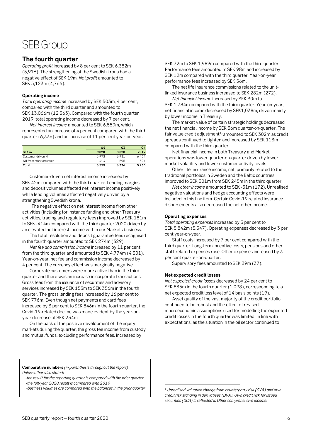# SEB Group

### <span id="page-5-0"></span>**The fourth quarter**

*Operating profit* increased by 8 per cent to SEK 6,382m (5,916). The strengthening of the Swedish krona had a negative effect of SEK 19m. *Net profit* amounted to SEK 5,123m (4,766).

#### **Operating income**

*Total operating income* increased by SEK 503m, 4 per cent, compared with the third quarter and amounted to SEK 13,066m (12,563). Compared with the fourth quarter 2019, total operating income decreased by 7 per cent.

*Net interest income* amounted to SEK 6,559m, which represented an increase of 4 per cent compared with the third quarter (6,336) and an increase of 11 per cent year-on-year.

|                           | Q4     | Q3     | Q4     |
|---------------------------|--------|--------|--------|
| SEK <sub>m</sub>          | 2020   | 2020   | 2019   |
| Customer-driven NII       | 6973   | 6931   | 6454   |
| NII from other activities | $-414$ | $-595$ | $-524$ |
| Total                     | 6559   | 6336   | 5930   |

Customer-driven net interest income increased by SEK 42m compared with the third quarter. Lending margins and deposit volumes affected net interest income positively while lending volumes affected negatively driven by a strengthening Swedish krona.

The negative effect on net interest income from other activities (including for instance funding and other Treasury activities, trading and regulatory fees) improved by SEK 181m to SEK -414m compared with the third quarter 2020 driven by an elevated net interest income within our Markets business.

The total resolution and deposit guarantee fees recognised in the fourth quarter amounted to SEK 274m (329).

*Net fee and commission income* increased by 11 per cent from the third quarter and amounted to SEK 4,774m (4,301). Year-on-year, net fee and commission income decreased by 4 per cent. The currency effect was marginally negative.

Corporate customers were more active than in the third quarter and there was an increase in corporate transactions. Gross fees from the issuance of securities and advisory services increased by SEK 153m to SEK 356m in the fourth quarter. The gross lending fees increased by 16 per cent to SEK 776m. Even though net payments and card fees increased by 3 per cent to SEK 846m in the fourth quarter, the Covid-19-related decline was made evident by the year-onyear decrease of SEK 234m.

On the back of the positive development of the equity markets during the quarter, the gross fee income from custody and mutual funds, excluding performance fees, increased by

SEK 72m to SEK 1,989m compared with the third quarter. Performance fees amounted to SEK 98m and increased by SEK 12m compared with the third quarter. Year-on-year performance fees increased by SEK 56m.

The net life insurance commissions related to the unitlinked insurance business increased to SEK 282m (272). *Net financial income* increased by SEK 30m to

SEK 1,784m compared with the third quarter. Year-on-year, net financial income decreased by SEK1,038m, driven mainly by lower income in Treasury.

The market value of certain strategic holdings decreased the net financial income by SEK 56m quarter-on-quarter. The fair value credit adjustment<sup>[1](#page-5-1))</sup> amounted to SEK 302m as credit spreads continued to tighten and increased by SEK 113m compared with the third quarter.

Net financial income in both Treasury and Market operations was lower quarter-on-quarter driven by lower market volatility and lower customer activity levels.

Other life insurance income, net, primarily related to the traditional portfolios in Sweden and the Baltic countries improved to SEK 301m from SEK 245m in the third quarter.

*Net other income* amounted to SEK -51m (172). Unrealised negative valuations and hedge accounting effects were included in this line item. Certain Covid-19 related insurance disbursements also decreased the net other income.

#### **Operating expenses**

*Total operating expenses* increased by 5 per cent to SEK 5,842m (5,547). Operating expenses decreased by 3 per cent year-on-year.

Staff costs increased by 7 per cent compared with the third quarter. Long-term incentive costs, pensions and other staff-related expenses rose. Other expenses increased by 3 per cent quarter-on-quarter.

Supervisory fees amounted to SEK 39m (37).

#### **Net expected credit losses**

*Net expected credit losses* decreased by 24 per cent to SEK 835m in the fourth quarter (1,098), corresponding to a net expected credit loss level of 14 basis points (19).

Asset quality of the vast majority of the credit portfolio continued to be robust and the effect of revised macroeconomic assumptions used for modelling the expected credit losses in the fourth quarter was limited. In line with expectations, as the situation in the oil sector continued to

<span id="page-5-1"></span> *-the result for the reporting quarter is compared with the prior quarter -the full-year 2020 result is compared with 2019*

 *-business volumes are compared with the balances in the prior quarter*

**Comparative numbers** *(in parenthesis throughout the report) Unless otherwise stated:*

<sup>1</sup> *Unrealised valuation change from counterparty risk (CVA) and own credit risk standing in derivatives (DVA). Own credit risk for issued securities (OCA) is reflected in Other comprehensive income.*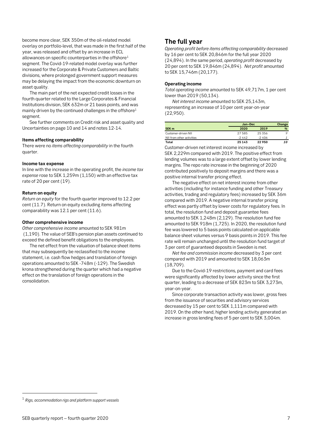become more clear, SEK 350m of the oil-related model overlay on portfolio-level, that was made in the first half of the year, was released and offset by an increase in ECL allowances on specific counterparties in the offshore $1$ segment. The Covid-19-related model overlay was further increased for the Corporate & Private Customers and Baltic divisions, where prolonged government support measures may be delaying the impact from the economic downturn on asset quality.

The main part of the net expected credit losses in the fourth quarter related to the Large Corporates & Financial Institutions division, SEK 632m or 21 basis points, and was mainly driven by the continued challenges in the offshore1 segment.

See further comments on Credit risk and asset quality and Uncertainties on page 10 and 14 and notes 12-14.

#### **Items affecting comparability**

There were no *items affecting comparability* in the fourth quarter.

#### **Income tax expense**

In line with the increase in the operating profit, the *income tax expense* rose to SEK 1,259m (1,150) with an effective tax rate of 20 per cent (19).

#### **Return on equity**

*Return on equity* for the fourth quarter improved to 12.2 per cent (11.7). Return on equity excluding items affecting comparability was 12.1 per cent (11.6).

#### **Other comprehensive income**

*Other comprehensive income* amounted to SEK 981m (1,190). The value of SEB's pension plan assets continued to exceed the defined benefit obligations to the employees.

The net effect from the valuation of balance sheet items that may subsequently be reclassified to the income statement, i.e. cash flow hedges and translation of foreign operations amounted to SEK -748m (-129). The Swedish krona strengthened during the quarter which had a negative effect on the translation of foreign operations in the consolidation.

#### <span id="page-6-0"></span>**The full year**

*Operating profit before items affecting comparability* decreased by 16 per cent to SEK 20,846m for the full year 2020 (24,894). In the same period, *operating profit* decreased by 20 per cent to SEK 19,846m (24,894). *Net profit* amounted to SEK 15,746m (20,177).

#### **Operating income**

*Total operating income* amounted to SEK 49,717m, 1 per cent lower than 2019 (50,134).

*Net interest income* amounted to SEK 25,143m, representing an increase of 10 per cent year-on-year (22,950).

|                           |          | Jan-Dec |         |  |  |
|---------------------------|----------|---------|---------|--|--|
| SEK <sub>m</sub>          | 2020     | 2019    | %       |  |  |
| Customer-driven NII       | 27585    | 25356   | $\circ$ |  |  |
| NII from other activities | $-2442$  | $-2406$ |         |  |  |
| Total                     | 25 1 4 3 | 22950   | 10      |  |  |

Customer-driven net interest income increased by SEK 2,229m compared with 2019. The positive effect from lending volumes was to a large extent offset by lower lending margins. The repo rate increase in the beginning of 2020 contributed positively to deposit margins and there was a positive internal transfer pricing effect.

The negative effect on net interest income from other activities (including for instance funding and other Treasury activities, trading and regulatory fees) increased by SEK 36m compared with 2019. A negative internal transfer pricing effect was partly offset by lower costs for regulatory fees. In total, the resolution fund and deposit guarantee fees amounted to SEK 1,248m (2,129). The resolution fund fee amounted to SEK 918m (1,725). In 2020, the resolution fund fee was lowered to 5 basis points calculated on applicable balance sheet volumes versus 9 basis points in 2019. This fee rate will remain unchanged until the resolution fund target of 3 per cent of guaranteed deposits in Sweden is met.

*Net fee and commission income* decreased by 3 per cent compared with 2019 and amounted to SEK 18,063m (18,709).

Due to the Covid-19 restrictions, payment and card fees were significantly affected by lower activity since the first quarter, leading to a decrease of SEK 823m to SEK 3,273m, year-on-year.

Since corporate transaction activity was lower, gross fees from the issuance of securities and advisory services decreased by 15 per cent to SEK 1,111m compared with 2019. On the other hand, higher lending activity generated an increase in gross lending fees of 5 per cent to SEK 3,004m.

<span id="page-6-1"></span><sup>1</sup> *Rigs, accommodation rigs and platform support vessels*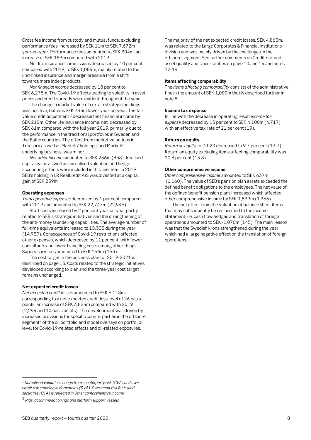Gross fee income from custody and mutual funds, excluding performance fees, increased by SEK 11m to SEK 7,672m year-on-year. Performance fees amounted to SEK 304m, an increase of SEK 183m compared with 2019.

Net life insurance commissions decreased by 10 per cent compared with 2019, to SEK 1,084m, mainly related to the unit-linked insurance and margin pressure from a shift towards more index products.

*Net financial income* decreased by 18 per cent to SEK 6,275m. The Covid-19 effects leading to volatility in asset prices and credit spreads were evident throughout the year.

The change in market value of certain strategic holdings was positive, but was SEK 733m lower year-on-year. The fair value credit adjustment<sup>[1](#page-7-0))</sup> decreased net financial income by SEK 210m. Other life insurance income, net, decreased by SEK 61m compared with the full year 2019, primarily due to the performance in the traditional portfolios in Sweden and the Baltic countries. The effect from market valuations in Treasury as well as Markets' holdings, and Markets' underlying business, was minor.

*Net other income* amounted to SEK 236m (858). Realised capital gains as well as unrealised valuation and hedge accounting effects were included in this line item. In 2019 SEB's holding in LR Realkredit A/S was divested at a capital gain of SEK 259m.

#### **Operating expenses**

*Total operating expenses* decreased by 1 per cent compared with 2019 and amounted to SEK 22,747m (22,945).

Staff costs increased by 2 per cent year-on-year partly related to SEB's strategic initiatives and the strengthening of the anti-money laundering capabilities. The average number of full-time equivalents increased to 15,335 during the year (14,939). Consequences of Covid-19 restrictions affected other expenses, which decreased by 11 per cent, with fewer consultants and lower travelling costs among other things. Supervisory fees amounted to SEK 156m (153).

The cost target in the business plan for 2019-2021 is described on page 13. Costs related to the strategic initiatives developed according to plan and the three-year cost target remains unchanged.

#### **Net expected credit losses**

*Net expected credit losses* amounted to SEK 6,118m, corresponding to a net expected credit loss level of 26 basis points, an increase of SEK 3,824m compared with 2019 (2,294 and 10 basis points). The development was driven by increased provisions for specific counterparties in the offshore segment<sup>[2](#page-7-1)</sup> of the oil portfolio and model overlays on portfoliolevel for Covid-19-related effects and oil-related exposures.

The majority of the net expected credit losses, SEK 4,865m, was related to the Large Corporates & Financial Institutions division and was mainly driven by the challenges in the offshore segment. See further comments on Credit risk and asset quality and Uncertainties on page 10 and 14 and notes 12-14.

#### **Items affecting comparability**

The *items affecting comparability* consists of the administrative fine in the amount of SEK 1,000m that is described further in note 8.

#### **Income tax expense**

In line with the decrease in operating result *income tax expense* decreased by 13 per cent to SEK 4,100m (4,717) with an effective tax rate of 21 per cent (19).

#### **Return on equity**

*Return on equity* for 2020 decreased to 9.7 per cent (13.7). Return on equity excluding items affecting comparability was 10.3 per cent (13.8).

#### **Other comprehensive income**

*Other comprehensive income* amounted to SEK 637m (1,160). The value of SEB's pension plan assets exceeded the defined benefit obligations to the employees. The net value of the defined benefit pension plans increased which affected other comprehensive income by SEK 1,839m (1,366).

The net effect from the valuation of balance sheet items that may subsequently be reclassified to the income statement, i.e. cash flow hedges and translation of foreign operations amounted to SEK -1,070m (145). The main reason was that the Swedish krona strengthened during the year which had a large negative effect on the translation of foreign operations.

<span id="page-7-0"></span><sup>1</sup> *Unrealised valuation change from counterparty risk (CVA) and own credit risk standing in derivatives (DVA). Own credit risk for issued securities (OCA) is reflected in Other comprehensive income.* 

<span id="page-7-1"></span><sup>2</sup> *Rigs, accommodation rigs and platform support vessels*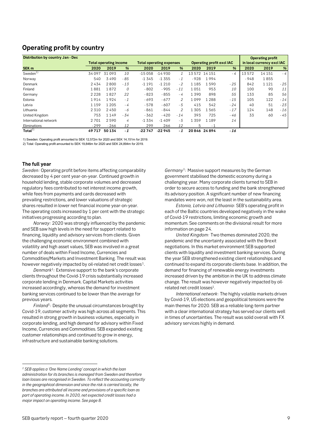# <span id="page-8-0"></span>**Operating profit by country**

| Distribution by country Jan - Dec |         |                               |       |          |                                 |                |         |               |                           |        | <b>Operating profit</b>    |       |
|-----------------------------------|---------|-------------------------------|-------|----------|---------------------------------|----------------|---------|---------------|---------------------------|--------|----------------------------|-------|
|                                   |         | <b>Total operating income</b> |       |          | <b>Total operating expenses</b> |                |         |               | Operating profit excl IAC |        | in local currency excl IAC |       |
| SEK <sub>m</sub>                  | 2020    | 2019                          | %     | 2020     | 2019                            | %              | 2020    | 2019          | %                         | 2020   | 2019                       | %     |
| Sweden <sup>1)</sup>              | 34097   | 31093                         | 10    | $-15058$ | $-14930$                        |                |         | 13 572 14 151 | - 4                       | 13572  | 14 15 1                    | $-4$  |
| Norway                            | 540     | 3490                          | $-85$ | $-1345$  | $-1355$                         | $-1$           | $-928$  | 1994          |                           | $-948$ | 1855                       |       |
| Denmark                           | 2434    | 2800                          | $-13$ | $-1191$  | $-1210$                         | $-2$           | 1185    | 1590          | $-25$                     | 842    | 1121                       | $-25$ |
| Finland                           | 1881    | 1872                          | 0     | $-802$   | $-905$                          | $-11$          | 1051    | 953           | 10                        | 100    | 90                         | 11    |
| Germany                           | 2 2 2 8 | 1827                          | 22    | $-823$   | $-855$                          | - 4            | 1390    | 898           | 55                        | 133    | 85                         | 56    |
| Estonia                           | 1914    | 1924                          | $-1$  | $-693$   | $-677$                          | $\mathcal{L}$  | 1099    | 1288          | $-15$                     | 105    | 122                        | $-14$ |
| Latvia                            | 1159    | 1 2 0 5                       | - 4   | $-578$   | $-607$                          | - 5            | 415     | 542           | $-24$                     | 40     | 51                         | $-23$ |
| Lithuania                         | 2 3 1 0 | 2450                          | - 6   | $-861$   | $-844$                          | $\overline{2}$ | 1 3 0 5 | 1565          | $-17$                     | 124    | 148                        | $-16$ |
| United Kingdom                    | 753     | 1149                          | - 34  | $-362$   | $-420$                          | $-14$          | 393     | 725           | - 46                      | 33     | 60                         | - 45  |
| International network             | 2701    | 2590                          | 4     | $-1334$  | $-1.409$                        | - 5            | 1359    | 1189          | 14                        |        |                            |       |
| Eliminations                      | $-299$  | - 266                         | 12    | 299      | 266                             | 12             | 5       | $-1$          |                           |        |                            |       |
| Total $^{2)}$                     | 49717   | 50134                         | $-1$  | $-22747$ | $-22945$                        | $-1$           |         | 20846 24894   | $-16$                     |        |                            |       |

1) Sweden: Operating profit amounted to SEK 12,572m for 2020 and SEK 14,151m for 2019. 2) Total: Operating profit amounted to SEK 19,846m for 2020 and SEK 24,894m for 2019.

#### **The full year**

*Sweden:* Operating profit before items affecting comparability decreased by 4 per cent year-on-year. Continued growth in household lending, stable corporate volumes and decreased regulatory fees contributed to net interest income growth, while fees from payments and cards decreased with prevailing restrictions, and lower valuations of strategic shares resulted in lower net financial income year-on-year. The operating costs increased by 1 per cent with the strategic initiatives progressing according to plan.

*Norway:* 2020 was strongly influenced by the pandemic and SEB saw high levels in the need for support related to financing, liquidity and advisory services from clients. Given the challenging economic environment combined with volatility and high asset values, SEB was involved in a great number of deals within Fixed Income, Currencies and Commodities/Markets and Investment Banking. The result was however negatively impacted by oil-related net credit losses<sup>[1](#page-8-1)</sup>.

*Denmark*<sup>1</sup>*:* Extensive support to the bank's corporate clients throughout the Covid-19 crisis substantially increased corporate lending in Denmark. Capital Markets activities increased accordingly, whereas the demand for investment banking services continued to be lower than the average for previous years.

*Finland*<sup>1</sup>*:* Despite the unusual circumstances brought by Covid-19, customer activity was high across all segments. This resulted in strong growth in business volumes, especially in corporate lending, and high demand for advisory within Fixed Income, Currencies and Commodities. SEB expanded existing customer relationships and continued to grow in energy, infrastructure and sustainable banking solutions.

*Germany*<sup>1</sup>*:* Massive support measures by the German government stabilised the domestic economy during a challenging year. Many corporate clients turned to SEB in order to secure access to funding and the bank strengthened its advisory position. A significant number of new financing mandates were won, not the least in the sustainability area.

*Estonia, Latvia and Lithuania:* SEB's operating profit in each of the Baltic countries developed negatively in the wake of Covid-19 restrictions, limiting economic growth and momentum. See comments on the divisional result for more information on page 24.

*United Kingdom:* Two themes dominated 2020, the pandemic and the uncertainty associated with the Brexit negotiations. In this market environment SEB supported clients with liquidity and investment banking services. During the year SEB strengthened existing client relationships and continued to expand its corporate clients base. In addition, the demand for financing of renewable energy investments increased driven by the ambition in the UK to address climate change. The result was however negatively impacted by oilrelated net credit losses<sup>1</sup>.

*International network*: The highly volatile markets driven by Covid-19, US elections and geopolitical tensions were the main themes for 2020. SEB as a reliable long-term partner with a clear international strategy has served our clients well in times of uncertainties. The result was solid overall with FX advisory services highly in demand.

<span id="page-8-1"></span>*<sup>1</sup> SEB applies a 'One Name Lending' concept in which the loan administration for its branches is managed from Sweden and therefore loan losses are recognised in Sweden. To reflect the accounting correctly in the geographical dimension and since the risk is carried locally, the branches are attributed all income and provisions of a specific loan as part of operating income. In 2020, net expected credit losses had a major impact on operating income. See page 8.*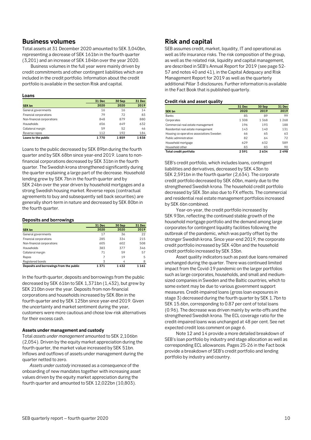#### <span id="page-9-0"></span>**Business volumes**

Total assets at 31 December 2020 amounted to SEK 3,040bn, representing a decrease of SEK 161bn in the fourth quarter (3,201) and an increase of SEK 184bn over the year 2020.

Business volumes in the full year were mainly driven by credit commitments and other contingent liabilities which are included in the credit portfolio. Information about the credit portfolio is available in the section Risk and capital.

#### **Loans**

|                            | <b>31 Dec</b> | 30 Sep | <b>31 Dec</b> |
|----------------------------|---------------|--------|---------------|
| SEK bn                     | 2020          | 2020   | 2019          |
| General governments        | 16            | 16     | 14            |
| Financial corporations     | 79            | 72     | 83            |
| Non-financial corporations | 848           | 879    | 880           |
| <b>Households</b>          | 656           | 649    | 632           |
| Collateral margin          | 59            | 52     | 46            |
| Reverse repos              | 112           | 192    | 184           |
| Loans to the public        | 1770          | 1859   | 1838          |

Loans to the public decreased by SEK 89bn during the fourth quarter and by SEK 68bn since year-end 2019. Loans to nonfinancial corporations decreased by SEK 31bn in the fourth quarter. The Swedish krona strengthened significantly during the quarter explaining a large part of the decrease. Household lending grew by SEK 7bn in the fourth quarter and by SEK 24bn over the year driven by household mortgages and a strong Swedish housing market. Reverse repos (contractual agreements to buy and subsequently sell back securities) are generally short-term in nature and decreased by SEK 80bn in the fourth quarter.

#### **Deposits and borrowings**

|                                         | <b>31 Dec</b> | 30 Sep | 31 Dec  |
|-----------------------------------------|---------------|--------|---------|
| SEK bn                                  | 2020          | 2020   | 2019    |
| General governments                     | 17            | 36     | 22      |
| Financial corporations                  | 285           | 334    | 215     |
| Non-financial corporations              | 605           | 602    | 508     |
| Households                              | 383           | 377    | 346     |
| Collateral margin                       | 71            | 59     | 57      |
| Repos                                   |               | 19     | 5       |
| Registered bonds                        | 3             | 4      | 8       |
| Deposits and borrowings from the public | 1371          | 1432   | 1 1 6 1 |

In the fourth quarter, deposits and borrowings from the public decreased by SEK 61bn to SEK 1,371bn (1,432), but grew by SEK 210bn over the year. Deposits from non-financial corporations and households increased by SEK 8bn in the fourth quarter and by SEK 125bn since year-end 2019. Given the uncertainty and market sentiment during the year, customers were more cautious and chose low-risk alternatives for their excess cash.

#### **Assets under management and custody**

Total *assets under management* amounted to SEK 2,106bn (2,054). Driven by the equity market appreciation during the fourth quarter, the market value increased by SEK 51bn. Inflows and outflows of assets under management during the quarter netted to zero.

*Assets under custody* increased as a consequence of the onboarding of new mandates together with increasing asset values driven by the equity market appreciation during the fourth quarter and amounted to SEK 12,022bn (10,803).

## <span id="page-9-1"></span>**Risk and capital**

SEB assumes credit, market, liquidity, IT and operational as well as life insurance risks. The risk composition of the group, as well as the related risk, liquidity and capital management, are described in SEB's Annual Report for 2019 (see page 52- 57 and notes 40 and 41), in the Capital Adequacy and Risk Management Report for 2019 as well as the quarterly additional Pillar 3 disclosures. Further information is available in the Fact Book that is published quarterly.

#### **Credit risk and asset quality**

|                                          | <b>31 Dec</b> | 30 Sep | 31 Dec |
|------------------------------------------|---------------|--------|--------|
| <b>SEK bn</b>                            | 2020          | 2019   | 2019   |
| <b>Banks</b>                             | 85            | 89     | 99     |
| Corporates                               | 1308          | 1368   | 1268   |
| Commercial real estate management        | 196           | 193    | 188    |
| Residential real estate management       | 143           | 140    | 131    |
| Housing co-operative associations Sweden | 66            | 65     | 63     |
| Public administration                    | 82            | 64     | 72     |
| Household mortgage                       | 629           | 632    | 589    |
| Household other                          | 83            | 83     | 90     |
| Total credit portfolio                   | 2591          | 2634   | 2498   |

SEB's credit portfolio, which includes loans, contingent liabilities and derivatives, decreased by SEK 43bn to SEK 2,591bn in the fourth quarter (2,634). The corporate credit portfolio decreased by SEK 60bn, mainly due to the strengthened Swedish krona. The household credit portfolio decreased by SEK 3bn also due to FX effects. The commercial and residential real estate management portfolios increased by SEK 6bn combined.

Year-on-year, the credit portfolio increased by SEK 93bn, reflecting the continued stable growth of the household mortgage portfolio and the demand among large corporates for contingent liquidity facilities following the outbreak of the pandemic, which was partly offset by the stronger Swedish krona. Since year-end 2019, the corporate credit portfolio increased by SEK 40bn and the household credit portfolio increased by SEK 33bn.

Asset quality indicators such as past due loans remained unchanged during the quarter. There was continued limited impact from the Covid-19 pandemic on the larger portfolios such as large corporates, households, and small and mediumsized companies in Sweden and the Baltic countries, which to some extent may be due to various government support measures. Credit-impaired loans (gross loan exposures in stage 3) decreased during the fourth quarter by SEK 1.7bn to SEK 15.6bn, corresponding to 0.87 per cent of total loans (0.96). The decrease was driven mainly by write-offs and the strengthened Swedish krona. The ECL coverage ratio for the credit-impaired loans was unchanged at 48 per cent. See net expected credit loss comment on page 6.

Note 12 and 14 provide a more detailed breakdown of SEB's loan portfolio by industry and stage allocation as well as corresponding ECL allowances. Pages 25-26 in the Fact book provide a breakdown of SEB's credit portfolio and lending portfolio by industry and country.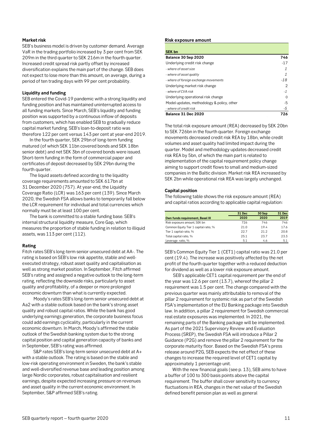#### **Market risk**

SEB's business model is driven by customer demand. Average VaR in the trading portfolio increased by 3 per cent from SEK 209m in the third quarter to SEK 216m in the fourth quarter. Increased credit spread risk partly offset by increased diversification explains the main part of the change. SEB does not expect to lose more than this amount, on average, during a period of ten trading days with 99 per cent probability.

#### **Liquidity and funding**

SEB entered the Covid-19 pandemic with a strong liquidity and funding position and has maintained uninterrupted access to all funding markets. Since March, SEB's liquidity and funding position was supported by a continuous inflow of deposits from customers, which has enabled SEB to gradually reduce capital market funding. SEB's loan-to-deposit ratio was therefore 122 per cent versus 143 per cent at year-end 2019.

In the fourth quarter, SEK 29bn of long-term funding matured (of which SEK 11bn covered bonds and SEK 18bn senior debt) and net SEK 3bn of covered bonds were issued. Short-term funding in the form of commercial paper and certificates of deposit decreased by SEK 29bn during the fourth quarter.

The liquid assets defined according to the liquidity coverage requirements amounted to SEK 617bn at 31 December 2020 (757). At year-end, the Liquidity Coverage Ratio (LCR) was 163 per cent (139). Since March 2020, the Swedish FSA allows banks to temporarily fall below the LCR requirement for individual and total currencies which normally must be at least 100 per cent.

The bank is committed to a stable funding base. SEB's internal structural liquidity measure, Core Gap, which measures the proportion of stable funding in relation to illiquid assets, was 113 per cent (112).

#### **Rating**

Fitch rates SEB's long-term senior unsecured debt at AA-. The rating is based on SEB's low risk appetite, stable and wellexecuted strategy, robust asset quality and capitalisation as well as strong market position. In September, Fitch affirmed SEB's rating and assigned a negative outlook to the long-term rating, reflecting the downside risks, particularly to asset quality and profitability, of a deeper or more prolonged economic downturn than what is currently expected.

Moody's rates SEB's long-term senior unsecured debt at Aa2 with a stable outlook based on the bank's strong asset quality and robust capital ratios. While the bank has good underlying earnings generation, the corporate business focus could add earnings cyclicality, particularly in the current economic downturn. In March, Moody's affirmed the stable outlook of the Swedish banking system due to the strong capital position and capital generation capacity of banks and in September, SEB's rating was affirmed.

S&P rates SEB's long-term senior unsecured debt at A+ with a stable outlook. The rating is based on the stable and low-risk operating environment in Sweden, the bank's stable and well-diversified revenue base and leading position among large Nordic corporates, robust capitalisation and resilient earnings, despite expected increasing pressure on revenues and asset quality in the current economic environment. In September, S&P affirmed SEB's rating.

#### **Risk exposure amount**

| <b>SEK bn</b>                              |       |
|--------------------------------------------|-------|
| Balance 30 Sep 2020                        | 746   |
| Underlying credit risk change              | $-17$ |
| - where of asset size                      |       |
| - where of asset quality                   |       |
| - where of foreign exchange movements      | $-18$ |
| Underlying market risk change              |       |
| - where of CVA risk                        | -1    |
| Underlying operational risk change         | 0     |
| Model updates, methodology & policy, other | -5    |
| - where of credit risk                     | -5    |
| Balance 31 Dec 2020                        | 726   |

The total risk exposure amount (REA) decreased by SEK 20bn to SEK 726bn in the fourth quarter. Foreign exchange movements decreased credit risk REA by 18bn, while credit volumes and asset quality had limited impact during the quarter. Model and methodology updates decreased credit risk REA by 5bn, of which the main part is related to implementation of the capital requirement policy change aiming to support credit flows to small and medium-sized companies in the Baltic division. Market risk REA increased by SEK 2bn while operational risk REA was largely unchanged.

#### **Capital position**

The following table shows the risk exposure amount (REA) and capital ratios according to applicable capital regulation:

|                                       | <b>31 Dec</b> | 30 Sep | <b>31 Dec</b> |
|---------------------------------------|---------------|--------|---------------|
| Own funds requirement, Basel III      | 2020          | 2020   | 2019          |
| Risk exposure amount, SEK bn          | 726           | 746    | 746           |
| Common Equity Tier 1 capital ratio, % | 21.0          | 19.4   | 17.6          |
| Tier 1 capital ratio, %               | 22.7          | 21.2   | 20.8          |
| Total capital ratio, %                | 25.1          | 23.7   | 23.3          |
| Leverage ratio, %                     | 5.1           | 4.6    | 5.1           |

SEB's Common Equity Tier 1 (CET1) capital ratio was 21.0 per cent (19.4). The increase was positively affected by the net profit of the fourth quarter together with a reduced deduction for dividend as well as a lower risk exposure amount.

SEB's applicable CET1 capital requirement per the end of the year was 12.6 per cent (13.7), whereof the pillar 2 requirement was 1.5 per cent. The change compared with the previous quarter was mainly attributable to removal of the pillar 2 requirement for systemic risk as part of the Swedish FSA's implementation of the EU Banking package into Swedish law. In addition, a pillar 2 requirement for Swedish commercial real estate exposures was implemented. In 2021, the remaining parts of the Banking package will be implemented. As part of the 2021 Supervisory Review and Evaluation Process (SREP), the Swedish FSA will introduce a Pillar 2 Guidance (P2G) and remove the pillar 2 requirement for the corporate maturity floor. Based on the Swedish FSA's press release around P2G, SEB expects the net effect of these changes to increase the required level of CET1 capital by approximately 1 percentage unit.

With the new financial goals (see p. 13), SEB aims to have a buffer of 100 to 300 basis points above the capital requirement. The buffer shall cover sensitivity to currency fluctuations in REA, changes in the net value of the Swedish defined benefit pension plan as well as general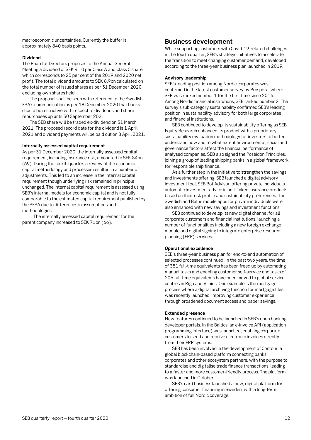macroeconomic uncertainties. Currently the buffer is approximately 840 basis points.

#### **Dividend**

The Board of Directors proposes to the Annual General Meeting a dividend of SEK 4.10 per Class A and Class C share, which corresponds to 25 per cent of the 2019 and 2020 net profit. The total dividend amounts to SEK 8.9bn calculated on the total number of issued shares as per 31 December 2020 excluding own shares held.

The proposal shall be seen with reference to the Swedish FSA's communication as per 18 December 2020 that banks should be restrictive with respect to dividends and share repurchases up until 30 September 2021.

The SEB share will be traded ex-dividend on 31 March 2021. The proposed record date for the dividend is 1 April 2021 and dividend payments will be paid out on 8 April 2021.

#### **Internally assessed capital requirement**

As per 31 December 2020, the internally assessed capital requirement, including insurance risk, amounted to SEK 84bn (69). During the fourth quarter, a review of the economic capital methodology and processes resulted in a number of adjustments. This led to an increase in the internal capital requirement though underlying risk remained in principle unchanged. The internal capital requirement is assessed using SEB's internal models for economic capital and is not fully comparable to the estimated capital requirement published by the SFSA due to differences in assumptions and methodologies.

The internally assessed capital requirement for the parent company increased to SEK 71bn (66).

## <span id="page-11-0"></span>**Business development**

While supporting customers with Covid-19-related challenges in the fourth quarter, SEB's strategic initiatives to accelerate the transition to meet changing customer demand, developed according to the three-year business plan launched in 2019.

#### **Advisory leadership**

SEB's leading position among Nordic corporates was confirmed in the latest customer survey by Prospera, where SEB was ranked number 1 for the first time since 2014. Among Nordic financial institutions, SEB ranked number 2. The survey's sub-category sustainability confirmed SEB's leading position in sustainability advisory for both large corporates and financial institutions.

SEB continued to develop its sustainability offering as SEB Equity Research enhanced its product with a proprietary sustainability evaluation methodology for investors to better understand how and to what extent environmental, social and governance factors affect the financial performance of analysed companies. SEB also signed the Poseidon Principles, joining a group of leading shipping banks in a global framework for responsible ship finance.

As a further step in the initiative to strengthen the savings and investments offering, SEB launched a digital advisory investment tool, SEB Bot Advisor, offering private individuals automatic investment advice in unit-linked insurance products based on their risk profile and sustainability preferences. The Swedish and Baltic mobile apps for private individuals were also enhanced with new savings and investment functions.

SEB continued to develop its new digital channel for all corporate customers and financial institutions, launching a number of functionalities including a new foreign exchange module and digital signing to integrate enterprise resource planning (ERP) services.

#### **Operational excellence**

SEB's three-year business plan for end-to-end automation of selected processes continued. In the past two years, the time of 351 full-time equivalents has been freed up by automating manual tasks and enabling customer self-service and tasks of 205 full-time equivalents have been moved to global service centres in Riga and Vilnius. One example is the mortgage process where a digital archiving function for mortgage files was recently launched, improving customer experience through broadened document access and paper savings.

#### **Extended presence**

New features continued to be launched in SEB's open banking developer portals. In the Baltics, an e-invoice API (application programming interface) was launched, enabling corporate customers to send and receive electronic invoices directly from their ERP systems.

SEB has been involved in the development of Contour, a global blockchain-based platform connecting banks, corporates and other ecosystem partners, with the purpose to standardise and digitalise trade finance transactions, leading to a faster and more customer-friendly process. The platform was launched in October.

SEB's card business launched a new, digital platform for offering consumer financing in Sweden, with a long-term ambition of full Nordic coverage.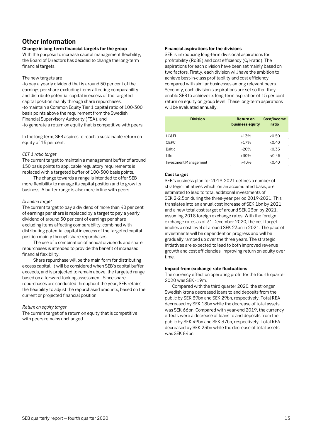# <span id="page-12-0"></span>**Other information**

#### **Change in long-term financial targets for the group**

With the purpose to increase capital management flexibility, the Board of Directors has decided to change the long-term financial targets.

#### The new targets are:

-to pay a yearly dividend that is around 50 per cent of the earnings per share excluding items affecting comparability, and distribute potential capital in excess of the targeted capital position mainly through share repurchases, -to maintain a Common Equity Tier 1 capital ratio of 100-300 basis points above the requirement from the Swedish Financial Supervisory Authority (FSA), and

-to generate a return on equity that is competitive with peers.

In the long term, SEB aspires to reach a sustainable return on equity of 15 per cent.

#### *CET 1 ratio target*

The current target to maintain a management buffer of around 150 basis points to applicable regulatory requirements is replaced with a targeted buffer of 100-300 basis points.

The change towards a range is intended to offer SEB more flexibility to manage its capital position and to grow its business. A buffer range is also more in line with peers.

#### *Dividend target*

The current target to pay a dividend of more than 40 per cent of earnings per share is replaced by a target to pay a yearly dividend of around 50 per cent of earnings per share excluding items affecting comparability, combined with distributing potential capital in excess of the targeted capital position mainly through share repurchases.

The use of a combination of annual dividends and share repurchases is intended to provide the benefit of increased financial flexibility.

Share repurchase will be the main form for distributing excess capital. It will be considered when SEB's capital buffer exceeds, and is projected to remain above, the targeted range based on a forward-looking assessment. Since share repurchases are conducted throughout the year, SEB retains the flexibility to adjust the repurchased amounts, based on the current or projected financial position.

#### *Return on equity target*

The current target of a return on equity that is competitive with peers remains unchanged.

#### **Financial aspirations for the divisions**

SEB is introducing long-term divisional aspirations for profitability (RoBE) and cost efficiency (C/I-ratio). The aspirations for each division have been set mainly based on two factors. Firstly, each division will have the ambition to achieve best-in-class profitability and cost efficiency compared with similar businesses among relevant peers. Secondly, each division's aspirations are set so that they enable SEB to achieve its long-term aspiration of 15 per cent return on equity on group level. These long-term aspirations will be evaluated annually.

| <b>Division</b>       | Return on<br>business equity | <b>Cost/income</b><br>ratio |
|-----------------------|------------------------------|-----------------------------|
| LC&FI                 | >13%                         | < 0.50                      |
| C&PC                  | $>17\%$                      | < 0.40                      |
| <b>Baltic</b>         | >20%                         | < 0.35                      |
| Life                  | $>30\%$                      | < 0.45                      |
| Investment Management | >40%                         | < 0.40                      |

#### **Cost target**

SEB's business plan for 2019-2021 defines a number of strategic initiatives which, on an accumulated basis, are estimated to lead to total additional investments of SEK 2-2.5bn during the three-year period 2019-2021. This translates into an annual cost increase of SEK 1bn by 2021, and a new total cost target of around SEK 23bn by 2021, assuming 2018 foreign exchange rates. With the foreign exchange rates as of 31 December 2020, the cost target implies a cost level of around SEK 23bn in 2021. The pace of investments will be dependent on progress and will be gradually ramped up over the three years. The strategic initiatives are expected to lead to both improved revenue growth and cost efficiencies, improving return on equity over time.

#### **Impact from exchange rate fluctuations**

The currency effect on operating profit for the fourth quarter 2020 was SEK -19m.

Compared with the third quarter 2020, the stronger Swedish krona decreased loans to and deposits from the public by SEK 39bn and SEK 29bn, respectively. Total REA decreased by SEK 18bn while the decrease of total assets was SEK 66bn. Compared with year-end 2019, the currency effects were a decrease of loans to and deposits from the public by SEK 49bn and SEK 37bn, respectively. Total REA decreased by SEK 23bn while the decrease of total assets was SEK 84bn.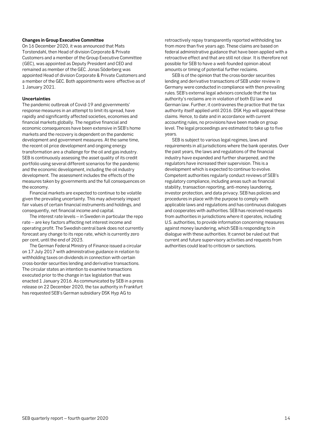#### **Changes in Group Executive Committee**

On 16 December 2020, it was announced that Mats Torstendahl, then Head of division Corporate & Private Customers and a member of the Group Executive Committee (GEC), was appointed as Deputy President and CEO and remained as member of the GEC. Jonas Söderberg was appointed Head of division Corporate & Private Customers and a member of the GEC. Both appointments were effective as of 1 January 2021.

#### **Uncertainties**

The pandemic outbreak of Covid-19 and governments' response measures in an attempt to limit its spread, have rapidly and significantly affected societies, economies and financial markets globally. The negative financial and economic consequences have been extensive in SEB's home markets and the recovery is dependent on the pandemic development and government measures. At the same time, the recent oil price development and ongoing energy transformation are a challenge for the oil and gas industry. SEB is continuously assessing the asset quality of its credit portfolio using several different scenarios for the pandemic and the economic development, including the oil industry development. The assessment includes the effects of the measures taken by governments and the full consequences on the economy.

Financial markets are expected to continue to be volatile given the prevailing uncertainty. This may adversely impact fair values of certain financial instruments and holdings, and consequently, net financial income and capital.

The interest rate levels – in Sweden in particular the repo rate – are key factors affecting net interest income and operating profit. The Swedish central bank does not currently forecast any change to its repo rate, which is currently zero per cent, until the end of 2023.

The German Federal Ministry of Finance issued a circular on 17 July 2017 with administrative guidance in relation to withholding taxes on dividends in connection with certain cross-border securities lending and derivative transactions. The circular states an intention to examine transactions executed prior to the change in tax legislation that was enacted 1 January 2016. As communicated by SEB in a press release on 22 December 2020, the tax authority in Frankfurt has requested SEB's German subsidiary DSK Hyp AG to

retroactively repay transparently reported withholding tax from more than five years ago. These claims are based on federal administrative guidance that have been applied with a retroactive effect and that are still not clear. It is therefore not possible for SEB to have a well-founded opinion about amounts or timing of potential further reclaims.

SEB is of the opinion that the cross-border securities lending and derivative transactions of SEB under review in Germany were conducted in compliance with then prevailing rules. SEB's external legal advisors conclude that the tax authority's reclaims are in violation of both EU law and German law. Further, it contravenes the practice that the tax authority itself applied until 2016. DSK Hyp will appeal these claims. Hence, to date and in accordance with current accounting rules, no provisions have been made on group level. The legal proceedings are estimated to take up to five years.

SEB is subject to various legal regimes, laws and requirements in all jurisdictions where the bank operates. Over the past years, the laws and regulations of the financial industry have expanded and further sharpened, and the regulators have increased their supervision. This is a development which is expected to continue to evolve. Competent authorities regularly conduct reviews of SEB's regulatory compliance, including areas such as financial stability, transaction reporting, anti-money laundering, investor protection, and data privacy. SEB has policies and procedures in place with the purpose to comply with applicable laws and regulations and has continuous dialogues and cooperates with authorities. SEB has received requests from authorities in jurisdictions where it operates, including U.S. authorities, to provide information concerning measures against money laundering, which SEB is responding to in dialogue with these authorities. It cannot be ruled out that current and future supervisory activities and requests from authorities could lead to criticism or sanctions.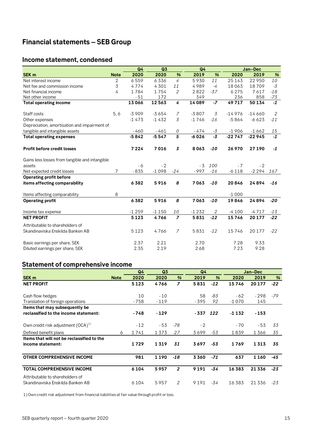# <span id="page-14-0"></span>**Financial statements – SEB Group**

# <span id="page-14-1"></span>**Income statement, condensed**

|                                                |             | Q4      | Q3      |                | Q <sub>4</sub> |       |          | Jan-Dec  |       |
|------------------------------------------------|-------------|---------|---------|----------------|----------------|-------|----------|----------|-------|
| <b>SEK m</b>                                   | <b>Note</b> | 2020    | 2020    | %              | 2019           | %     | 2020     | 2019     | $\%$  |
| Net interest income                            | 2           | 6559    | 6336    | $\overline{4}$ | 5930           | 11    | 25 1 4 3 | 22 950   | 10    |
| Net fee and commission income                  | 3           | 4774    | 4301    | 11             | 4989           | $-4$  | 18063    | 18709    | $-3$  |
| Net financial income                           | 4           | 1784    | 1754    | 2              | 2822           | $-37$ | 6275     | 7617     | $-18$ |
| Net other income                               |             | $-51$   | 172     |                | 349            |       | 236      | 858      | $-73$ |
| <b>Total operating income</b>                  |             | 13066   | 12563   | 4              | 14089          | $-7$  | 49717    | 50 134   | $-1$  |
| Staff costs                                    | 5, 6        | $-3909$ | $-3654$ | $\overline{7}$ | $-3807$        | 3     | $-14976$ | $-14660$ | 2     |
| Other expenses                                 |             | $-1473$ | $-1432$ | 3              | $-1746$        | $-16$ | $-5864$  | $-6623$  | $-11$ |
| Depreciation, amortisation and impairment of   |             |         |         |                |                |       |          |          |       |
| tangible and intangible assets                 |             | $-460$  | $-461$  | 0              | - 474          | $-3$  | $-1906$  | $-1662$  | 15    |
| <b>Total operating expenses</b>                |             | $-5842$ | $-5547$ | $\overline{5}$ | $-6026$        | $-3$  | $-22747$ | $-22945$ | $-1$  |
| <b>Profit before credit losses</b>             |             | 7224    | 7016    | $\overline{3}$ | 8063           | -10   | 26 970   | 27 190   | $-1$  |
| Gains less losses from tangible and intangible |             |         |         |                |                |       |          |          |       |
| assets                                         |             | - 6     | $-2$    |                | $-3$           | 100   | $-7$     | $-2$     |       |
| Net expected credit losses                     | 7           | $-835$  | $-1098$ | $-24$          | $-997$         | $-16$ | $-6118$  | -2 294   | 167   |
| <b>Operating profit before</b>                 |             |         |         |                |                |       |          |          |       |
| items affecting comparability                  |             | 6382    | 5916    | 8              | 7063           | $-10$ | 20846    | 24894    | $-16$ |
| Items affecting comparability                  | 8           |         |         |                |                |       | $-1000$  |          |       |
| <b>Operating profit</b>                        |             | 6382    | 5916    | 8              | 7063           | $-10$ | 19846    | 24894    | $-20$ |
| Income tax expense                             |             | $-1259$ | $-1150$ | 10             | $-1232$        | 2     | $-4100$  | $-4717$  | $-13$ |
| <b>NET PROFIT</b>                              |             | 5123    | 4766    | $\overline{z}$ | 5831           | $-12$ | 15746    | 20 177   | $-22$ |
| Attributable to shareholders of                |             |         |         |                |                |       |          |          |       |
| Skandinaviska Enskilda Banken AB               |             | 5123    | 4766    | $\overline{7}$ | 5831           | $-12$ | 15746    | 20 177   | $-22$ |
| Basic earnings per share, SEK                  |             | 2.37    | 2.21    |                | 2.70           |       | 7.28     | 9.33     |       |
| Diluted earnings per share, SEK                |             | 2.35    | 2.19    |                | 2.68           |       | 7.23     | 9.28     |       |

# <span id="page-14-2"></span>**Statement of comprehensive income**

|             | Q4      | Q <sub>3</sub> |                | Q <sub>4</sub> |               |         |          |               |
|-------------|---------|----------------|----------------|----------------|---------------|---------|----------|---------------|
| <b>Note</b> | 2020    | 2020           | $\frac{9}{6}$  | 2019           | $\frac{9}{6}$ | 2020    | 2019     | $\frac{9}{6}$ |
|             | 5123    | 4766           | $\overline{z}$ | 5831           | $-12$         | 15746   | 20 177   | $-22$         |
|             | 10      | $-10$          |                | 58             | $-83$         | - 62    | $-298$   | -79           |
|             | $-758$  | $-119$         |                | - 395          | 92            | $-1070$ | 145      |               |
|             |         |                |                |                |               |         |          |               |
|             | - 748   | $-129$         |                | - 337          | 122           | $-1132$ | $-153$   |               |
|             | $-12$   | $-53$          | $-78$          | $-2$           |               | $-70$   | - 53     | 33            |
| 6           | 1741    | 1373           | 27             | 3699           | $-53$         | 1839    | 1366     | 35            |
|             |         |                |                |                |               |         |          |               |
|             | 1729    | 1319           | 31             | 3697           | $-53$         | 1769    | 1313     | 35            |
|             | 981     | 1190           | $-18$          | 3360           | $-71$         | 637     | 1 1 6 0  | $-45$         |
|             | 6 1 0 4 | 5957           | $\overline{2}$ | 9 1 9 1        | -34           | 16 383  | 21 3 3 6 | $-23$         |
|             | 6 1 0 4 | 5957           | 2              | 9191           | -34           | 16 383  | 21 3 3 6 | $-23$         |
|             |         |                |                |                |               |         |          | Jan-Dec       |

1) Own credit risk adjustment from financial liabilities at fair value through profit or loss.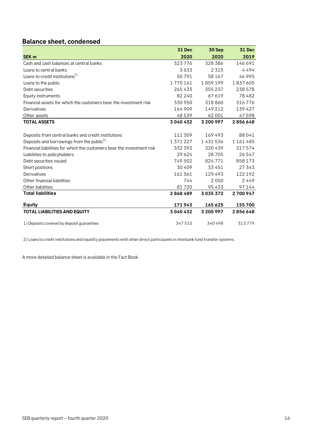# <span id="page-15-0"></span>**Balance sheet, condensed**

|                                                                        | <b>31 Dec</b> | 30 Sep    | 31 Dec  |
|------------------------------------------------------------------------|---------------|-----------|---------|
| <b>SEK m</b>                                                           | 2020          | 2020      | 2019    |
| Cash and cash balances at central banks                                | 323776        | 328 386   | 146 691 |
| Loans to central banks                                                 | 3633          | 2 3 1 5   | 4494    |
| Loans to credit institutions <sup>2)</sup>                             | 50791         | 58 167    | 46995   |
| Loans to the public                                                    | 1770161       | 1859199   | 1837605 |
| Debt securities                                                        | 265433        | 355237    | 238 578 |
| Equity instruments                                                     | 82 240        | 67619     | 78482   |
| Financial assets for which the customers bear the investment risk      | 330 950       | 318860    | 316776  |
| Derivatives                                                            | 164 909       | 149 212   | 139 427 |
| Other assets                                                           | 48539         | 62 001    | 47598   |
| <b>TOTAL ASSETS</b>                                                    | 3040432       | 3 200 997 | 2856648 |
|                                                                        |               |           |         |
| Deposits from central banks and credit institutions                    | 111 309       | 169493    | 88041   |
| Deposits and borrowings from the public <sup>1)</sup>                  | 1 371 227     | 1431536   | 1161485 |
| Financial liabilities for which the customers bear the investment risk | 332 392       | 320439    | 317574  |
| Liabilities to policyholders                                           | 29 6 24       | 28705     | 26547   |
| Debt securities issued                                                 | 749 502       | 824771    | 858173  |
| Short positions                                                        | 30 40 9       | 33 4 51   | 27 343  |
| Derivatives                                                            | 161561        | 129493    | 122192  |
| Other financial liabilities                                            | 744           | 2050      | 2449    |
| Other liabilities                                                      | 81720         | 95433     | 97144   |
| <b>Total liabilities</b>                                               | 2868489       | 3035372   | 2700947 |
| <b>Equity</b>                                                          | 171943        | 165625    | 155700  |
| <b>TOTAL LIABILITIES AND EQUITY</b>                                    | 3040432       | 3 200 997 | 2856648 |
| 1) Deposits covered by deposit guarantees                              | 347510        | 340498    | 313779  |

2) Loans to credit institutions and liquidity placements with other direct participants in interbank fund transfer systems.

A more detailed balance sheet is available in the Fact Book.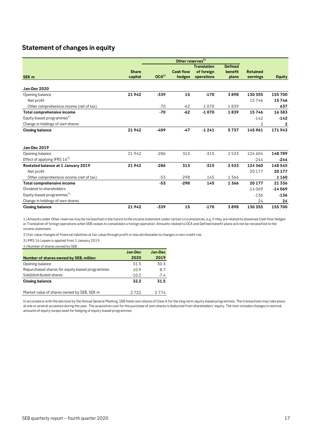# <span id="page-16-0"></span>**Statement of changes in equity**

|                                         |                         |                  | Other reserves <sup>1)</sup> |                                                |                                    |                             |               |
|-----------------------------------------|-------------------------|------------------|------------------------------|------------------------------------------------|------------------------------------|-----------------------------|---------------|
| SEK <sub>m</sub>                        | <b>Share</b><br>capital | OCA <sup>2</sup> | <b>Cash flow</b><br>hedges   | <b>Translation</b><br>of foreign<br>operations | <b>Defined</b><br>benefit<br>plans | <b>Retained</b><br>earnings | <b>Equity</b> |
| Jan-Dec 2020                            |                         |                  |                              |                                                |                                    |                             |               |
| Opening balance                         | 21942                   | $-339$           | 15                           | $-170$                                         | 3898                               | 130 355                     | 155700        |
| Net profit                              |                         |                  |                              |                                                |                                    | 15746                       | 15746         |
| Other comprehensive income (net of tax) |                         | $-70$            | $-62$                        | $-1070$                                        | 1839                               |                             | 637           |
| Total comprehensive income              |                         | $-70$            | $-62$                        | $-1070$                                        | 1839                               | 15746                       | 16383         |
| Equity-based programmes <sup>4)</sup>   |                         |                  |                              |                                                |                                    | $-142$                      | $-142$        |
| Change in holdings of own shares        |                         |                  |                              |                                                |                                    | 2                           | 2             |
| <b>Closing balance</b>                  | 21942                   | $-409$           | $-47$                        | $-1241$                                        | 5737                               | 145 961                     | 171943        |
| <b>Jan-Dec 2019</b>                     |                         |                  |                              |                                                |                                    |                             |               |
| Opening balance                         | 21942                   | $-286$           | 313                          | $-315$                                         | 2533                               | 124 604                     | 148789        |
| Effect of applying IFRS $16^{3}$        |                         |                  |                              |                                                |                                    | $-244$                      | $-244$        |
| Restated balance at 1 January 2019      | 21942                   | $-286$           | 313                          | $-315$                                         | 2533                               | 124 360                     | 148545        |
| Net profit                              |                         |                  |                              |                                                |                                    | 20 177                      | 20177         |
| Other comprehensive income (net of tax) |                         | $-53$            | $-298$                       | 145                                            | 1366                               |                             | 1160          |
| Total comprehensive income              |                         | $-53$            | $-298$                       | 145                                            | 1366                               | 20 177                      | 21 3 36       |
| Dividend to shareholders                |                         |                  |                              |                                                |                                    | $-14069$                    | $-14069$      |
| Equity-based programmes <sup>4)</sup>   |                         |                  |                              |                                                |                                    | $-136$                      | $-136$        |
| Change in holdings of own shares        |                         |                  |                              |                                                |                                    | 24                          | 24            |
| <b>Closing balance</b>                  | 21942                   | $-339$           | 15                           | $-170$                                         | 3898                               | 130 355                     | 155700        |

1) Amounts under Other reserves may be reclassified in the future to the income statement under certain circumstances, e.g. if they are related to dissolved Cash flow hedges or Translation of foreign operations when SEB ceases to consolidate a foreign operation. Amounts related to OCA and Defined benefit plans will not be reclassified to the income statement.

2) Fair value changes of financial liabilities at fair value through profit or loss attributable to changes in own credit risk.

3) IFRS 16 Leases is applied from 1 January 2019.

4) Number of shares owned by SEB:

|                                                | Jan-Dec | Jan-Dec |
|------------------------------------------------|---------|---------|
| Number of shares owned by SEB, million         | 2020    | 2019    |
| Opening balance                                | 31.5    | 30.3    |
| Repurchased shares for equity-based programmes | 109     | 8.7     |
| Sold/distributed shares                        | $-10.2$ | $-7.4$  |
| <b>Closing balance</b>                         | 32.2    | 31.5    |
|                                                |         |         |

Market value of shares owned by SEB, SEK m 2722 2774

In accordance with the decision by the Annual General Meeting, SEB holds own shares of Class A for the long-term equity-based programmes. The transactions may take place at one or several occasions during the year. The acquisition cost for the purchase of own shares is deducted from shareholders' equity. The item includes changes in nominal amounts of equity swaps used for hedging of equity-based programmes.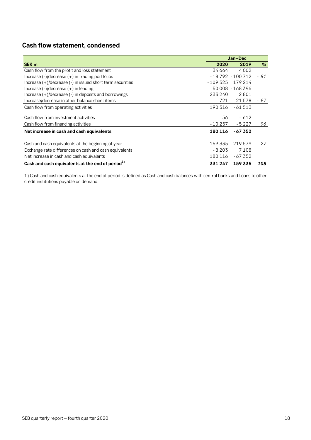# <span id="page-17-0"></span>**Cash flow statement, condensed**

|                                                              | Jan-Dec   |                   |      |  |  |  |  |
|--------------------------------------------------------------|-----------|-------------------|------|--|--|--|--|
| <b>SEK m</b>                                                 | 2020      | 2019              | %    |  |  |  |  |
| Cash flow from the profit and loss statement                 | 34 664    | 4002              |      |  |  |  |  |
| Increase $(-)/$ decrease $(+)$ in trading portfolios         |           | $-18792 - 100712$ | - 81 |  |  |  |  |
| Increase (+)/decrease (-) in issued short term securities    | $-109525$ | 179 214           |      |  |  |  |  |
| Increase $(-1)$ decrease $(+)$ in lending                    |           | 50 008 - 168 396  |      |  |  |  |  |
| Increase $(+)/$ decrease $(-)$ in deposits and borrowings    | 233 240   | 2801              |      |  |  |  |  |
| Increase/decrease in other balance sheet items               | 721       | 21578             | - 97 |  |  |  |  |
| Cash flow from operating activities                          | 190 316   | - 61 513          |      |  |  |  |  |
| Cash flow from investment activities                         | 56        | $-612$            |      |  |  |  |  |
| Cash flow from financing activities                          | - 10 257  | $-5227$           | 96   |  |  |  |  |
| Net increase in cash and cash equivalents                    | 180 116   | - 67 352          |      |  |  |  |  |
| Cash and cash equivalents at the beginning of year           | 159 335   | 219579            | - 27 |  |  |  |  |
| Exchange rate differences on cash and cash equivalents       | $-8203$   | 7 1 0 8           |      |  |  |  |  |
| Net increase in cash and cash equivalents                    | 180 116   | - 67 352          |      |  |  |  |  |
| Cash and cash equivalents at the end of period <sup>1)</sup> | 331 247   | 159 335           | 108  |  |  |  |  |

1) Cash and cash equivalents at the end of period is defined as Cash and cash balances with central banks and Loans to other credit institutions payable on demand.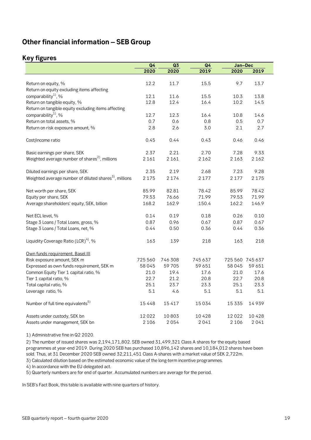# <span id="page-18-0"></span>**Other financial information – SEB Group**

# <span id="page-18-1"></span>**Key figures**

|                                                           | Q <sub>4</sub> | Q3      | Q <sub>4</sub> | Jan-Dec         |         |
|-----------------------------------------------------------|----------------|---------|----------------|-----------------|---------|
|                                                           | 2020           | 2020    | 2019           | 2020            | 2019    |
|                                                           |                |         |                |                 |         |
| Return on equity, %                                       | 12.2           | 11.7    | 15.5           | 9.7             | 13.7    |
| Return on equity excluding items affecting                |                |         |                |                 |         |
| comparability <sup>1</sup> , %                            | 12.1           | 11.6    | 15.5           | 10.3            | 13.8    |
| Return on tangible equity, %                              | 12.8           | 12.4    | 16.4           | 10.2            | 14.5    |
| Return on tangible equity excluding items affecting       |                |         |                |                 |         |
| comparability <sup>1</sup> , %                            | 12.7           | 12.3    | 16.4           | 10.8            | 14.6    |
| Return on total assets, %                                 | 0.7            | 0.6     | 0.8            | 0.5             | 0.7     |
| Return on risk exposure amount, %                         | 2.8            | 2.6     | 3.0            | 2.1             | 2.7     |
| Cost/income ratio                                         | 0.45           | 0.44    | 0.43           | 0.46            | 0.46    |
| Basic earnings per share, SEK                             | 2.37           | 2.21    | 2.70           | 7.28            | 9.33    |
| Weighted average number of shares <sup>2</sup> , millions | 2 1 6 1        | 2 1 6 1 | 2 1 6 2        | 2 1 6 3         | 2 1 6 2 |
| Diluted earnings per share, SEK                           | 2.35           | 2.19    | 2.68           | 7.23            | 9.28    |
| Weighted average number of diluted shares $3$ , millions  | 2 1 7 5        | 2174    | 2 1 7 7        | 2 1 7 7         | 2 1 7 5 |
| Net worth per share, SEK                                  | 85.99          | 82.81   | 78.42          | 85.99           | 78.42   |
| Equity per share, SEK                                     | 79.53          | 76.66   | 71.99          | 79.53           | 71.99   |
| Average shareholders' equity, SEK, billion                | 168.2          | 162.9   | 150.4          | 162.2           | 146.9   |
| Net ECL level, %                                          | 0.14           | 0.19    | 0.18           | 0.26            | 0.10    |
| Stage 3 Loans / Total Loans, gross, %                     | 0.87           | 0.96    | 0.67           | 0.87            | 0.67    |
| Stage 3 Loans / Total Loans, net, %                       | 0.44           | 0.50    | 0.36           | 0.44            | 0.36    |
| Liquidity Coverage Ratio $(LCR)^{4}$ , %                  | 163            | 139     | 218            | 163             | 218     |
| Own funds requirement, Basel III                          |                |         |                |                 |         |
| Risk exposure amount, SEK m                               | 725 560        | 746 308 | 745637         | 725 560 745 637 |         |
| Expressed as own funds requirement, SEK m                 | 58045          | 59705   | 59 651         | 58045           | 59 651  |
| Common Equity Tier 1 capital ratio, %                     | 21.0           | 19.4    | 17.6           | 21.0            | 17.6    |
| Tier 1 capital ratio, %                                   | 22.7           | 21.2    | 20.8           | 22.7            | 20.8    |
| Total capital ratio, %                                    | 25.1           | 23.7    | 23.3           | 25.1            | 23.3    |
| Leverage ratio, %                                         | 5.1            | 4.6     | 5.1            | 5.1             | 5.1     |
| Number of full time equivalents <sup>5)</sup>             | 15448          | 15417   | 15034          | 15 3 35         | 14939   |
| Assets under custody, SEK bn                              | 12022          | 10803   | 10428          | 12022           | 10428   |
| Assets under management, SEK bn                           | 2 1 0 6        | 2054    | 2041           | 2 1 0 6         | 2041    |

1) Administrative fine in Q2 2020.

2) The number of issued shares was 2,194,171,802. SEB owned 31,499,321 Class A shares for the equity based programmes at year-end 2019. During 2020 SEB has purchased 10,896,142 shares and 10,184,012 shares have been sold. Thus, at 31 December 2020 SEB owned 32,211,451 Class A-shares with a market value of SEK 2,722m.

3) Calculated dilution based on the estimated economic value of the long-term incentive programmes.

4) In accordance with the EU delegated act.

5) Quarterly numbers are for end of quarter. Accumulated numbers are average for the period.

In SEB's Fact Book, this table is available with nine quarters of history.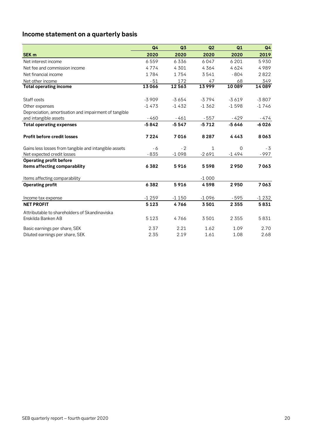# <span id="page-19-0"></span>**Income statement on a quarterly basis**

|                                                       | Q <sub>4</sub> | Q3      | Q2      | Q1       | Q4      |
|-------------------------------------------------------|----------------|---------|---------|----------|---------|
| SEK <sub>m</sub>                                      | 2020           | 2020    | 2020    | 2020     | 2019    |
| Net interest income                                   | 6559           | 6336    | 6047    | 6 2 0 1  | 5930    |
| Net fee and commission income                         | 4774           | 4 3 0 1 | 4364    | 4624     | 4989    |
| Net financial income                                  | 1784           | 1754    | 3541    | $-804$   | 2822    |
| Net other income                                      | $-51$          | 172     | 47      | 68       | 349     |
| <b>Total operating income</b>                         | 13066          | 12563   | 13999   | 10089    | 14089   |
| Staff costs                                           | $-3909$        | $-3654$ | $-3794$ | $-3619$  | $-3807$ |
| Other expenses                                        | $-1473$        | $-1432$ | $-1362$ | $-1598$  | $-1746$ |
| Depreciation, amortisation and impairment of tangible |                |         |         |          |         |
| and intangible assets                                 | $-460$         | $-461$  | $-557$  | $-429$   | - 474   |
| <b>Total operating expenses</b>                       | $-5842$        | $-5547$ | $-5712$ | $-5646$  | -6026   |
| <b>Profit before credit losses</b>                    | 7224           | 7016    | 8 2 8 7 | 4443     | 8063    |
| Gains less losses from tangible and intangible assets | - 6            | $-2$    | 1       | $\Omega$ | $-3$    |
| Net expected credit losses                            | $-835$         | $-1098$ | $-2691$ | $-1494$  | $-997$  |
| <b>Operating profit before</b>                        |                |         |         |          |         |
| items affecting comparability                         | 6382           | 5916    | 5598    | 2950     | 7063    |
| Items affecting comparability                         |                |         | $-1000$ |          |         |
| <b>Operating profit</b>                               | 6382           | 5916    | 4598    | 2950     | 7063    |
| Income tax expense                                    | $-1259$        | $-1150$ | $-1096$ | - 595    | $-1232$ |
| <b>NET PROFIT</b>                                     | 5123           | 4766    | 3501    | 2 3 5 5  | 5831    |
| Attributable to shareholders of Skandinaviska         |                |         |         |          |         |
| Enskilda Banken AB                                    | 5123           | 4766    | 3501    | 2 3 5 5  | 5831    |
| Basic earnings per share, SEK                         | 2.37           | 2.21    | 1.62    | 1.09     | 2.70    |
| Diluted earnings per share, SEK                       | 2.35           | 2.19    | 1.61    | 1.08     | 2.68    |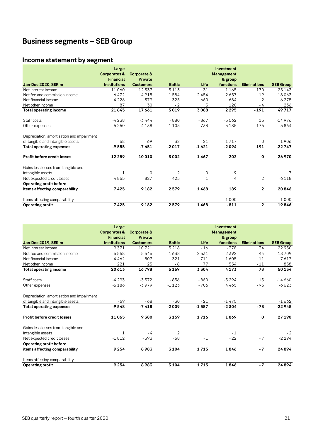# <span id="page-20-0"></span>**Business segments – SEB Group**

# <span id="page-20-1"></span>**Income statement by segment**

| Income statement by segment               |                                                      |                        |               |         |                                                   |                     |                  |
|-------------------------------------------|------------------------------------------------------|------------------------|---------------|---------|---------------------------------------------------|---------------------|------------------|
|                                           | Large<br><b>Corporates &amp;</b><br><b>Financial</b> | Corporate &<br>Private |               |         | <b>Investment</b><br><b>Management</b><br>& group |                     |                  |
| <b>Jan-Dec 2020, SEK m</b>                | <b>Institutions</b>                                  | <b>Customers</b>       | <b>Baltic</b> | Life    | functions                                         | <b>Eliminations</b> | <b>SEB Group</b> |
| Net interest income                       | 11060                                                | 12 3 3 7               | 3 1 1 3       | $-31$   | $-1165$                                           | $-170$              | 25 1 4 3         |
| Net fee and commission income             | 6472                                                 | 4915                   | 1584          | 2454    | 2657                                              | $-19$               | 18063            |
| Net financial income                      | 4226                                                 | 379                    | 325           | 660     | 684                                               | 2                   | 6275             |
| Net other income                          | 87                                                   | 30                     | $-2$          | 5       | 120                                               | - 4                 | 236              |
| <b>Total operating income</b>             | 21845                                                | 17661                  | 5019          | 3088    | 2295                                              | $-191$              | 49717            |
| Staff costs                               | -4 238                                               | $-3444$                | $-880$        | - 867   | $-5562$                                           | 15                  | $-14976$         |
| Other expenses                            | $-5250$                                              | $-4138$                | $-1105$       | $-733$  | 5185                                              | 176                 | $-5864$          |
| Depreciation, amortisation and impairment |                                                      |                        |               |         |                                                   |                     |                  |
| of tangible and intangible assets         | $-68$                                                | $-69$                  | $-32$         | $-21$   | $-1717$                                           | $\mathbf 0$         | $-1906$          |
| <b>Total operating expenses</b>           | $-9555$                                              | $-7651$                | $-2017$       | $-1621$ | $-2094$                                           | 191                 | $-22747$         |
| <b>Profit before credit losses</b>        | 12 2 8 9                                             | 10010                  | 3002          | 1467    | 202                                               | $\bf{0}$            | 26970            |
| Gains less losses from tangible and       |                                                      |                        |               |         |                                                   |                     |                  |
| intangible assets                         | 1                                                    | $\Omega$               | 2             | 0       | $-9$                                              |                     | $-7$             |
| Net expected credit losses                | $-4865$                                              | $-827$                 | -425          |         | - 4                                               | 2                   | $-6118$          |
| <b>Operating profit before</b>            |                                                      |                        |               |         |                                                   |                     |                  |
| items affecting comparability             | 7425                                                 | 9 1 8 2                | 2579          | 1468    | 189                                               | $\mathbf{2}$        | 20846            |
| Items affecting comparability             |                                                      |                        |               |         | $-1000$                                           |                     | $-1000$          |
| <b>Operating profit</b>                   | 7425                                                 | 9 1 8 2                | 2579          | 1468    | $-811$                                            | $\mathbf{2}$        | 19846            |

|                                           | Large                   |                        |                |         | Investment        |                     |                  |
|-------------------------------------------|-------------------------|------------------------|----------------|---------|-------------------|---------------------|------------------|
|                                           | <b>Corporates &amp;</b> | <b>Corporate &amp;</b> |                |         | <b>Management</b> |                     |                  |
|                                           | <b>Financial</b>        | <b>Private</b>         |                |         | & group           |                     |                  |
| Jan-Dec 2019, SEK m                       | <b>Institutions</b>     | <b>Customers</b>       | <b>Baltic</b>  | Life    | functions         | <b>Eliminations</b> | <b>SEB Group</b> |
| Net interest income                       | 9371                    | 10721                  | 3218           | $-16$   | $-378$            | 34                  | 22 950           |
| Net fee and commission income             | 6558                    | 5546                   | 1638           | 2531    | 2392              | 44                  | 18709            |
| Net financial income                      | 4462                    | 507                    | 321            | 711     | 1605              | 11                  | 7617             |
| Net other income                          | 221                     | 25                     | $-8$           | 77      | 554               | $-11$               | 858              |
| <b>Total operating income</b>             | 20 613                  | 16798                  | 5169           | 3304    | 4173              | 78                  | 50134            |
| Staff costs                               | $-4293$                 | $-3.372$               | $-856$         | $-860$  | $-5294$           | 15                  | $-14660$         |
| Other expenses                            | $-5186$                 | $-3979$                | $-1123$        | $-706$  | 4465              | $-93$               | $-6623$          |
| Depreciation, amortisation and impairment |                         |                        |                |         |                   |                     |                  |
| of tangible and intangible assets         | $-69$                   | $-68$                  | - 30           | $-21$   | $-1475$           |                     | $-1662$          |
| <b>Total operating expenses</b>           | $-9548$                 | $-7418$                | $-2009$        | $-1587$ | $-2304$           | $-78$               | $-22945$         |
| <b>Profit before credit losses</b>        | 11065                   | 9380                   | 3159           | 1716    | 1869              | $\mathbf 0$         | 27 190           |
| Gains less losses from tangible and       |                         |                        |                |         |                   |                     |                  |
| intangible assets                         | $\mathbf{1}$            | - 4                    | $\overline{2}$ |         | $-1$              |                     | $-2$             |
| Net expected credit losses                | $-1812$                 | $-393$                 | $-58$          | $-1$    | $-22$             | $-7$                | $-2294$          |
| <b>Operating profit before</b>            |                         |                        |                |         |                   |                     |                  |
| items affecting comparability             | 9 2 5 4                 | 8983                   | 3 1 0 4        | 1715    | 1846              | $-7$                | 24894            |
| Items affecting comparability             |                         |                        |                |         |                   |                     |                  |
| <b>Operating profit</b>                   | 9 2 5 4                 | 8983                   | 3 1 0 4        | 1715    | 1846              | $-7$                | 24894            |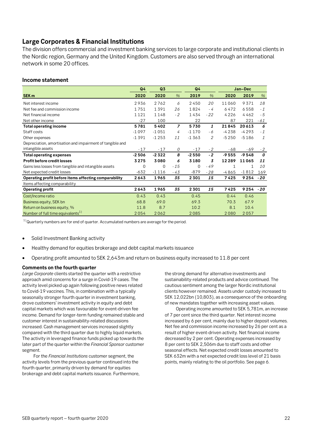# <span id="page-21-0"></span>**Large Corporates & Financial Institutions**

The division offers commercial and investment banking services to large corporate and institutional clients in the Nordic region, Germany and the United Kingdom. Customers are also served through an international network in some 20 offices.

#### **Income statement**

|                                                           | Q <sub>4</sub> | Q <sub>3</sub> |                | Q4      |       | Jan-Dec |             |       |
|-----------------------------------------------------------|----------------|----------------|----------------|---------|-------|---------|-------------|-------|
| <b>SEK m</b>                                              | 2020           | 2020           | $\%$           | 2019    | $\%$  | 2020    | 2019        | %     |
| Net interest income                                       | 2936           | 2762           | 6              | 2450    | 20    | 11060   | 9371        | 18    |
| Net fee and commission income                             | 1751           | 1391           | 26             | 1824    | $-4$  | 6472    | 6558        | $-1$  |
| Net financial income                                      | 1121           | 1148           | $-2$           | 1434    | $-22$ | 4226    | 4462        | - 5   |
| Net other income                                          | $-27$          | 100            |                | 22      |       | 87      | 221         | - 61  |
| <b>Total operating income</b>                             | 5781           | 5402           | $\overline{z}$ | 5730    | 1     | 21845   | 20613       | 6     |
| Staff costs                                               | $-1097$        | $-1051$        | 4              | $-1170$ | - 6   | -4238   | $-4293$     | $-1$  |
| Other expenses                                            | $-1391$        | $-1253$        | 11             | $-1363$ | 2     | $-5250$ | $-5186$     | 1     |
| Depreciation, amortisation and impairment of tangible and |                |                |                |         |       |         |             |       |
| intangible assets                                         | $-17$          | $-17$          | 0              | $-17$   | $-2$  | - 68    | $-69$       | $-2$  |
| <b>Total operating expenses</b>                           | $-2506$        | $-2322$        | 8              | $-2550$ | $-2$  | $-9555$ | $-9548$     | 0     |
| <b>Profit before credit losses</b>                        | 3275           | 3080           | 6              | 3180    | 3     | 12289   | 11065       | 11    |
| Gains less losses from tangible and intangible assets     | 0              | $\mathbf 0$    | $-15$          | 0       | $-49$ | 1       | 1           | 10    |
| Net expected credit losses                                | $-632$         | $-1116$        | - 43           | $-879$  | $-28$ | $-4865$ | $-1812$     | 169   |
| Operating profit before items affecting comparability     | 2643           | 1965           | 35             | 2301    | 15    | 7425    | 9254        | $-20$ |
| Items affecting comparability                             |                |                |                |         |       |         |             |       |
| <b>Operating profit</b>                                   | 2643           | 1965           | 35             | 2301    | 15    | 7425    | $9254 - 20$ |       |
| Cost/Income ratio                                         | 0.43           | 0.43           |                | 0.45    |       | 0.44    | 0.46        |       |
| Business equity, SEK bn                                   | 68.8           | 69.0           |                | 69.3    |       | 70.3    | 67.9        |       |
| Return on business equity, %                              | 11.8           | 8.7            |                | 10.2    |       | 8.1     | 10.4        |       |
| Number of full time equivalents <sup>1)</sup>             | 2054           | 2062           |                | 2085    |       | 2080    | 2057        |       |

 $1)$ Quarterly numbers are for end of quarter. Accumulated numbers are average for the period.

- Solid Investment Banking activity
- Healthy demand for equities brokerage and debt capital markets issuance
- Operating profit amounted to SEK 2,643m and return on business equity increased to 11.8 per cent

#### **Comments on the fourth quarter**

*Large Corporate* clients started the quarter with a restrictive approach amid concerns for a surge in Covid-19 cases. The activity level picked up again following positive news related to Covid-19 vaccines. This, in combination with a typically seasonally stronger fourth quarter in investment banking, drove customers' investment activity in equity and debt capital markets which was favourable for event-driven fee income. Demand for longer-term funding remained stable and customer interest in sustainability-related discussions increased. Cash management services increased slightly compared with the third quarter due to highly liquid markets. The activity in leveraged finance funds picked up towards the later part of the quarter within the *Financial Sponsor* customer segment.

For the *Financial Institutions* customer segment, the activity levels from the previous quarter continued into the fourth quarter, primarily driven by demand for equities brokerage and debt capital markets issuance. Furthermore, the strong demand for alternative investments and sustainability-related products and advice continued. The cautious sentiment among the larger Nordic institutional clients however remained. Assets under custody increased to SEK 12,022bn (10,803), as a consequence of the onboarding of new mandates together with increasing asset values.

Operating income amounted to SEK 5,781m, an increase of 7 per cent since the third quarter. Net interest income increased by 6 per cent, mainly due to higher deposit volumes. Net fee and commission income increased by 26 per cent as a result of higher event-driven activity. Net financial income decreased by 2 per cent. Operating expenses increased by 8 per cent to SEK 2,506m due to staff costs and other seasonal effects. Net expected credit losses amounted to SEK 632m with a net expected credit loss level of 21 basis points, mainly relating to the oil portfolio. See page 6.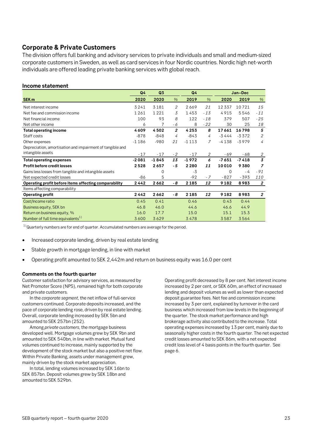# <span id="page-22-0"></span>**Corporate & Private Customers**

The division offers full banking and advisory services to private individuals and small and medium-sized corporate customers in Sweden, as well as card services in four Nordic countries. Nordic high net-worth individuals are offered leading private banking services with global reach.

#### **Income statement**

|                                                           | Q4      | Q <sub>3</sub> |                | Q4      |       |         | Jan-Dec |                  |
|-----------------------------------------------------------|---------|----------------|----------------|---------|-------|---------|---------|------------------|
| SEK <sub>m</sub>                                          | 2020    | 2020           | %              | 2019    | %     | 2020    | 2019    | %                |
| Net interest income                                       | 3241    | 3181           | 2              | 2669    | 21    | 12337   | 10721   | 15               |
| Net fee and commission income                             | 1261    | 1221           | 3              | 1453    | $-13$ | 4915    | 5546    | $-11$            |
| Net financial income                                      | 100     | 93             | 8              | 122     | $-18$ | 379     | 507     | - 25             |
| Net other income                                          | 6       | 7              | - 6            | 8       | $-22$ | 30      | 25      | 18               |
| <b>Total operating income</b>                             | 4609    | 4502           | $\overline{2}$ | 4253    | 8     | 17661   | 16798   | 5                |
| Staff costs                                               | $-878$  | $-848$         | 4              | $-843$  | 4     | $-3444$ | $-3372$ | $\mathfrak{2}$   |
| Other expenses                                            | $-1186$ | $-980$         | 21             | $-1113$ | 7     | $-4138$ | $-3979$ | 4                |
| Depreciation, amortisation and impairment of tangible and |         |                |                |         |       |         |         |                  |
| intangible assets                                         | $-17$   | $-17$          | $-2$           | $-17$   | 2     | - 69    | - 68    | 2                |
| <b>Total operating expenses</b>                           | $-2081$ | $-1845$        | 13             | $-1972$ | 6     | $-7651$ | $-7418$ | 3                |
| <b>Profit before credit losses</b>                        | 2528    | 2657           | - 5            | 2280    | 11    | 10010   | 9380    | 7                |
| Gains less losses from tangible and intangible assets     |         | 0              |                | -3      |       | 0       | - 4     | $-91$            |
| Net expected credit losses                                | -86     | 5              |                | $-92$   | - 7   | $-827$  | $-393$  | 110              |
| Operating profit before items affecting comparability     | 2442    | 2662           | - 8            | 2185    | 12    | 9182    | 8983    | $\boldsymbol{2}$ |
| Items affecting comparability                             |         |                |                |         |       |         |         |                  |
| <b>Operating profit</b>                                   | 2442    | 2662           | - 8            | 2185    | 12    | 9182    | 8983    | $\overline{2}$   |
| Cost/Income ratio                                         | 0.45    | 0.41           |                | 0.46    |       | 0.43    | 0.44    |                  |
| Business equity, SEK bn                                   | 46.8    | 46.0           |                | 44.6    |       | 46.6    | 44.9    |                  |
| Return on business equity, %                              | 16.0    | 17.7           |                | 15.0    |       | 15.1    | 15.3    |                  |
| Number of full time equivalents <sup>1)</sup>             | 3600    | 3629           |                | 3478    |       | 3587    | 3564    |                  |

 $1)$ Quarterly numbers are for end of quarter. Accumulated numbers are average for the period.

- Increased corporate lending, driven by real estate lending
- Stable growth in mortgage lending, in line with market
- Operating profit amounted to SEK 2,442m and return on business equity was 16.0 per cent

#### **Comments on the fourth quarter**

Customer satisfaction for advisory services, as measured by Net Promoter Score (NPS), remained high for both corporate and private customers.

In the *corporate segment*, the net inflow of full-service customers continued. Corporate deposits increased, and the pace of corporate lending rose, driven by real estate lending. Overall, corporate lending increased by SEK 5bn and amounted to SEK 257bn (252).

Among *private customers*, the mortgage business developed well. Mortgage volumes grew by SEK 9bn and amounted to SEK 540bn, in line with market. Mutual fund volumes continued to increase, mainly supported by the development of the stock market but also a positive net flow. Within Private Banking, assets under management grew, mainly driven by the stock market appreciation.

In total, lending volumes increased by SEK 16bn to SEK 857bn. Deposit volumes grew by SEK 18bn and amounted to SEK 529bn.

Operating profit decreased by 8 per cent. Net interest income increased by 2 per cent, or SEK 60m, an effect of increased lending and deposit volumes as well as lower than expected deposit guarantee fees. Net fee and commission income increased by 3 per cent, explained by turnover in the card business which increased from low levels in the beginning of the quarter. The stock market performance and high brokerage activity also contributed to the increase. Total operating expenses increased by 13 per cent, mainly due to seasonally higher costs in the fourth quarter. The net expected credit losses amounted to SEK 86m, with a net expected credit loss level of 4 basis points in the fourth quarter. See page 6.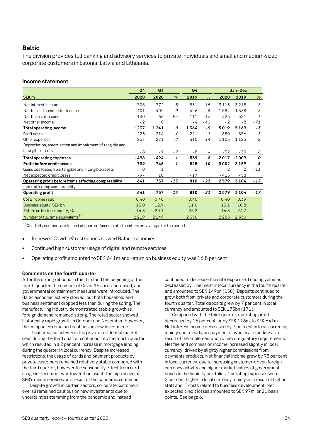#### <span id="page-23-0"></span>**Baltic**

The division provides full banking and advisory services to private individuals and small and medium-sized corporate customers in Estonia, Latvia and Lithuania.

#### **Income statement**

|                                                           | Q <sub>4</sub> | Q3           |       | Q4      |       |                | Jan-Dec  |       |
|-----------------------------------------------------------|----------------|--------------|-------|---------|-------|----------------|----------|-------|
| SEK <sub>m</sub>                                          | 2020           | 2020         | $\%$  | 2019    | $\%$  | 2020           | 2019     | %     |
| Net interest income                                       | 708            | 772          | $-8$  | 831     | $-15$ | 3113           | 3 2 1 8  | $-3$  |
| Net fee and commission income                             | 401            | 402          | 0     | 426     | - 6   | 1584           | 1638     | $-3$  |
| Net financial income                                      | 130            | 66           | 96    | 111     | 17    | 325            | 321      | 1     |
| Net other income                                          | $-2$           | 0            |       | - 4     | - 43  | $-2$           | - 8      | $-71$ |
| <b>Total operating income</b>                             | 1237           | 1241         | 0     | 1364    | - 9   | 5019           | 5169     | $-3$  |
| Staff costs                                               | $-223$         | $-214$       | 4     | $-221$  | 1     | $-880$         | $-856$   | 3     |
| Other expenses                                            | $-267$         | $-271$       | $-2$  | $-310$  | $-14$ | $-1105$        | -1 1 2 3 | $-2$  |
| Depreciation, amortisation and impairment of tangible and |                |              |       |         |       |                |          |       |
| intangible assets                                         | - 8            | $-9$         | $-9$  | - 8     | 4     | $-32$          | - 30     | 8     |
| <b>Total operating expenses</b>                           | - 498          | -494         | 1     | $-539$  | - 8   | $-2017$        | $-2009$  | 0     |
| Profit before credit losses                               | 739            | 746          | $-1$  | 825     | - 10  | 3002           | 3159     | - 5   |
| Gains less losses from tangible and intangible assets     | $\Omega$       | $\mathbf{1}$ |       | 1       |       | $\overline{2}$ | 2        | $-11$ |
| Net expected credit losses                                | $-97$          | 10           |       | $-17$   |       | - 425          | - 58     |       |
| Operating profit before items affecting comparability     | 641            | 757          | - 15  | 810     | $-21$ | 2579           | 3104     | $-17$ |
| Items affecting comparability                             |                |              |       |         |       |                |          |       |
| <b>Operating profit</b>                                   | 641            | 757          | $-15$ | 810     | $-21$ | 2579           | 3104     | $-17$ |
| Cost/Income ratio                                         | 0.40           | 0.40         |       | 0.40    |       | 0.40           | 0.39     |       |
| Business equity, SEK bn                                   | 13.0           | 12.9         |       | 11.0    |       | 13.1           | 10.8     |       |
| Return on business equity, %                              | 16.8           | 20.1         |       | 25.2    |       | 16.8           | 24.7     |       |
| Number of full time equivalents <sup>1)</sup>             | 2219           | 2249         |       | 2 3 5 0 |       | 2 2 8 5        | 2 3 5 0  |       |

 $1)$ Quarterly numbers are for end of quarter. Accumulated numbers are average for the period.

- Renewed Covid-19 restrictions slowed Baltic economies
- Continued high customer usage of digital and remote services
- Operating profit amounted to SEK 641m and return on business equity was 16.8 per cent

#### **Comments on the fourth quarter**

After the strong rebound in the third and the beginning of the fourth quarter, the number of Covid-19 cases increased, and governmental containment measures were introduced. The Baltic economic activity slowed, but both household and business sentiment dropped less than during the spring. The manufacturing industry demonstrated stable growth as foreign demand remained strong. The retail sector showed historically rapid growth in October and November. However, the companies remained cautious on new investments.

The increased activity in the private residential market seen during the third quarter continued into the fourth quarter, which resulted in a 2 per cent increase in mortgage lending during the quarter in local currency. Despite increased restrictions, the usage of cards and payment products by private customers remained relatively stable compared with the third quarter, however the seasonality effect from card usage in December was lower than usual. The high usage of SEB's digital services as a result of the pandemic continued.

Despite growth in certain sectors, corporate customers overall remained cautious on new investments due to uncertainties stemming from the pandemic and instead

continued to decrease the debt exposure. Lending volumes decreased by 1 per cent in local currency in the fourth quarter and amounted to SEK 149bn (158). Deposits continued to grow both from private and corporate customers during the fourth quarter. Total deposits grew by 7 per cent in local currency and amounted to SEK 175bn (171).

Compared with the third quarter, operating profit decreased by 15 per cent, or by SEK 116m, to SEK 641m. Net interest income decreased by 7 per cent in local currency, mainly due to early prepayment of wholesale funding as a result of the implementation of new regulatory requirements. Net fee and commission income increased slightly in local currency, driven by slightly higher commissions from payments products. Net financial income grew by 95 per cent in local currency, due to increasing customer-driven foreign currency activity and higher market values of government bonds in the liquidity portfolios. Operating expenses were 2 per cent higher in local currency mainly as a result of higher staff and IT costs related to business development. Net expected credit losses amounted to SEK 97m, or 21 basis points. See page 6.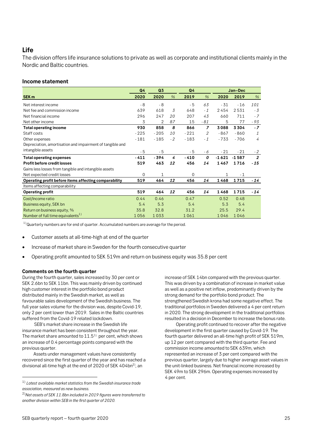# <span id="page-24-0"></span>**Life**

The division offers life insurance solutions to private as well as corporate and institutional clients mainly in the Nordic and Baltic countries.

#### **Income statement**

|                                                           | Q4          | Q <sub>3</sub> |           | Q4     |                |         | Jan-Dec |                |
|-----------------------------------------------------------|-------------|----------------|-----------|--------|----------------|---------|---------|----------------|
| SEK <sub>m</sub>                                          | 2020        | 2020           | $\%$      | 2019   | $\frac{9}{6}$  | 2020    | 2019    | $\%$           |
| Net interest income                                       | $-8$        | $-8$           |           | $-5$   | 63             | - 31    | $-16$   | 101            |
| Net fee and commission income                             | 639         | 618            | 3         | 648    | $-1$           | 2454    | 2531    | - 3            |
| Net financial income                                      | 296         | 247            | 20        | 207    | 43             | 660     | 711     | $-7$           |
| Net other income                                          | 3           | 2              | 87        | 15     | - 81           | 5       | 77      | - 93           |
| <b>Total operating income</b>                             | 930         | 858            | 8         | 866    | $\overline{z}$ | 3088    | 3304    | $-7$           |
| Staff costs                                               | $-225$      | $-205$         | <i>10</i> | $-221$ | 2              | $-867$  | $-860$  | 1              |
| Other expenses                                            | $-181$      | $-185$         | $-2$      | $-183$ | $-1$           | $-733$  | $-706$  | 4              |
| Depreciation, amortisation and impairment of tangible and |             |                |           |        |                |         |         |                |
| intangible assets                                         | - 5         | $-5$           |           | - 5    | - 6            | $-21$   | $-21$   | $-2$           |
| <b>Total operating expenses</b>                           | $-411$      | - 394          | 4         | $-410$ | 0              | $-1621$ | $-1587$ | $\overline{2}$ |
| <b>Profit before credit losses</b>                        | 519         | 463            | 12        | 456    | 14             | 1467    | 1716    | - 15           |
| Gains less losses from tangible and intangible assets     |             |                |           |        |                |         |         |                |
| Net expected credit losses                                | $\mathbf 0$ | 1              |           | 0      |                | 1       | $-1$    |                |
| Operating profit before items affecting comparability     | 519         | 464            | 12        | 456    | 14             | 1468    | 1715    | $-14$          |
| Items affecting comparability                             |             |                |           |        |                |         |         |                |
| <b>Operating profit</b>                                   | 519         | 464            | 12        | 456    | 14             | 1468    | 1715    | $-14$          |
| Cost/Income ratio                                         | 0.44        | 0.46           |           | 0.47   |                | 0.52    | 0.48    |                |
| Business equity, SEK bn                                   | 5.4         | 5.3            |           | 5.4    |                | 5.3     | 5.4     |                |
| Return on business equity, %                              | 35.8        | 32.8           |           | 31.2   |                | 25.5    | 29.4    |                |
| Number of full time equivalents <sup>1)</sup>             | 1056        | 1033           |           | 1061   |                | 1046    | 1046    |                |

 $1)$  Quarterly numbers are for end of quarter. Accumulated numbers are average for the period.

- Customer assets at all-time-high at end of the quarter
- Increase of market share in Sweden for the fourth consecutive quarter
- Operating profit amounted to SEK 519m and return on business equity was 35.8 per cent

#### **Comments on the fourth quarter**

During the fourth quarter, sales increased by 30 per cent or SEK 2.6bn to SEK 11bn. This was mainly driven by continued high customer interest in the portfolio bond product distributed mainly in the Swedish market, as well as favourable sales development of the Swedish business. The full year sales volume for the division was, despite Covid-19, only 2 per cent lower than 2019. Sales in the Baltic countries suffered from the Covid-19 related lockdown.

SEB's market share increase in the Swedish life insurance market has been consistent throughout the year. The market share amounted to  $11.5<sup>1</sup>$  per cent, which shows an increase of 0.4 percentage points compared with the previous quarter.

Assets under management values have consistently recovered since the first quarter of the year and has reached a divisional all-time high at the end of 2020 of SEK 404bn<sup>2</sup>, an

increase of SEK 14bn compared with the previous quarter. This was driven by a combination of increase in market value as well as a positive net inflow, predominantly driven by the strong demand for the portfolio bond product. The strengthened Swedish krona had some negative effect. The traditional portfolios in Sweden delivered a 4 per cent return in 2020. The strong development in the traditional portfolios resulted in a decision in December to increase the bonus rate.

Operating profit continued to recover after the negative development in the first quarter caused by Covid-19. The fourth quarter delivered an all-time high profit of SEK 519m, up 12 per cent compared with the third quarter. Fee and commission income amounted to SEK 639m, which represented an increase of 3 per cent compared with the previous quarter, largely due to higher average asset values in the unit-linked business. Net financial income increased by SEK 49m to SEK 296m. Operating expenses increased by 4 per cent.

<span id="page-24-1"></span><sup>1)</sup> *Latest available market statistics from the Swedish insurance trade association, measured as new business.*

<sup>2)</sup>*Net assets of SEK 11.8bn included in 2019 figures were transferred to another division within SEB in the first quarter of 2020.*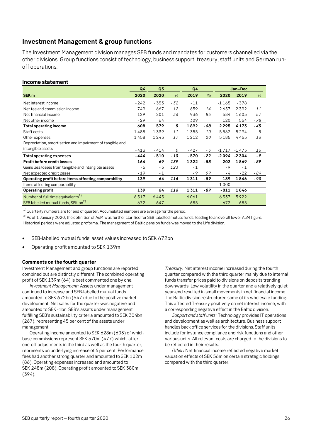# <span id="page-25-0"></span>**Investment Management & group functions**

The Investment Management division manages SEB funds and mandates for customers channelled via the other divisions. Group functions consist of technology, business support, treasury, staff units and German runoff operations.

#### **Income statement**

|                                                           | Q <sub>4</sub> | Q3      |       | Q4      |           |         | Jan-Dec |       |
|-----------------------------------------------------------|----------------|---------|-------|---------|-----------|---------|---------|-------|
| SEK <sub>m</sub>                                          | 2020           | 2020    | %     | 2019    | $\%$      | 2020    | 2019    | $\%$  |
| Net interest income                                       | $-242$         | $-353$  | - 32  | $-11$   |           | $-1165$ | $-378$  |       |
| Net fee and commission income                             | 749            | 667     | 12    | 659     | 14        | 2657    | 2392    | 11    |
| Net financial income                                      | 129            | 201     | - 36  | 936     | - 86      | 684     | 1605    | $-57$ |
| Net other income                                          | $-29$          | 64      |       | 309     |           | 120     | 554     | - 78  |
| <b>Total operating income</b>                             | 608            | 579     | 5     | 1892    | - 68      | 2295    | 4173    | - 45  |
| Staff costs                                               | $-1488$        | $-1339$ | 11    | $-1355$ | <i>10</i> | $-5562$ | $-5294$ | 5     |
| Other expenses                                            | 1458           | 1243    | 17    | 1212    | 20        | 5185    | 4465    | 16    |
| Depreciation, amortisation and impairment of tangible and |                |         |       |         |           |         |         |       |
| intangible assets                                         | $-413$         | $-414$  | 0     | $-427$  | - 3       | $-1717$ | $-1475$ | 16    |
| <b>Total operating expenses</b>                           | - 444          | $-510$  | $-13$ | $-570$  | $-22$     | $-2094$ | $-2304$ | - 9   |
| <b>Profit before credit losses</b>                        | 164            | 69      | 139   | 1322    | - 88      | 202     | 1869    | - 89  |
| Gains less losses from tangible and intangible assets     | - 6            | - 3     | 123   | $-1$    |           | $-9$    | $-1$    |       |
| Net expected credit losses                                | $-19$          | $-1$    |       | $-9$    | 99        | - 4     | $-22$   | - 84  |
| Operating profit before items affecting comparability     | 139            | 64      | 116   | 1311    | - 89      | 189     | 1846    | - 90  |
| Items affecting comparability                             |                |         |       |         |           | $-1000$ |         |       |
| <b>Operating profit</b>                                   | 139            | 64      | 116   | 1311    | - 89      | $-811$  | 1846    |       |
| Number of full time equivalents <sup>1)</sup>             | 6517           | 6445    |       | 6061    |           | 6337    | 5922    |       |
| SEB labelled mutual funds, SEK bn <sup>2)</sup>           | 672            | 647     |       | 685     |           | 672     | 685     |       |

 $1)$ Quarterly numbers are for end of quarter. Accumulated numbers are average for the period.

 $^{2)}$  As of 1 January 2020, the definition of AuM was further clarified for SEB-labelled mutual funds, leading to an overall lower AuM figure. Historical periods were adjusted proforma. The management of Baltic pension funds was moved to the Life division.

• SEB-labelled mutual funds' asset values increased to SEK 672bn

• Operating profit amounted to SEK 139m

#### **Comments on the fourth quarter**

Investment Management and group functions are reported combined but are distinctly different. The combined operating profit of SEK 139m (64) is best commented one by one.

*Investment Management*: Assets under management continued to increase and SEB-labelled mutual funds amounted to SEK 672bn (647) due to the positive market development. Net sales for the quarter was negative and amounted to SEK -1bn. SEB's assets under management fulfilling SEB's sustainability criteria amounted to SEK 304bn (267), representing 45 per cent of the assets under management.

Operating income amounted to SEK 628m (603) of which base commissions represent SEK 570m (477) which, after one-off adjustments in the third as well as the fourth quarter, represents an underlying increase of 6 per cent. Performance fees had another strong quarter and amounted to SEK 102m (86). Operating expenses increased and amounted to SEK 248m (208). Operating profit amounted to SEK 380m (394).

*Treasury*: Net interest income increased during the fourth quarter compared with the third quarter mainly due to internal funds transfer prices paid to divisions on deposits trending downwards. Low volatility in the quarter and a relatively quiet year-end resulted in small movements in net financial income. The Baltic division restructured some of its wholesale funding. This affected Treasury positively on net interest income, with a corresponding negative effect in the Baltic division.

*Support and staff units:* Technology provides IT operations and development as well as architecture. Business support handles back office services for the divisions. Staff units include for instance compliance and risk functions and other various units. All relevant costs are charged to the divisions to be reflected in their results.

*Other*: Net financial income reflected negative market valuation effects of SEK 56m on certain strategic holdings compared with the third quarter.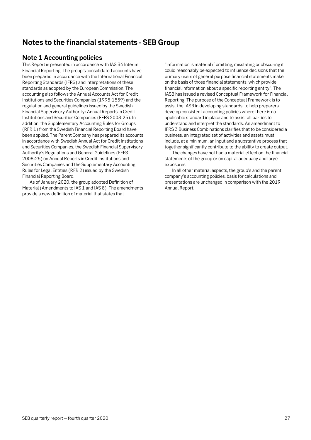# <span id="page-26-0"></span>**Notes to the financial statements - SEB Group**

# <span id="page-26-1"></span>**Note 1 Accounting policies**

This Report is presented in accordance with IAS 34 Interim Financial Reporting. The group's consolidated accounts have been prepared in accordance with the International Financial Reporting Standards (IFRS) and interpretations of these standards as adopted by the European Commission. The accounting also follows the Annual Accounts Act for Credit Institutions and Securities Companies (1995:1559) and the regulation and general guidelines issued by the Swedish Financial Supervisory Authority: Annual Reports in Credit Institutions and Securities Companies (FFFS 2008:25). In addition, the Supplementary Accounting Rules for Groups (RFR 1) from the Swedish Financial Reporting Board have been applied. The Parent Company has prepared its accounts in accordance with Swedish Annual Act for Credit Institutions and Securities Companies, the Swedish Financial Supervisory Authority's Regulations and General Guidelines (FFFS 2008:25) on Annual Reports in Credit Institutions and Securities Companies and the Supplementary Accounting Rules for Legal Entities (RFR 2) issued by the Swedish Financial Reporting Board.

As of January 2020, the group adopted Definition of Material (Amendments to IAS 1 and IAS 8). The amendments provide a new definition of material that states that

"information is material if omitting, misstating or obscuring it could reasonably be expected to influence decisions that the primary users of general purpose financial statements make on the basis of those financial statements, which provide financial information about a specific reporting entity". The IASB has issued a revised Conceptual Framework for Financial Reporting. The purpose of the Conceptual Framework is to assist the IASB in developing standards, to help preparers develop consistent accounting policies where there is no applicable standard in place and to assist all parties to understand and interpret the standards. An amendment to IFRS 3 Business Combinations clarifies that to be considered a business, an integrated set of activities and assets must include, at a minimum, an input and a substantive process that together significantly contribute to the ability to create output.

The changes have not had a material effect on the financial statements of the group or on capital adequacy and large exposures.

In all other material aspects, the group's and the parent company's accounting policies, basis for calculations and presentations are unchanged in comparison with the 2019 Annual Report.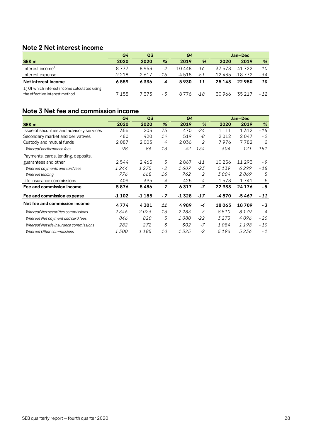# <span id="page-27-0"></span>**Note 2 Net interest income**

|                                                                               | Q4      | Q <sub>3</sub> |       | Q4     |       | Jan-Dec  |          |       |
|-------------------------------------------------------------------------------|---------|----------------|-------|--------|-------|----------|----------|-------|
| <b>SEK m</b>                                                                  | 2020    | 2020           | %     | 2019   | %     | 2020     | 2019     | %     |
| Interest income <sup>1)</sup>                                                 | 8 7 7 7 | 8953           | - 2   | 10 448 | $-16$ | 37 578   | 41 722   | $-10$ |
| Interest expense                                                              | $-2218$ | $-2617$        | $-15$ | -4 518 | -51   | -12 435  | $-18772$ | - 34  |
| Net interest income                                                           | 6559    | 6336           | 4     | 5930   | 11    | 25 1 4 3 | 22950    | 10    |
| 1) Of which interest income calculated using<br>the effective interest method | 7 155   | 7373           | - 3   | 8.776  | $-18$ | 30 966   | 35 21 7  | $-12$ |

# <span id="page-27-1"></span>**Note 3 Net fee and commission income**

|                                           | Q4      | Q <sub>3</sub><br>Q <sub>4</sub> |                |             | Jan-Dec        |         |          |       |
|-------------------------------------------|---------|----------------------------------|----------------|-------------|----------------|---------|----------|-------|
| <b>SEK m</b>                              | 2020    | 2020                             | $\frac{9}{6}$  | 2019        | $\frac{9}{6}$  | 2020    | 2019     | %     |
| Issue of securities and advisory services | 356     | 203                              | 75             | 470         | $-24$          | 1 1 1 1 | 1312     | $-15$ |
| Secondary market and derivatives          | 480     | 420                              | 14             | 519         | -8             | 2012    | 2047     | $-2$  |
| Custody and mutual funds                  | 2087    | 2003                             | 4              | 2036        | $\overline{2}$ | 7976    | 7782     | 2     |
| Whereof performance fees                  | 98      | 86                               | 13             | 42          | 134            | 304     | 121      | 151   |
| Payments, cards, lending, deposits,       |         |                                  |                |             |                |         |          |       |
| guarantees and other                      | 2544    | 2465                             | 3              | 2867        | $-11$          | 10 256  | 11 293   | - 9   |
| Whereof payments and card fees            | 1244    | 1275                             | $-2$           | 1607        | $-23$          | 5139    | 6299     | $-18$ |
| Whereof lending                           | 776     | 668                              | 16             | 762         | 2              | 3 004   | 2869     | 5     |
| Life insurance commissions                | 409     | 395                              | 4              | 425         | -4             | 1578    | 1741     | - 9   |
| Fee and commission income                 | 5876    | 5486                             | $\overline{z}$ | 6317        | $-7$           | 22933   | 24 1 7 6 | - 5   |
| Fee and commission expense                | $-1102$ | $-1185$                          | $-7$           | $-1328$     | $-17$          | -4870   | -5 467   | - 11  |
| Net fee and commission income             | 4774    | 4301                             | 11             | 4989        | -4             | 18063   | 18709    | - 3   |
| Whereof Net securities commissions        | 2346    | 2023                             | 16             | 2283        | 3              | 8510    | 8179     | 4     |
| Whereof Net payment and card fees         | 846     | 820                              | 3              | <i>1080</i> | $-22$          | 3 2 7 3 | 4096     | - 20  |
| Whereof Net life insurance commissions    | 282     | 272                              | 3              | 302         | $-7$           | 1084    | 1198     | $-10$ |
| Whereof Other commissions                 | 1300    | 1185                             | <i>10</i>      | 1325        | $-2$           | 5196    | 5236     | $-1$  |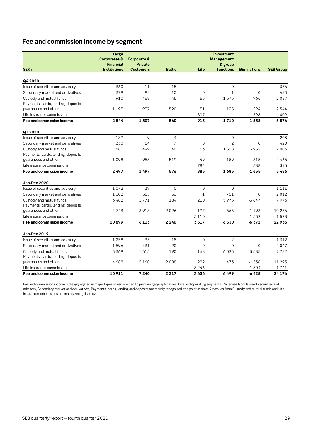# **Fee and commission income by segment**

|                                     | Large                   |                        |                |              | <b>Investment</b> |                     |                  |
|-------------------------------------|-------------------------|------------------------|----------------|--------------|-------------------|---------------------|------------------|
|                                     | <b>Corporates &amp;</b> | <b>Corporate &amp;</b> |                |              | <b>Management</b> |                     |                  |
|                                     | <b>Financial</b>        | <b>Private</b>         |                |              | & group           |                     |                  |
| SEK <sub>m</sub>                    | <b>Institutions</b>     | <b>Customers</b>       | <b>Baltic</b>  | Life         | functions         | <b>Eliminations</b> | <b>SEB Group</b> |
|                                     |                         |                        |                |              |                   |                     |                  |
| Q4 2020                             |                         |                        |                |              |                   |                     |                  |
| Issue of securities and advisory    | 360                     | 11                     | $-15$          |              | $\mathbf 0$       |                     | 356              |
| Secondary market and derivatives    | 379                     | 92                     | 10             | $\mathbf 0$  | $-1$              | $\mathbf 0$         | 480              |
| Custody and mutual funds            | 910                     | 468                    | 45             | 55           | 1575              | $-966$              | 2087             |
| Payments, cards, lending, deposits, |                         |                        |                |              |                   |                     |                  |
| guarantees and other                | 1195                    | 937                    | 520            | 51           | 135               | $-294$              | 2544             |
| Life insurance commissions          |                         |                        |                | 807          |                   | $-398$              | 409              |
| Fee and commission income           | 2844                    | 1507                   | 560            | 913          | 1710              | $-1658$             | 5876             |
| Q3 2020                             |                         |                        |                |              |                   |                     |                  |
| Issue of securities and advisory    | 189                     | 9                      | $\overline{4}$ |              | $\Omega$          |                     | 203              |
| Secondary market and derivatives    | 330                     | 84                     | $\overline{7}$ | $\mathbf{0}$ | $-2$              | $\overline{0}$      | 420              |
| Custody and mutual funds            | 880                     | 449                    | 46             | 53           | 1528              | $-952$              | 2003             |
| Payments, cards, lending, deposits, |                         |                        |                |              |                   |                     |                  |
| guarantees and other                | 1098                    | 955                    | 519            | 49           | 159               | $-315$              | 2465             |
| Life insurance commissions          |                         |                        |                | 784          |                   | $-388$              | 395              |
| Fee and commission income           | 2497                    | 1497                   | 576            | 885          | 1685              | $-1655$             | 5486             |
| Jan-Dec 2020                        |                         |                        |                |              |                   |                     |                  |
| Issue of securities and advisory    | 1072                    | 39                     | $\mathbf{0}$   | $\mathbf 0$  | $\mathbf{O}$      |                     | 1 1 1 1          |
| Secondary market and derivatives    | 1602                    | 385                    | 36             | $\mathbf{1}$ | $-11$             | $\mathbf 0$         | 2012             |
| Custody and mutual funds            | 3482                    | 1771                   | 184            | 210          | 5975              | $-3647$             | 7976             |
| Payments, cards, lending, deposits, |                         |                        |                |              |                   |                     |                  |
| guarantees and other                | 4743                    | 3918                   | 2026           | 197          | 565               | $-1193$             | 10256            |
| Life insurance commissions          |                         |                        |                | 3 1 1 0      |                   | $-1532$             | 1578             |
| Fee and commission income           | 10899                   | 6 1 1 3                | 2 2 4 6        | 3517         | 6530              | $-6372$             | 22933            |
| Jan-Dec 2019                        |                         |                        |                |              |                   |                     |                  |
| Issue of securities and advisory    | 1 2 5 8                 | 35                     | 18             | $\mathbf 0$  | $\overline{2}$    |                     | 1312             |
| Secondary market and derivatives    | 1596                    | 431                    | 20             | $\Omega$     | $\overline{0}$    | $\Omega$            | 2047             |
| Custody and mutual funds            | 3369                    | 1615                   | 190            | 168          | 6025              | $-3585$             | 7782             |
| Payments, cards, lending, deposits, |                         |                        |                |              |                   |                     |                  |
| guarantees and other                | 4688                    | 5160                   | 2088           | 222          | 473               | $-1338$             | 11 293           |
| Life insurance commissions          |                         |                        |                | 3246         |                   | $-1504$             | 1741             |
| Fee and commission income           | 10 911                  | 7240                   | 2 3 1 7        | 3636         | 6499              | $-6428$             | 24 1 7 6         |

Fee and commission income is disaggregated in major types of service tied to primary geographical markets and operating segments. Revenues from Issue of securities and advisory, Secondary market and derivatives, Payments, cards, lending and deposits are mainly recognised at a point in time. Revenues from Custody and mutual funds and Life insurance commissions are mainly recognised over time.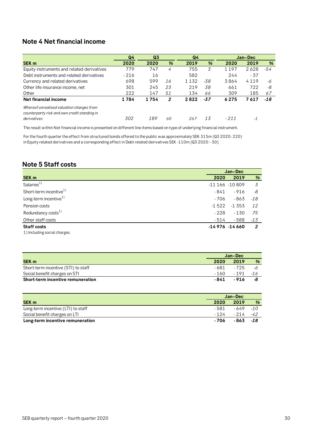# <span id="page-29-0"></span>**Note 4 Net financial income**

|                                                                                                          | Q <sub>4</sub><br>Q <sub>3</sub> |      |    | Q4      |     | Jan-Dec |       |       |
|----------------------------------------------------------------------------------------------------------|----------------------------------|------|----|---------|-----|---------|-------|-------|
| SEK <sub>m</sub>                                                                                         | 2020                             | 2020 | %  | 2019    | %   | 2020    | 2019  | %     |
| Equity instruments and related derivatives                                                               | 779                              | 747  | 4  | 755     | 3   | 1197    | 2628  | -54   |
| Debt instruments and related derivatives                                                                 | $-216$                           | 16   |    | 582     |     | 244     | $-37$ |       |
| Currency and related derivatives                                                                         | 698                              | 599  | 16 | 1 1 3 2 | -38 | 3864    | 4119  | -6    |
| Other life insurance income, net                                                                         | 301                              | 245  | 23 | 219     | 38  | 661     | 722   | -8    |
| Other                                                                                                    | 222                              | 147  | 51 | 134     | 66  | 309     | 185   | 67    |
| <b>Net financial income</b>                                                                              | 1784                             | 1754 | 2  | 2822    | -37 | 6275    | 7617  | $-18$ |
| Whereof unrealised valuation changes from<br>counterparty risk and own credit standing in<br>derivatives | 302                              | 189  | 60 | 267     | 13  | $-211$  | - 1   |       |

The result within Net financial income is presented on different line items based on type of underlying financial instrument.

For the fourth quarter the effect from structured bonds offered to the public was approximately SEK 315m (Q3 2020: 220) in Equity related derivatives and a corresponding effect in Debt related derivatives SEK -110m (Q3 2020: -30).

# <span id="page-29-1"></span>**Note 5 Staff costs**

|                                    |         | Jan-Dec          |       |  |
|------------------------------------|---------|------------------|-------|--|
| SEK <sub>m</sub>                   | 2020    | 2019             | %     |  |
| Salaries <sup>1)</sup>             |         | $-11166 - 10809$ | 3     |  |
| Short-term incentive <sup>1)</sup> | - 841   | - 916            | -8    |  |
| Long-term incentive <sup>1)</sup>  | - 706   | - 863            | $-18$ |  |
| Pension costs                      | $-1522$ | $-1.353$         | 12    |  |
| Redundancy costs <sup>1)</sup>     | $-228$  | $-130$           | 75    |  |
| Other staff costs                  | - 514   | - 588            | $-13$ |  |
| <b>Staff costs</b>                 |         | $-14976 - 14660$ | 2     |  |
| 1) Including social charges.       |         |                  |       |  |

|                                     | Jan-Dec |                   |               |
|-------------------------------------|---------|-------------------|---------------|
| <b>SEK m</b>                        | 2020    | 2019              | $\frac{9}{6}$ |
| Short-term incentive (STI) to staff | - 681   | - 725             | -6            |
| Social benefit charges on STI       |         | $-160 - 191 - 16$ |               |
| Short-term incentive remuneration   | - 841   | -916              |               |

|                                    | Jan-Dec |             |   |
|------------------------------------|---------|-------------|---|
| <b>SEK m</b>                       | 2020    | 2019        | % |
| Long-term incentive (LTI) to staff | - 581   | $-649 - 10$ |   |
| Social benefit charges on LTI      | - 1 2 4 | $-214 - 42$ |   |
| Long-term incentive remuneration   | - 706   | $-863 - 18$ |   |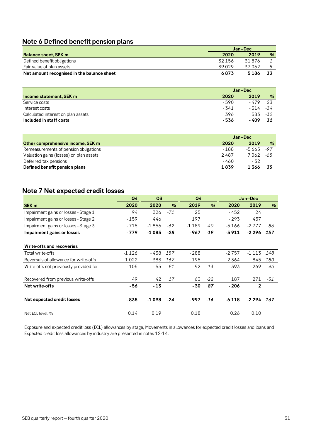# <span id="page-30-0"></span>**Note 6 Defined benefit pension plans**

|                                            | Jan-Dec |        |      |  |
|--------------------------------------------|---------|--------|------|--|
| <b>Balance sheet, SEK m</b>                | 2020    | 2019   | %    |  |
| Defined benefit obligations                | 32 156  | 31 876 |      |  |
| Fair value of plan assets                  | 39029   | 37062  |      |  |
| Net amount recognised in the balance sheet | 6873    | 5186   | - 33 |  |

|                                    | Jan-Dec |            |      |
|------------------------------------|---------|------------|------|
| Income statement, SEK m            | 2020    | 2019       | %    |
| Service costs                      | - 590   | - 479      | - 23 |
| Interest costs                     | - 341   | - 514 - 34 |      |
| Calculated interest on plan assets | 396     | 583        | -32  |
| Included in staff costs            | - 536   | - 409      | - 31 |

|                                         | Jan-Dec |             |      |  |
|-----------------------------------------|---------|-------------|------|--|
| Other comprehensive income, SEK m       | 2020    | 2019        | %    |  |
| Remeasurements of pension obligations   | - 188   | $-5665 -97$ |      |  |
| Valuation gains (losses) on plan assets | 2487    | 7 062       | -65  |  |
| Deferred tax pensions                   | - 460   | - 32        |      |  |
| Defined benefit pension plans           | 1839    | 1366        | - 35 |  |

# <span id="page-30-1"></span>**Note 7 Net expected credit losses**

|                                        | Q <sub>4</sub> | Q <sub>3</sub> |               | Q <sub>4</sub> |               |         | Jan-Dec        |     |
|----------------------------------------|----------------|----------------|---------------|----------------|---------------|---------|----------------|-----|
| SEK <sub>m</sub>                       | 2020           | 2020           | $\frac{9}{6}$ | 2019           | $\frac{9}{6}$ | 2020    | 2019           | %   |
| Impairment gains or losses - Stage 1   | 94             | 326            | $-71$         | 25             |               | $-452$  | 24             |     |
| Impairment gains or losses - Stage 2   | $-159$         | 446            |               | 197            |               | $-293$  | 457            |     |
| Impairment gains or losses - Stage 3   | - 715          | $-1856$        | -62           | $-1189$        | -40           | -5 166  | $-2777$        | 86  |
| Impairment gains or losses             | $-779$         | $-1085$        | $-28$         | - 967          | $-19$         | $-5911$ | $-2296$        | 157 |
| Write-offs and recoveries              |                |                |               |                |               |         |                |     |
| Total write-offs                       | $-1126$        | - 438          | 157           | $-288$         |               | $-2757$ | $-1113$        | 148 |
| Reversals of allowance for write-offs  | 1022           | 383            | 167           | 195            |               | 2 364   | 845            | 180 |
| Write-offs not previously provided for | $-105$         | - 55           | 91            | - 92           | 13            | - 393   | $-269$         | 46  |
| Recovered from previous write-offs     | 49             | 42             | 17            | 63             | $-22$         | 187     | 271            | -31 |
| Net write-offs                         | - 56           | $-13$          |               | - 30           | 87            | $-206$  | $\overline{2}$ |     |
| Net expected credit losses             | $-835$         | $-1098$        | $-24$         | - 997          | $-16$         | $-6118$ | -2 294         | 167 |
| Net ECL level, %                       | 0.14           | 0.19           |               | 0.18           |               | 0.26    | 0.10           |     |

Exposure and expected credit loss (ECL) allowances by stage, Movements in allowances for expected credit losses and loans and Expected credit loss allowances by industry are presented in notes 12-14.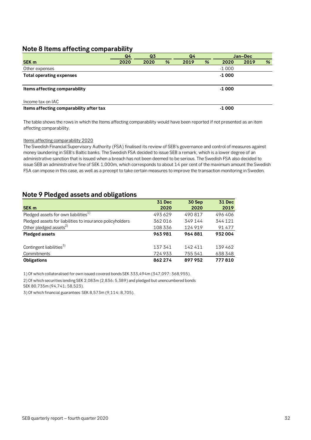### <span id="page-31-0"></span>**Note 8 Items affecting comparability**

|                                         | Q <sub>4</sub> | Q <sub>3</sub> |   | Q <sub>4</sub> |   |         | Jan-Dec |   |
|-----------------------------------------|----------------|----------------|---|----------------|---|---------|---------|---|
| <b>SEK m</b>                            | 2020           | 2020           | % | 2019           | % | 2020    | 2019    | % |
| Other expenses                          |                |                |   |                |   | $-1000$ |         |   |
| <b>Total operating expenses</b>         |                |                |   |                |   | $-1000$ |         |   |
|                                         |                |                |   |                |   |         |         |   |
| Items affecting comparability           |                |                |   |                |   | $-1000$ |         |   |
| Income tax on IAC                       |                |                |   |                |   |         |         |   |
| Items affecting comparability after tax |                |                |   |                |   | $-1000$ |         |   |

The table shows the rows in which the Items affecting comparability would have been reported if not presented as an item affecting comparability.

#### Items affecting comparability 2020

The Swedish Financial Supervisory Authority (FSA) finalised its review of SEB's governance and control of measures against money laundering in SEB's Baltic banks. The Swedish FSA decided to issue SEB a remark, which is a lower degree of an administrative sanction that is issued when a breach has not been deemed to be serious. The Swedish FSA also decided to issue SEB an administrative fine of SEK 1,000m, which corresponds to about 14 per cent of the maximum amount the Swedish FSA can impose in this case, as well as a precept to take certain measures to improve the transaction monitoring in Sweden.

### <span id="page-31-1"></span>**Note 9 Pledged assets and obligations**

|                                                           | <b>31 Dec</b> | 30 Sep  | <b>31 Dec</b> |
|-----------------------------------------------------------|---------------|---------|---------------|
| SEK <sub>m</sub>                                          | 2020          | 2020    | 2019          |
| Pledged assets for own liabilities <sup>1)</sup>          | 493629        | 490817  | 496406        |
| Pledged assets for liabilities to insurance policyholders | 362016        | 349144  | 344 121       |
| Other pledged assets <sup>2)</sup>                        | 108 336       | 124919  | 91477         |
| <b>Pledged assets</b>                                     | 963981        | 964881  | 932004        |
|                                                           |               |         |               |
| Contingent liabilities <sup>3)</sup>                      | 137341        | 142411  | 139462        |
| Commitments                                               | 724933        | 755 541 | 638 348       |
| <b>Obligations</b>                                        | 862 274       | 897952  | 777810        |

1) Of which collateralised for own issued covered bonds SEK 333,494m (347,097; 368,955).

2) Of which securities lending SEK 2,083m (2,836; 5,389) and pledged but unencumbered bonds

SEK 80,735m (94,741; 58,523).

3) Of which financial guarantees SEK 8,573m (9,114; 8,705).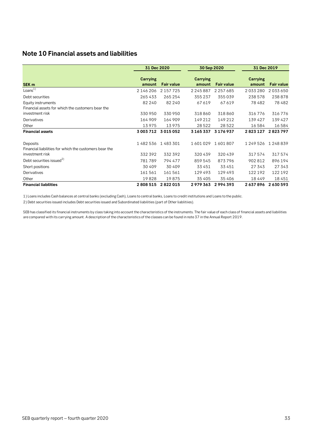# <span id="page-32-0"></span>**Note 10 Financial assets and liabilities**

|                                                        | 31 Dec 2020<br>30 Sep 2020 |                   |                           | 31 Dec 2019       |                    |                   |
|--------------------------------------------------------|----------------------------|-------------------|---------------------------|-------------------|--------------------|-------------------|
| SEK <sub>m</sub>                                       | Carrying<br>amount         | <b>Fair value</b> | <b>Carrying</b><br>amount | <b>Fair value</b> | Carrying<br>amount | <b>Fair value</b> |
| Loans $1)$                                             | 2 146 206                  | 2 157 7 25        | 2245887                   | 2 2 5 7 6 8 5     | 2033280            | 2033650           |
| Debt securities                                        | 265433                     | 265 254           | 355 237                   | 355039            | 238578             | 238878            |
| Equity instruments                                     | 82 240                     | 82 240            | 67619                     | 67619             | 78482              | 78 482            |
| Financial assets for which the customers bear the      |                            |                   |                           |                   |                    |                   |
| investment risk                                        | 330 950                    | 330 950           | 318860                    | 318860            | 316776             | 316776            |
| Derivatives                                            | 164 909                    | 164 909           | 149 212                   | 149 212           | 139427             | 139427            |
| Other                                                  | 13975                      | 13975             | 28 5 22                   | 28 5 22           | 16584              | 16 584            |
| <b>Financial assets</b>                                | 3 003 712                  | 3015052           | 3 165 337                 | 3 176 937         | 2823127            | 2823797           |
| Deposits                                               | 1482536                    | 1483301           | 1601029                   | 1601807           | 1249526            | 1248839           |
| Financial liabilities for which the customers bear the |                            |                   |                           |                   |                    |                   |
| investment risk                                        | 332 392                    | 332 392           | 320439                    | 320439            | 317574             | 317574            |
| Debt securities issued <sup>2)</sup>                   | 781789                     | 794 477           | 859 545                   | 873796            | 902812             | 896194            |
| Short positions                                        | 30 40 9                    | 30 40 9           | 33 451                    | 33 451            | 27 343             | 27 343            |
| Derivatives                                            | 161 561                    | 161561            | 129493                    | 129493            | 122 192            | 122192            |
| Other                                                  | 19828                      | 19875             | 35 405                    | 35 406            | 18449              | 18 451            |
| <b>Financial liabilities</b>                           | 2808515                    | 2822015           | 2979363                   | 2994393           | 2637896            | 2630593           |

1) Loans includes Cash balances at central banks (excluding Cash), Loans to central banks, Loans to credit institutions and Loans to the public.

2) Debt securities issued includes Debt securities issued and Subordinated liabilities (part of Other liablitiies).

SEB has classified its financial instruments by class taking into account the characteristics of the instruments. The fair value of each class of financial assets and liabilities are compared with its carrying amount. A description of the characteristics of the classes can be found in note 37 in the Annual Report 2019.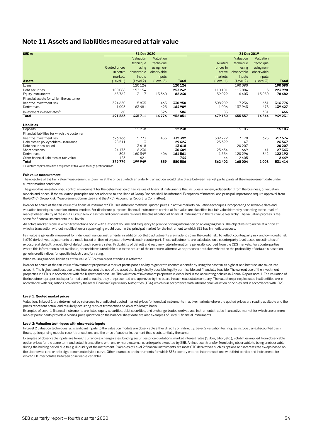## <span id="page-33-0"></span>**Note 11 Assets and liabilities measured at fair value**

| SEK <sub>m</sub>                             |                      | 31 Dec 2020 |            |              |           | 31 Dec 2019 |            |              |
|----------------------------------------------|----------------------|-------------|------------|--------------|-----------|-------------|------------|--------------|
|                                              |                      | Valuation   | Valuation  |              |           | Valuation   | Valuation  |              |
|                                              |                      | technique   | technique  |              | Quoted    | technique   | technique  |              |
|                                              | <b>Quoted prices</b> | using       | using non- |              | prices in | using       | using non- |              |
|                                              | in active            | observable  | observable |              | active    | observable  | observable |              |
|                                              | markets              | inputs      | inputs     |              | markets   | inputs      | inputs     |              |
| <b>Assets</b>                                | (Level 1)            | (Level 2)   | (Level 3)  | <b>Total</b> | (Level 1) | (Level 2)   | (Level 3)  | <b>Total</b> |
| Loans                                        |                      | 120 124     |            | 120 124      |           | 190090      |            | 190090       |
| Debt securities                              | 100088               | 153 154     |            | 253 242      | 110 101   | 113884      | 5          | 223990       |
| Equity instruments                           | 65762                | 3117        | 13360      | 82 240       | 59029     | 6403        | 13050      | 78482        |
| Financial assets for which the customer      |                      |             |            |              |           |             |            |              |
| bear the investment risk                     | 324 650              | 5835        | 465        | 330950       | 308909    | 7236        | 631        | 316776       |
| Derivatives                                  | 1003                 | 163481      | 425        | 164 909      | 1006      | 137943      | 478        | 139 427      |
| Investment in associates <sup>1)</sup>       | 60                   |             | 526        | 586          | 85        |             | 381        | 466          |
| Total                                        | 491563               | 445711      | 14776      | 952051       | 479 130   | 455 557     | 14544      | 949 231      |
| Liabilities                                  |                      |             |            |              |           |             |            |              |
| Deposits                                     |                      | 12 2 38     |            | 12 2 38      |           | 15103       |            | 15103        |
| Financial liabilities for which the customer |                      |             |            |              |           |             |            |              |
| bear the investment risk                     | 326 166              | 5773        | 453        | 332 392      | 309772    | 7178        | 625        | 317574       |
| Liabilities to policyholders - insurance     | 28511                | 1 1 1 3     |            | 29624        | 25399     | 1147        |            | 26547        |
| Debt securities issued                       |                      | 13618       |            | 13618        |           | 20 20 7     |            | 20 20 7      |
| Short positions                              | 24173                | 6236        |            | 30 409       | 25634     | 1669        | 41         | 27343        |
| Derivatives                                  | 806                  | 160 349     | 406        | 161 561      | 1554      | 120 296     | 342        | 122192       |
| Other financial liabilities at fair value    | 123                  | 621         |            | 744          | 44        | 2405        |            | 2449         |
| Total                                        | 379779               | 199949      | 859        | 580 586      | 362 402   | 168004      | 1008       | 531 414      |

1) Venture capital activities designated at fair value through profit and loss.

#### **Fair value measurement**

The objective of the fair value measurement is to arrive at the price at which an orderly transaction would take place between market participants at the measurement date under current market conditions.

The group has an established control environment for the determination of fair values of financial instruments that includes a review, independent from the business, of valuation models and prices. If the validation principles are not adhered to, the Head of Group Finance shall be informed. Exceptions of material and principal importance require approval from the GRMC (Group Risk Measurement Committee) and the ARC (Accounting Reporting Committee).

In order to arrive at the fair value of a financial instrument SEB uses different methods; quoted prices in active markets, valuation techniques incorporating observable data and valuation techniques based on internal models. For disclosure purposes, financial instruments carried at fair value are classified in a fair value hierarchy according to the level of market observability of the inputs. Group Risk classifies and continuously reviews the classification of financial instruments in the fair value hierarchy. The valuation process is the same for financial instruments in all levels.

An active market is one in which transactions occur with sufficient volume and frequency to provide pricing information on an ongoing basis. The objective is to arrive at a price at which a transaction without modification or repackaging would occur in the principal market for the instrument to which SEB has immediate access.

Fair value is generally measured for individual financial instruments, in addition portfolio adjustments are made to cover the credit risk. To reflect counterparty risk and own credit risk. in OTC derivatives, adjustments are made based on the net exposure towards each counterpart. These adjustments are calculated on a counterparty level based on estimates of exposure at default, probability of default and recovery rates. Probability of default and recovery rate information is generally sourced from the CDS markets. For counterparties where this information is not available, or considered unreliable due to the nature of the exposure, alternative approaches are taken where the the probability of default is based on generic credit indices for specific industry and/or rating.

When valuing financial liabilities at fair value SEB's own credit standing is reflected.

In order to arrive at the fair value of investment properties a market participant's ability to generate economic benefit by using the asset in its highest and best use are taken into account. The highest and best use takes into account the use of the asset that is physically possible, legally permissible and financially feasible. The current use of the investment properties in SEB is in accordance with the highest and best use. The valuation of investment properties is described in the accounting policies in Annual Report note 1. The valuation of the investment properties is performed semi-annually, they are presented and approved by the board in each real estate company. The valuation principles used in all entities are in accordance with regulations provided by the local Financial Supervisory Authorities (FSA) which is in accordance with international valuation principles and in accordance with IFRS.

#### **Level 1: Quoted market prices**

Valuations in Level 1 are determined by reference to unadjusted quoted market prices for identical instruments in active markets where the quoted prices are readily available and the prices represent actual and regularly occurring market transactions on an arm's length basis.

Examples of Level 1 financial instruments are listed equity securities, debt securities, and exchange-traded derivatives. Instruments traded in an active market for which one or more market participants provide a binding price quotation on the balance sheet date are also examples of Level 1 financial instruments.

#### **Level 2: Valuation techniques with observable inputs**

In Level 2 valuation techniques, all significant inputs to the valuation models are observable either directly or indirectly. Level 2 valuation techniques include using discounted cash flows, option pricing models, recent transactions and the price of another instrument that is substantially the same.

Examples of observable inputs are foreign currency exchange rates, binding securities price quotations, market interest rates (Stibor, Libor, etc.), volatilities implied from observable option prices for the same term and actual transactions with one or more external counterparts executed by SEB. An input can transfer from being observable to being unobservable during the holding period due to e.g. illiquidity of the instrument. Examples of Level 2 financial instruments are most OTC derivatives such as options and interest rate swaps based on the Libor swap rate or a foreign-denominated yield curve. Other examples are instruments for which SEB recently entered into transactions with third parties and instruments for which SEB interpolates between observable variables.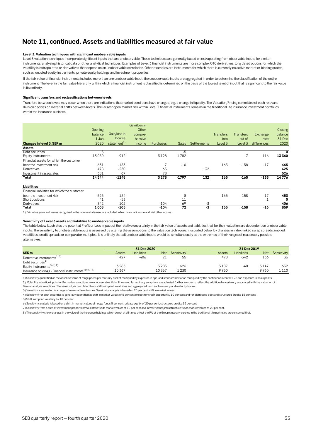# **Note 11, continued. Assets and liabilities measured at fair value**

#### **Level 3: Valuation techniques with significant unobservable inputs**

Level 3 valuation techniques incorporate significant inputs that are unobservable. These techniques are generally based on extrapolating from observable inputs for similar instruments, analysing historical data or other analytical techniques. Examples of Level 3 financial instruments are more complex OTC derivatives, long dated options for which the volatility is extrapolated or derivatives that depend on an unobservable correlation. Other examples are instruments for which there is currently no active market or binding quotes, such as unlisted equity instruments, private equity holdings and investment properties.

If the fair value of financial instruments includes more than one unobservable input, the unobservable inputs are aggregated in order to determine the classification of the entire instrument. The level in the fair value hierarchy within which a financial instrument is classified is determined on the basis of the lowest level of input that is significant to the fair value in its entirety.

#### **Significant transfers and reclassifications between levels**

Transfers between levels may occur when there are indications that market conditions have changed, e.g. a change in liquidity. The Valuation/Pricing committee of each relevant division decides on material shifts between levels. The largest open market risk within Level 3 financial instruments remains in the traditional life insurance investment portfolios within the insurance business.

|                                              |         |                         | Gain/loss in |           |                 |              |                  |                  |             |         |
|----------------------------------------------|---------|-------------------------|--------------|-----------|-----------------|--------------|------------------|------------------|-------------|---------|
|                                              | Opening |                         | Other        |           |                 |              |                  |                  |             | Closing |
|                                              | balance | Gain/loss in            | compre-      |           |                 |              | <b>Transfers</b> | <b>Transfers</b> | Exchange    | balance |
|                                              | 1 Jan   | <b>Income</b>           | hensive      |           |                 |              | into             | out of           | rate        | 31 Dec  |
| Changes in level 3, SEK m                    | 2020    | statement <sup>1)</sup> | income       | Purchases | <b>Sales</b>    | Settle-ments | Level 3          | Level 3          | differences | 2020    |
| Assets                                       |         |                         |              |           |                 |              |                  |                  |             |         |
| Debt securities                              | 5       |                         |              |           | $-5$            |              |                  |                  |             | 0       |
| Equity instruments                           | 13050   | $-912$                  |              | 3128      | $-1782$         |              |                  | $-7$             | $-116$      | 13360   |
| Financial assets for which the customer      |         |                         |              |           |                 |              |                  |                  |             |         |
| bear the investment risk                     | 631     | $-153$                  |              |           | $-10$           |              | 165              | $-158$           | $-17$       | 465     |
| Derivatives                                  | 478     | $-250$                  |              | 65        |                 | 132          |                  |                  |             | 425     |
| Investment in associates                     | 381     | 67                      |              | 78        |                 |              |                  |                  |             | 526     |
| Total                                        | 14544   | $-1248$                 |              | 3278      | $-1797$         | 132          | 165              | $-165$           | $-133$      | 14776   |
| Liabilities                                  |         |                         |              |           |                 |              |                  |                  |             |         |
| Financial liabilities for which the customer |         |                         |              |           |                 |              |                  |                  |             |         |
| bear the investment risk                     | 625     | $-154$                  |              |           | -8              |              | 165              | $-158$           | $-17$       | 453     |
| Short positions                              | 41      | $-53$                   |              |           | 11              |              |                  |                  |             | 0       |
| Derivatives                                  | 342     | 102                     |              | $-104$    | 69              | $-3$         |                  |                  |             | 406     |
| Total                                        | 1008    | $-105$                  |              | $-104$    | $\overline{72}$ | -3           | 165              | $-158$           | $-16$       | 859     |

1) Fair value gains and losses recognised in the income statement are included in Net financial income and Net other income.

#### **Sensitivity of Level 3 assets and liabilities to unobservable inputs**

The table below illustrates the potential Profit or Loss impact of the relative uncertainty in the fair value of assets and liabilities that for their valuation are dependent on unobservable inputs. The sensitivity to unobservable inputs is assessed by altering the assumptions to the valuation techniques, illustrated below by changes in index-linked swap spreads, implied volatilities, credit spreads or comparator multiples. It is unlikely that all unobservable inputs would be simultaneously at the extremes of their ranges of reasonably possible alternatives.

|                                                                   |        | 31 Dec 2020        |            |             | 31 Dec 2019 |        |                    |            |             |
|-------------------------------------------------------------------|--------|--------------------|------------|-------------|-------------|--------|--------------------|------------|-------------|
| SEK <sub>m</sub>                                                  | Assets | <b>Liabilities</b> | <b>Net</b> | Sensitivity |             | Assets | <b>Liabilities</b> | <b>Net</b> | Sensitivity |
| Derivative instruments <sup>2) 5)</sup>                           | 427    | -406               |            | 55          |             | 478    | $-342$             | 136        | 36          |
| Debt securities $1$                                               |        |                    |            |             |             |        |                    |            |             |
| Equity instruments <sup>3) 6) 7)</sup>                            | 3285   |                    | 3285       | 626         |             | 3187   | -40                | 3 147      | 632         |
| Insurance holdings - Financial instruments <sup>4) 5) 7) 8)</sup> | 10367  |                    | 10367      | 1230        |             | 9960   |                    | 9960       | 1110        |

1) Sensitivity quantified as the absolute value of range prices per maturity bucket multiplied by exposure in bps, and standard deviation multiplied by the confidence interval 1.28 and exposure in basis points. 2) Volatility valuation inputs for Bermudan swaptions are unobservable. Volatilities used for ordinary swaptions are adjusted further in order to reflect the additional uncertainty associated with the valuation of

Bermudan style swaptions. The sensitivity is calculated from shift in implied volatilities and aggregated from each currency and maturity bucket.

3) Valuation is estimated in a range of reasonable outcomes. Sensitivity analysis is based on 20 per cent shift in market values.

5) Shift in implied volatility by 10 per cent. 4) Sensitivity for debt securities is generally quantified as shift in market values of 5 per cent except for credit opportunity 10 per cent and for distressed debt and structured credits 15 per cent.

6) Sensitivity analysis is based on a shift in market values of hedge funds 5 per cent, private equity of 20 per cent, structured credits 15 per cent.

7) Sensitivity from a shift of investment properties/real estate funds market values of 10 per cent and infrastructure/infrastructure funds market values of 20 per cent.

8) The sensitivity show changes in the value of the insurance holdings which do not at all times affect the P/L of the Group since any surplus in the traditional life portfolios are consumed first.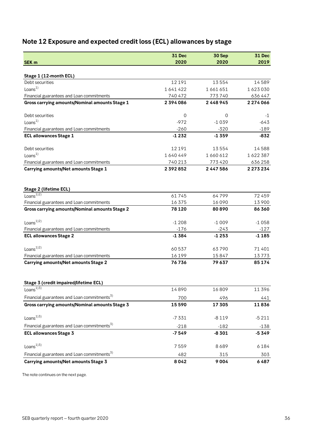# <span id="page-35-0"></span>**Note 12 Exposure and expected credit loss (ECL) allowances by stage**

| <b>SEK m</b>                                                 | <b>31 Dec</b><br>2020 | 30 Sep<br>2020 | <b>31 Dec</b><br>2019 |
|--------------------------------------------------------------|-----------------------|----------------|-----------------------|
|                                                              |                       |                |                       |
| Stage 1 (12-month ECL)                                       |                       |                |                       |
| Debt securities                                              | 12191                 | 13554          | 14589                 |
| Loans <sup>1</sup>                                           | 1641422               | 1661651        | 1623030               |
| Financial guarantees and Loan commitments                    | 740 472               | 773740         | 636 447               |
| Gross carrying amounts/Nominal amounts Stage 1               | 2394086               | 2 4 4 8 9 4 5  | 2 274 066             |
| Debt securities                                              | $\mathbf 0$           | 0              | -1                    |
| Loans <sup>1</sup>                                           | $-972$                | $-1039$        | $-643$                |
| Financial guarantees and Loan commitments                    | $-260$                | $-320$         | $-189$                |
| <b>ECL allowances Stage 1</b>                                | $-1232$               | $-1359$        | $-832$                |
| Debt securities                                              | 12191                 | 13554          | 14588                 |
| Loans <sup>1</sup>                                           | 1640449               | 1660612        | 1622387               |
| Financial guarantees and Loan commitments                    | 740 213               | 773420         | 636 258               |
| Carrying amounts/Net amounts Stage 1                         | 2 392 852             | 2 447 586      | 2 2 7 3 2 3 4         |
|                                                              |                       |                |                       |
| Stage 2 (lifetime ECL)<br>Loans <sup><math>1)2)</math></sup> | 61745                 | 64799          | 72459                 |
| Financial guarantees and Loan commitments                    | 16375                 | 16090          | 13900                 |
| <b>Gross carrying amounts/Nominal amounts Stage 2</b>        | 78 1 20               | 80890          | 86360                 |
| Loans <sup>1)2)</sup>                                        | $-1208$               | $-1009$        | $-1058$               |
| Financial guarantees and Loan commitments                    | $-176$                | $-243$         | $-127$                |
| <b>ECL allowances Stage 2</b>                                | $-1384$               | $-1253$        | $-1185$               |
| Loans $^{1/2)}$                                              | 60537                 | 63790          | 71401                 |
| Financial guarantees and Loan commitments                    | 16199                 | 15847          | 13773                 |
| <b>Carrying amounts/Net amounts Stage 2</b>                  | 76736                 | 79637          | 85174                 |
| Stage 3 (credit impaired/lifetime ECL)                       |                       |                |                       |
| Loans $^{1\overline{)3)}}$                                   | 14890                 | 16809          | 11396                 |
| Financial guarantees and Loan commitments <sup>3)</sup>      | 700                   | 496            | 441                   |
| Gross carrying amounts/Nominal amounts Stage 3               | 15590                 | 17 305         | 11836                 |
| Loans <sup>13</sup>                                          | $-7331$               | $-8119$        | $-5211$               |
| Financial guarantees and Loan commitments <sup>3)</sup>      | $-218$                | $-182$         | $-138$                |
| <b>ECL allowances Stage 3</b>                                | $-7549$               | $-8301$        | $-5349$               |
| Loans <sup>13)</sup>                                         | 7559                  | 8689           | 6184                  |
| Financial guarantees and Loan commitments <sup>3)</sup>      | 482                   | 315            | 303                   |
| Carrying amounts/Net amounts Stage 3                         | 8042                  | 9004           | 6487                  |

The note continues on the next page.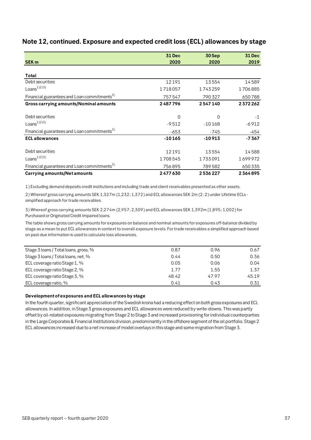|                                                         | <b>31 Dec</b> | 30 Sep   | <b>31 Dec</b> |
|---------------------------------------------------------|---------------|----------|---------------|
| <b>SEK m</b>                                            | 2020          | 2020     | 2019          |
|                                                         |               |          |               |
| Total                                                   |               |          |               |
| Debt securities                                         | 12191         | 13554    | 14589         |
| Loans <sup>1)2)3)</sup>                                 | 1718057       | 1743259  | 1706885       |
| Financial guarantees and Loan commitments <sup>5)</sup> | 757547        | 790327   | 650788        |
| Gross carrying amounts/Nominal amounts                  | 2487796       | 2547140  | 2372262       |
| Debt securities                                         | 0             | 0        | $-1$          |
| Loans <sup>1/2/3</sup>                                  | $-9512$       | $-10168$ | $-6912$       |
| Financial guarantees and Loan commitments <sup>3)</sup> | $-653$        | -745     | -454          |
| <b>ECL allowances</b>                                   | $-10165$      | $-10913$ | $-7367$       |
| Debt securities                                         | 12191         | 13554    | 14588         |
| Loans <sup>1)2)3)</sup>                                 | 1708545       | 1733091  | 1699972       |
| Financial guarantees and Loan commitments <sup>3)</sup> | 756895        | 789582   | 650 335       |
| <b>Carrying amounts/Net amounts</b>                     | 2477630       | 2536227  | 2364895       |

# **Note 12, continued. Exposure and expected credit loss (ECL) allowances by stage**

1) Excluding demand deposits credit institutions and including trade and client receivables presented as other assets.

2) Whereof gross carrying amounts SEK 1,327m (1,232; 1,372) and ECL allowances SEK 2m (2; 2) under Lifetime ECLs simplified approach for trade receivables.

3) Whereof gross carrying amounts SEK 2,274m (2,957; 2,309) and ECL allowances SEK 1,392m (1,895; 1,002) for Purchased or Originated Credit Impaired loans.

The table shows gross carrying amounts for exposures on balance and nominal amounts for exposures off-balance divided by stage as a mean to put ECL allowances in context to overall exposure levels. For trade receivables a simplified approach based on past-due information is used to calculate loss allowances.

| Stage 3 loans / Total loans, gross, % | 0.87  | 0.96  | 0.67  |
|---------------------------------------|-------|-------|-------|
| Stage 3 loans / Total loans, net, %   | 0.44  | 0.50  | 0.36  |
| ECL coverage ratio Stage 1, %         | 0.05  | 0.06  | 0.04  |
| ECL coverage ratio Stage 2, %         | 1.77  | 1.55  | 1.37  |
| ECL coverage ratio Stage 3, %         | 48.42 | 47.97 | 45.19 |
| ECL coverage ratio, %                 | 0.41  | 0.43  | 0.31  |
|                                       |       |       |       |

#### **Development of exposures and ECL allowances by stage**

In the fourth quarter, significant appreciation of the Swedish krona had a reducing effect on both gross exposures and ECL allowances. In addition, in Stage 3 gross exposures and ECL allowances were reduced by write-downs. This was partly offset by oil-related exposures migrating from Stage 2 to Stage 3 and increased provisioning for individual counterparties in the Large Corporates & Financial Institutions division, predominantly in the offshore segment of the oil portfolio. Stage 2 ECL allowances increased due to a net increase of model overlays in this stage and some migration from Stage 3.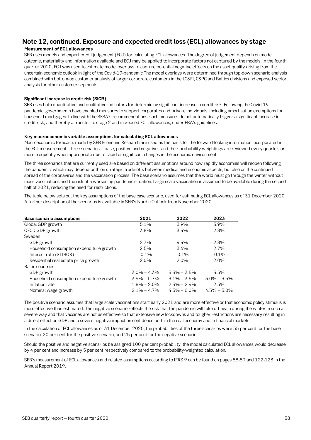# **Note 12, continued. Exposure and expected credit loss (ECL) allowances by stage**

#### **Measurement of ECL allowances**

SEB uses models and expert credit judgement (ECJ) for calculating ECL allowances. The degree of judgement depends on model outcome, materiality and information available and ECJ may be applied to incorporate factors not captured by the models. In the fourth quarter 2020, ECJ was used to estimate model overlays to capture potential negative effects on the asset quality arising from the uncertain economic outlook in light of the Covid-19-pandemic.The model overlays were determined through top-down scenario analysis combined with bottom-up customer analysis of larger corporate customers in the LC&FI, C&PC and Baltics divisions and exposed sector analysis for other customer segments.

#### **Significant increase in credit risk (SICR)**

SEB uses both quantitative and qualitative indicators for determining significant increase in credit risk. Following the Covid-19 pandemic, governments have enabled measures to support corporates and private individuals, including amortisation exemptions for household mortgages. In line with the SFSA's recommendations, such measures do not automatically trigger a significant increase in credit risk, and thereby a transfer to stage 2 and increased ECL allowances, under EBA's guidelines.

#### **Key macroeconomic variable assumptions for calculating ECL allowances**

Macroeconomic forecasts made by SEB Economic Research are used as the basis for the forward-looking information incorporated in the ECL measurement. Three scenarios – base, positive and negative - and their probability weightings are reviewed every quarter, or more frequently when appropriate due to rapid or significant changes in the economic environment.

The three scenarios that are currently used are based on different assumptions around how rapidly economies will reopen following the pandemic, which may depend both on strategic trade-offs between medical and economic aspects, but also on the continued spread of the coronavirus and the vaccination process. The base scenario assumes that the world must go through the winter without mass vaccinations and the risk of a worsening pandemic situation. Large scale vaccination is assumed to be available during the second half of 2021, reducing the need for restrictions.

The table below sets out the key assumptions of the base case scenario, used for estimating ECL allowances as of 31 December 2020. A further description of the scenarios is available in SEB's Nordic Outlook from November 2020.

| <b>Base scenario assumptions</b>         | 2021            | 2022            | 2023            |
|------------------------------------------|-----------------|-----------------|-----------------|
| Global GDP growth                        | 5.1%            | 3.9%            | 3.9%            |
| OECD GDP growth                          | 3.8%            | $3.4\%$         | 2.8%            |
| Sweden                                   |                 |                 |                 |
| GDP growth                               | 2.7%            | $4.4\%$         | 2.8%            |
| Household consumption expenditure growth | 2.5%            | $3.6\%$         | 2.7%            |
| Interest rate (STIBOR)                   | $-0.1%$         | $-0.1\%$        | $-0.1%$         |
| Residential real estate price growth     | 2.0%            | $2.0\%$         | 2.0%            |
| <b>Baltic countries</b>                  |                 |                 |                 |
| GDP growth                               | $3.0\% - 4.3\%$ | $3.3\% - 3.5\%$ | 3.5%            |
| Household consumption expenditure growth | $3.9\% - 5.7\%$ | $3.1\% - 3.5\%$ | $3.0\% - 3.5\%$ |
| Inflation rate                           | $1.8\% - 2.0\%$ | $2.3\% - 2.4\%$ | 2.5%            |
| Nominal wage growth                      | $2.1\% - 4.7\%$ | $4.5\% - 6.0\%$ | $4.5\% - 5.0\%$ |

The positive scenario assumes that large scale vaccinations start early 2021 and are more effective or that economic policy stimulus is more effective than estimated. The negative scenario reflects the risk that the pandemic will take off again during the winter in such a severe way and that vaccines are not as effective so that extensive new lockdowns and tougher restrictions are necessary resulting in a direct effect on GDP and a severe negative impact on confidence both in the real economy and in financial markets.

In the calculation of ECL allowances as of 31 December 2020, the probabilities of the three scenarios were 55 per cent for the base scenario, 20 per cent for the positive scenario, and 25 per cent for the negative scenario.

Should the positive and negative scenarios be assigned 100 per cent probability, the model calculated ECL allowances would decrease by 4 per cent and increase by 5 per cent respectively compared to the probability-weighted calculation.

SEB's measurement of ECL allowances and related assumptions according to IFRS 9 can be found on pages 88-89 and 122-123 in the Annual Report 2019.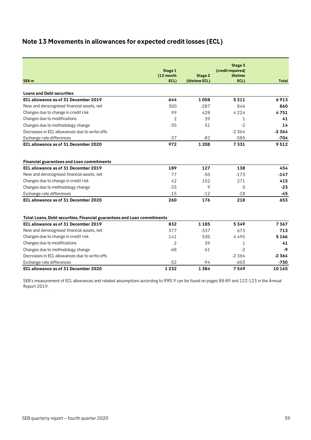# <span id="page-38-0"></span>**Note 13 Movements in allowances for expected credit losses (ECL)**

|                                                                         | Stage 1        |                | Stage 3<br>(credit impaired/ |              |
|-------------------------------------------------------------------------|----------------|----------------|------------------------------|--------------|
|                                                                         | (12-month      | <b>Stage 2</b> | lifetime                     |              |
| SEK <sub>m</sub>                                                        | ECL)           | (lifetime ECL) | ECL)                         | <b>Total</b> |
| <b>Loans and Debt securities</b>                                        |                |                |                              |              |
| ECL allowance as of 31 December 2019                                    | 644            | 1058           | 5 2 1 1                      | 6913         |
| New and derecognised financial assets, net                              | 300            | $-287$         | 846                          | 860          |
| Changes due to change in credit risk                                    | 99             | 428            | 4224                         | 4751         |
| Changes due to modifications                                            | 2              | 39             | $\mathbf{1}$                 | 41           |
| Changes due to methodology change                                       | $-35$          | 51             | $-2$                         | 14           |
| Decreases in ECL allowances due to write-offs                           |                |                | $-2364$                      | $-2364$      |
| Exchange rate differences                                               | $-37$          | $-82$          | $-585$                       | $-704$       |
| ECL allowance as of 31 December 2020                                    | 972            | 1 2 0 8        | 7331                         | 9512         |
|                                                                         |                |                |                              |              |
| <b>Financial guarantees and Loan commitments</b>                        |                |                |                              |              |
| ECL allowance as of 31 December 2019                                    | 189            | 127            | 138                          | 454          |
| New and derecognised financial assets, net                              | 77             | $-50$          | $-173$                       | $-147$       |
| Changes due to change in credit risk                                    | 42             | 102            | 271                          | 415          |
| Changes due to methodology change                                       | $-33$          | 9              | $\Omega$                     | $-23$        |
| Exchange rate differences                                               | $-15$          | $-12$          | $-18$                        | $-45$        |
| ECL allowance as of 31 December 2020                                    | 260            | 176            | 218                          | 653          |
|                                                                         |                |                |                              |              |
| Total Loans, Debt securities, Financial guarantees and Loan commitments |                |                |                              |              |
| ECL allowance as of 31 December 2019                                    | 832            | 1 1 8 5        | 5349                         | 7367         |
| New and derecognised financial assets, net                              | 377            | $-337$         | 673                          | 713          |
| Changes due to change in credit risk                                    | 141            | 530            | 4495                         | 5166         |
| Changes due to modifications                                            | $\overline{2}$ | 39             | $\mathbf{1}$                 | 41           |
| Changes due to methodology change                                       | $-68$          | 61             | $-2$                         | -9           |
| Decreases in ECL allowances due to write-offs                           |                |                | $-2364$                      | $-2364$      |
| Exchange rate differences                                               | $-52$          | $-94$          | $-603$                       | $-750$       |
| ECL allowance as of 31 December 2020                                    | 1232           | 1384           | 7549                         | 10 165       |

SEB's measurement of ECL allowances and related assumptions according to IFRS 9 can be found on pages 88-89 and 122-123 in the Annual Report 2019.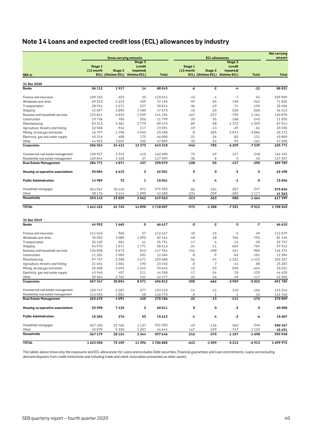# <span id="page-39-0"></span>**Note 14 Loans and expected credit loss (ECL) allowances by industry**

|                                                                         |                    |                               |                                   |                    |                  |                       |                    |                    | <b>Net carrying</b> |
|-------------------------------------------------------------------------|--------------------|-------------------------------|-----------------------------------|--------------------|------------------|-----------------------|--------------------|--------------------|---------------------|
|                                                                         |                    | <b>Gross carrying amounts</b> |                                   |                    |                  | <b>ECL allowances</b> |                    |                    | amount              |
|                                                                         | Stage 1            |                               | Stage 3<br>(credit                |                    | Stage 1          |                       | Stage 3<br>(credit |                    |                     |
|                                                                         | (12-month          | Stage 2                       | impaired/                         |                    | (12-month        | Stage 2               | impaired/          |                    |                     |
| SEK <sub>m</sub>                                                        |                    |                               | ECL) (lifetime ECL) lifetime ECL) | <b>Total</b>       |                  | ECL) (lifetime ECL)   | lifetime ECL)      | <b>Total</b>       | <b>Total</b>        |
|                                                                         |                    |                               |                                   |                    |                  |                       |                    |                    |                     |
| 31 Dec 2020<br><b>Banks</b>                                             | 86 112             | 1917                          | 14                                | 88043              | -6               | $-2$                  | -4                 | $-12$              | 88031               |
|                                                                         |                    |                               |                                   |                    |                  |                       |                    |                    |                     |
| Finance and insurance                                                   | 109 335            | 653                           | 25                                | 110014             | $-43$            | -4                    | $-7$               | $-54$              | 109959              |
| Wholesale and retail                                                    | 69523              | 2 2 1 5                       | 459                               | 72 196             | $-99$            | $-65$                 | $-198$             | $-362$             | 71835               |
| Transportation                                                          | 28 916             | 1671                          | 227                               | 30814              | -36              | $-49$                 | $-74$              | $-159$             | 30 656              |
| Shipping                                                                | 42 697             | 2895                          | 1480                              | 47073              | $-10$            | $-20$                 | $-530$             | $-560$             | 46513               |
| Business and household services                                         | 132841             | 6834                          | 1559                              | 141 234            | $-167$           | $-237$                | $-759$             | $-1164$            | 140070              |
| Construction                                                            | 10736              | 706                           | 356                               | 11799              | $-20$            | -35                   | $-188$             | $-243$             | 11555               |
| Manufacturing                                                           | 83313              | 3381                          | 2779                              | 89473              | $-89$            | $-98$                 | $-1372$            | $-1559$            | 87914               |
| Agriculture, forestry and fishing                                       | 22 5 5 8           | 916                           | 117                               | 23591              | $-19$            | $-13$                 | $-29$              | $-61$              | 23530               |
| Mining, oil and gas extraction                                          | 16797              | 1498                          | 4963                              | 23 258             | -8               | $-205$                | $-2873$            | $-3086$            | 20172               |
| Electricity, gas and water supply                                       | 45 216             | 608                           | 175                               | 46 000             | $-21$            | $-26$                 | $-85$              | $-131$             | 45869               |
| Other                                                                   | 44592              | 3034                          | 232                               | 47859              | $-33$            | $-34$                 | $-93$              | $-161$             | 47 698              |
| Corporates                                                              | 606 524            | 24 412                        | 12373                             | 643 310            | -546             | -785                  | $-6209$            | $-7539$            | 635771              |
|                                                                         |                    |                               |                                   |                    |                  |                       |                    |                    |                     |
| Commercial real estate management<br>Residential real estate management | 158 927<br>125844  | 3343<br>1528                  | 410<br>27                         | 162 680<br>127 399 | $-72$<br>-36     | -49<br>-6             | $-127$<br>0        | $-248$<br>-42      | 162432<br>127 357   |
| <b>Real Estate Management</b>                                           | 284771             | 4871                          | 437                               | 290 079            | $-108$           | $-55$                 | $-127$             | $-290$             | 289789              |
|                                                                         |                    |                               |                                   |                    |                  |                       |                    |                    |                     |
| Housing co-operative associations                                       | 55884              | 6615                          | 3                                 | 62 501             | 0                | 0                     | $-2$               | -2                 | 62498               |
| <b>Public Administration</b>                                            | 14989              | 72                            | 1                                 | 15061              | -1               | -4                    | $-1$               | -5                 | 15056               |
| Household mortgages                                                     | 554 967            | 20445                         | 971                               | 576 383            | $-86$            | $-154$                | $-307$             | $-547$             | 575836              |
| Other                                                                   | 38 1 7 6           | 3414                          | 1090                              | 42 680             | $-226$           | -209                  | $-682$             | $-1117$            | 41563               |
| Households                                                              | 593143             | 23859                         | 2062                              | 619063             | $-313$           | -363                  | -988               | $-1664$            | 617399              |
| <b>TOTAL</b>                                                            | 1641422            | 61745                         | 14890                             | 1718057            | -972             | $-1208$               | $-7331$            | $-9512$            | 1708545             |
|                                                                         |                    |                               |                                   |                    |                  |                       |                    |                    |                     |
| 31 Dec 2019<br><b>Banks</b>                                             | 64952              | 1665                          | 0                                 | 66 617             | -5               | $-2$                  | $\mathbf 0$        | $-7$               | 66 610              |
|                                                                         |                    |                               |                                   |                    |                  |                       |                    |                    |                     |
| Finance and insurance                                                   | 111 610            | 960                           | 57                                | 112627             | $-33$            | $-10$                 | $-5$               | $-49$              | 112579              |
| Wholesale and retail                                                    | 78 052             | 3080                          | 1092                              | 82 2 2 4           | -48              | -38                   | $-706$             | $-792$             | 81 433              |
| Transportation                                                          | 35 169             | 581                           | 41                                | 35791              | $-17$            | $-4$                  | $-14$              | $-35$              | 35757               |
| Shipping                                                                | 54 975             | 1871                          | 1771                              | 58 616             | $-24$            | $-11$                 | $-669$             | $-704$             | 57912               |
| Business and household services                                         | 136838             | 9673                          | 843                               | 147 354            | $-154$           | $-408$                | $-421$             | $-983$             | 146 372             |
| Construction                                                            | 11 201             | 1083                          | 201                               | 12484              | $-8$             | $-9$                  | $-83$              | $-101$             | 12 384              |
| Manufacturing                                                           | 97737              | 3 2 8 0                       | 2671                              | 103 688            | $-56$            | -44                   | $-1331$            | $-1431$            | 102 257             |
| Agriculture, forestry and fishing                                       | 21 654             | 1501                          | 190                               | 23 345             | $-8$             | -7                    | $-44$              | $-58$              | 23 287              |
| Mining, oil and gas extraction                                          | 26 608             | 5695                          | 1343                              | 33 645             | $-12$            | -53                   | $-558$             | $-624$             | 33021               |
| Electricity, gas and water supply                                       | 43 940             | 407                           | 211                               | 44558              | $-17$            | -34                   | $-78$              | $-129$             | 44429               |
| Other                                                                   | 39 564             | 2762                          | 151                               | 42 477             | $-22$            | -46                   | $-49$              | $-117$             | 42 360              |
| Corporates                                                              | 657 347            | 30894                         | 8571                              | 696812             | -398             | -666                  | -3959              | -5022              | 691789              |
| Commercial real estate management                                       | 150747             | 2 2 8 7                       | 377                               | 153 410            | $-14$            | $-12$                 | $-140$             | $-166$             | 153244              |
| Residential real estate management                                      | 114923             | 1804                          | 48                                | 116775             | -8               | $-1$                  | -1                 | $-10$              | 116 765             |
| <b>Real Estate Management</b>                                           | 265 670            | 4091                          | 425                               | 270 186            | $-22$            | $-13$                 | $-141$             | $-176$             | 270009              |
| Housing co-operative associations                                       | 52 598             | 7410                          | 3                                 | 60011              | 0                | 0                     | $\mathbf{-2}$      | -3                 | 60008               |
| <b>Public Administration</b>                                            | 15 2 8 4           | 276                           | 53                                | 15613              | $-1$             | -4                    | $-2$               | -6                 | 15607               |
|                                                                         |                    |                               |                                   |                    |                  |                       |                    |                    |                     |
| Household mortgages                                                     | 527 100            | 22765                         | 1 1 3 7                           | 551 003            | $-49$            | $-136$                | $-360$             | $-546$             | 550 457             |
| Other<br>Households                                                     | 40 0 79<br>567 179 | 5358<br>28 1 24               | 1 2 0 7<br>2344                   | 46 644<br>597 646  | $-167$<br>$-216$ | -239<br>$-375$        | $-747$<br>$-1107$  | $-1153$<br>$-1698$ | 45491<br>595948     |
|                                                                         |                    |                               |                                   |                    |                  |                       |                    |                    |                     |
| <b>TOTAL</b>                                                            | 1623030            | 72459                         | 11396                             | 1706885            | -643             | -1 059                | $-5212$            | -6913              | 1699972             |

The tables above show only the exposures and ECL allowances for Loans and excludes Debt securities, Financial guarantees and Loan commitments. Loans are excluding demand deposits from credit institutions and including trade and client receivables presented as other assets.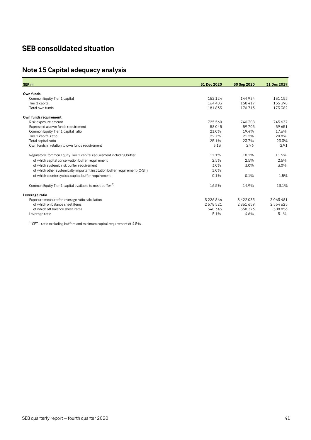# <span id="page-40-0"></span>**SEB consolidated situation**

# <span id="page-40-1"></span>**Note 15 Capital adequacy analysis**

| SEK <sub>m</sub>                                                             | 31 Dec 2020 | 30 Sep 2020   | 31 Dec 2019 |
|------------------------------------------------------------------------------|-------------|---------------|-------------|
|                                                                              |             |               |             |
| Own funds                                                                    |             |               |             |
| Common Equity Tier 1 capital                                                 | 152124      | 144934        | 131 155     |
| Tier 1 capital                                                               | 164 403     | 158 417       | 155 398     |
| Total own funds                                                              | 181835      | 176713        | 173 382     |
| Own funds requirement                                                        |             |               |             |
| Risk exposure amount                                                         | 725 560     | 746 308       | 745 637     |
| Expressed as own funds requirement                                           | 58045       | 59705         | 59 651      |
| Common Equity Tier 1 capital ratio                                           | 21.0%       | 19.4%         | 17.6%       |
| Tier 1 capital ratio                                                         | 22.7%       | 21.2%         | 20.8%       |
| Total capital ratio                                                          | 25.1%       | 23.7%         | 23.3%       |
| Own funds in relation to own funds requirement                               | 3.13        | 2.96          | 2.91        |
| Regulatory Common Equity Tier 1 capital requirement including buffer         | 11.1%       | 10.1%         | 11.5%       |
| of which capital conservation buffer requirement                             | 2.5%        | 2.5%          | 2.5%        |
| of which systemic risk buffer requirement                                    | 3.0%        | 3.0%          | 3.0%        |
| of which other systemically important institution buffer requirement (O-SII) | 1.0%        |               |             |
| of which countercyclical capital buffer requirement                          | 0.1%        | 0.1%          | 1.5%        |
| Common Equity Tier 1 capital available to meet buffer <sup>1)</sup>          | 16.5%       | 14.9%         | 13.1%       |
| Leverage ratio                                                               |             |               |             |
| Exposure measure for leverage ratio calculation                              | 3226866     | 3 4 2 2 0 3 5 | 3063481     |
| of which on balance sheet items                                              | 2678521     | 2861659       | 2554625     |
| of which off balance sheet items                                             | 548 345     | 560 376       | 508 856     |
| Leverage ratio                                                               | 5.1%        | 4.6%          | 5.1%        |
|                                                                              |             |               |             |

 $1)$  CET1 ratio excluding buffers and minimum capital requirement of 4.5%.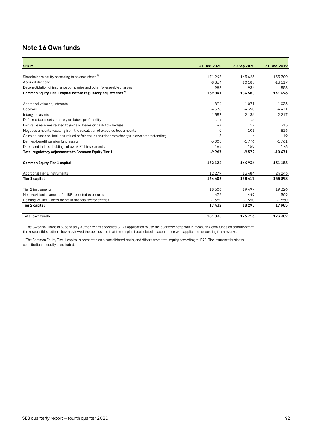# <span id="page-41-0"></span>**Note 16 Own funds**

| SEK <sub>m</sub>                                                                                  | 31 Dec 2020 | 30 Sep 2020 | 31 Dec 2019 |
|---------------------------------------------------------------------------------------------------|-------------|-------------|-------------|
|                                                                                                   |             |             |             |
| Shareholders equity according to balance sheet 1)                                                 | 171943      | 165625      | 155700      |
| Accrued dividend                                                                                  | $-8864$     | $-10183$    | $-13517$    |
| Deconsolidation of insurance companies and other foreseeable charges                              | $-988$      | $-936$      | $-558$      |
| Common Equity Tier 1 capital before regulatory adjustments <sup>2)</sup>                          | 162091      | 154505      | 141626      |
| Additional value adjustments                                                                      | $-894$      | $-1071$     | $-1033$     |
| Goodwill                                                                                          | $-4378$     | $-4390$     | $-4471$     |
| Intangible assets                                                                                 | $-1557$     | $-2136$     | $-2217$     |
| Deferred tax assets that rely on future profitability                                             | $-11$       | -8          |             |
| Fair value reserves related to gains or losses on cash flow hedges                                | 47          | 57          | $-15$       |
| Negative amounts resulting from the calculation of expected loss amounts                          | $\Omega$    | $-101$      | $-816$      |
| Gains or losses on liabilities valued at fair value resulting from changes in own credit standing | 3           | 14          | 19          |
| Defined-benefit pension fund assets                                                               | $-3008$     | $-1776$     | $-1761$     |
| Direct and indirect holdings of own CET1 instruments                                              | $-169$      | $-159$      | $-176$      |
| Total regulatory adjustments to Common Equity Tier 1                                              | $-9967$     | $-9572$     | $-10471$    |
| <b>Common Equity Tier 1 capital</b>                                                               | 152 124     | 144934      | 131 155     |
| Additional Tier 1 instruments                                                                     | 12 2 7 9    | 13484       | 24 2 4 3    |
| <b>Tier 1 capital</b>                                                                             | 164 403     | 158 417     | 155 398     |
| Tier 2 instruments                                                                                | 18606       | 19497       | 19326       |
| Net provisioning amount for IRB-reported exposures                                                | 476         | 449         | 309         |
| Holdings of Tier 2 instruments in financial sector entities                                       | $-1650$     | $-1650$     | $-1650$     |
| Tier 2 capital                                                                                    | 17432       | 18 2 9 5    | 17985       |
| <b>Total own funds</b>                                                                            | 181835      | 176713      | 173382      |

 $^{\rm 1)}$  The Swedish Financial Supervisory Authority has approved SEB's application to use the quarterly net profit in measuring own funds on condition that the responsible auditors have reviewed the surplus and that the surplus is calculated in accordance with applicable accounting frameworks.

 $^{2)}$  The Common Equity Tier 1 capital is presented on a consolidated basis, and differs from total equity according to IFRS. The insurance business contribution to equity is excluded.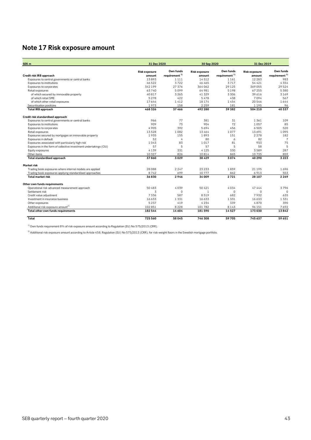# <span id="page-42-0"></span>**Note 17 Risk exposure amount**

| SEK <sub>m</sub>                                                  | 31 Dec 2020          |                           | 30 Sep 2020          |                           | 31 Dec 2019          |                           |  |
|-------------------------------------------------------------------|----------------------|---------------------------|----------------------|---------------------------|----------------------|---------------------------|--|
|                                                                   | <b>Risk exposure</b> | Own funds                 | <b>Risk exposure</b> | Own funds                 | <b>Risk exposure</b> | Own funds                 |  |
| Credit risk IRB approach                                          | amount               | requirement <sup>1)</sup> | amount               | requirement <sup>1)</sup> | amount               | requirement <sup>1)</sup> |  |
| Exposures to central governments or central banks                 | 13893                | 1 1 1 1                   | 14512                | 1 1 6 1                   | 12 2 8 3             | 983                       |  |
| Exposures to institutions                                         | 46522                | 3722                      | 46 465               | 3717                      | 54 4 21              | 4354                      |  |
| Exposures to corporates                                           | 342199               | 27376                     | 364062               | 29125                     | 369 055              | 29524                     |  |
| Retail exposures                                                  | 63740                | 5099                      | 64 981               | 5198                      | 67 255               | 5380                      |  |
| of which secured by immovable property                            | 40817                | 3265                      | 41 3 2 9             | 3306                      | 39 616               | 3169                      |  |
| of which retail SME                                               | 5278                 | 422                       | 5478                 | 438                       | 7094                 | 567                       |  |
| of which other retail exposures                                   | 17644                | 1412                      | 18174                | 1454                      | 20546                | 1644                      |  |
| Securitisation positions                                          | 1973                 | 158                       | 2259                 | 181                       | 1195                 | 96                        |  |
| <b>Total IRB approach</b>                                         | 468326               | 37466                     | 492 280              | 39 382                    | 504 210              | 40337                     |  |
| Credit risk standardised approach                                 |                      |                           |                      |                           |                      |                           |  |
| Exposures to central governments or central banks                 | 966                  | 77                        | 381                  | 31                        | 1361                 | 109                       |  |
| Exposures to institutions                                         | 909                  | 73                        | 904                  | 72                        | 1 0 5 7              | 85                        |  |
| Exposures to corporates                                           | 4905                 | 392                       | 5694                 | 456                       | 6505                 | 520                       |  |
| Retail exposures                                                  | 13528                | 1082                      | 13464                | 1077                      | 13691                | 1095                      |  |
| Exposures secured by mortgages on immovable property              | 1935                 | 155                       | 1893                 | 151                       | 2 2 7 8              | 182                       |  |
| Exposures in default                                              | 52                   | 4                         | 80                   | 6                         | 82                   | $\overline{7}$            |  |
| Exposures associated with particularly high risk                  | 1043                 | 83                        | 1017                 | 81                        | 933                  | 75                        |  |
| Exposures in the form of collective investment undertakings (CIU) | 57                   | 5                         | 57                   | 5                         | 58                   | 5                         |  |
| Equity exposures                                                  | 4139                 | 331                       | 4125                 | 330                       | 3589                 | 287                       |  |
| Other items                                                       | 10327                | 826                       | 10814                | 865                       | 10735                | 859                       |  |
| <b>Total standardised approach</b>                                | 37860                | 3029                      | 38 4 29              | 3074                      | 40 290               | 3223                      |  |
| <b>Market risk</b>                                                |                      |                           |                      |                           |                      |                           |  |
| Trading book exposures where internal models are applied          | 28088                | 2247                      | 23 2 3 3             | 1859                      | 21 195               | 1696                      |  |
| Trading book exposures applying standardised approaches           | 8742                 | 699                       | 10777                | 862                       | 6913                 | 553                       |  |
| <b>Total market risk</b>                                          | 36830                | 2946                      | 34009                | 2721                      | 28 107               | 2249                      |  |
| Other own funds requirements                                      |                      |                           |                      |                           |                      |                           |  |
| Operational risk advanced measurement approach                    | 50 483               | 4039                      | 50421                | 4034                      | 47 444               | 3796                      |  |
| Settlement risk                                                   | 3                    | $\Omega$                  | $\mathbf{1}$         | $\Omega$                  | $\Omega$             | $\Omega$                  |  |
| Credit value adjustment                                           | 7336                 | 587                       | 8519                 | 682                       | 7932                 | 635                       |  |
| Investment in insurance business                                  | 16633                | 1331                      | 16633                | 1331                      | 16 633               | 1331                      |  |
| Other exposures                                                   | 5237                 | 419                       | 4234                 | 339                       | 4870                 | 390                       |  |
| Additional risk exposure amount <sup>2)</sup>                     | 102851               | 8228                      | 101782               | 8143                      | 96 151               | 7692                      |  |
| Total other own funds requirements                                | 182544               | 14 6 0 4                  | 181590               | 14527                     | 173030               | 13842                     |  |
| Total                                                             | 725 560              | 58045                     | 746 308              | 59705                     | 745637               | 59 651                    |  |

 $1)$  Own funds requirement 8% of risk exposure amount according to Regulation (EU) No 575/2013 (CRR).

 $^{2)}$ Additional risk exposure amount according to Article 458, Regulation (EU) No 575/2013 (CRR), for risk-weight floors in the Swedish mortgage portfolio.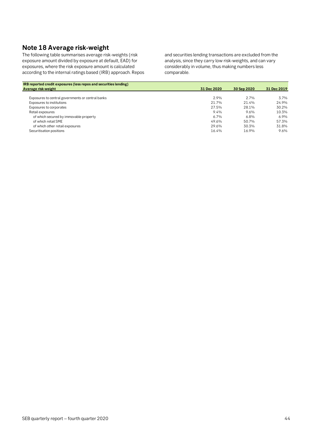# <span id="page-43-0"></span>**Note 18 Average risk-weight**

The following table summarises average risk-weights (risk exposure amount divided by exposure at default, EAD) for exposures, where the risk exposure amount is calculated according to the internal ratings based (IRB) approach. Repos and securities lending transactions are excluded from the analysis, since they carry low risk-weights, and can vary considerably in volume, thus making numbers less comparable.

| IRB reported credit exposures (less repos and securities lending) |             |             |             |
|-------------------------------------------------------------------|-------------|-------------|-------------|
| Average risk-weight                                               | 31 Dec 2020 | 30 Sep 2020 | 31 Dec 2019 |
|                                                                   |             |             |             |
| Exposures to central governments or central banks                 | 2.9%        | 2.7%        | $3.7\%$     |
| Exposures to institutions                                         | 21.7%       | 21.4%       | 24.9%       |
| Exposures to corporates                                           | 27.5%       | 28.1%       | 30.2%       |
| Retail exposures                                                  | 9.4%        | 9.6%        | 10.3%       |
| of which secured by immovable property                            | $6.7\%$     | 6.8%        | 6.9%        |
| of which retail SME                                               | 49.6%       | 50.7%       | 57.3%       |
| of which other retail exposures                                   | 29.6%       | 30.3%       | 31.8%       |
| Securitisation positions                                          | 16.4%       | 16.9%       | 9.6%        |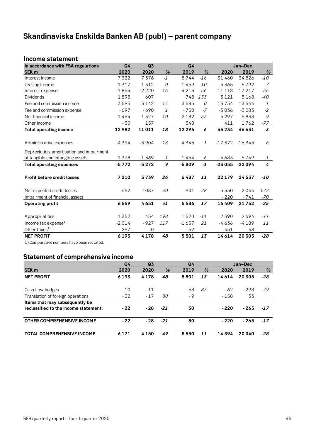# <span id="page-44-0"></span>**Skandinaviska Enskilda Banken AB (publ) – parent company**

#### <span id="page-44-1"></span>**Income statement**

| In accordance with FSA regulations        | Q <sub>4</sub> | Q3      |                | Q4       |               |          | Jan-Dec  |       |
|-------------------------------------------|----------------|---------|----------------|----------|---------------|----------|----------|-------|
| <b>SEK m</b>                              | 2020           | 2020    | %              | 2019     | %             | 2020     | 2019     | $\%$  |
| Interest income                           | 7322           | 7376    | $-1$           | 8744     | $-16$         | 31 460   | 34826    | $-10$ |
| Leasing income                            | 1317           | 1312    | $\overline{O}$ | 1459     | $-10$         | 5365     | 5792     | $-7$  |
| Interest expense                          | $-1864$        | $-2220$ | $-16$          | $-4213$  | $-56$         | $-11118$ | $-17217$ | $-35$ |
| <b>Dividends</b>                          | 1895           | 607     |                | 748      | 153           | 3 1 2 1  | 5168     | -40   |
| Fee and commission income                 | 3595           | 3142    | 14             | 3585     | 0             | 13734    | 13544    | 1     |
| Fee and commission expense                | $-697$         | $-690$  | $\mathcal{I}$  | $-750$   | $-7$          | $-3036$  | $-3083$  | $-2$  |
| Net financial income                      | 1464           | 1327    | 10             | 2 1 8 2  | $-33$         | 5297     | 5838     | $-9$  |
| Other income                              | - 50           | 157     |                | 540      |               | 411      | 1762     | -77   |
| <b>Total operating income</b>             | 12982          | 11011   | 18             | 12 2 9 6 | 6             | 45 234   | 46 631   | $-3$  |
|                                           |                |         |                |          |               |          |          |       |
| Administrative expenses                   | $-4394$        | $-3904$ | 13             | $-4345$  | $\mathcal{I}$ | $-17372$ | $-16345$ | 6     |
| Depreciation, amortisation and impairment |                |         |                |          |               |          |          |       |
| of tangible and intangible assets         | $-1378$        | $-1369$ | 1              | -1 464   | -6            | $-5683$  | $-5749$  | $-1$  |
| <b>Total operating expenses</b>           | $-5772$        | $-5272$ | 9              | $-5809$  | $-1$          | $-23055$ | $-22094$ | 4     |
| <b>Profit before credit losses</b>        | 7210           | 5739    | 26             | 6487     | 11            | 22 179   | 24 537   | -10   |
| Net expected credit losses                | $-652$         | $-1087$ | $-40$          | $-901$   | $-28$         | $-5550$  | $-2044$  | 172   |
| Impairment of financial assets            |                |         |                |          |               | $-220$   | $-741$   | -70   |
| <b>Operating profit</b>                   | 6559           | 4651    | 41             | 5586     | 17            | 16409    | 21752    | $-25$ |
|                                           |                |         |                |          |               |          |          |       |
| Appropriations                            | 1352           | 454     | 198            | 1520     | $-11$         | 2390     | 2694     | $-11$ |
| Income tax expense $^{1)}$                | $-2014$        | $-927$  | 117            | $-1657$  | 21            | $-4636$  | $-4189$  | 11    |
| Other taxes <sup>1)</sup>                 | 297            | 0       |                | 52       |               | 451      | 48       |       |
| <b>NET PROFIT</b>                         | 6193           | 4178    | 48             | 5501     | 13            | 14614    | 20 30 5  | $-28$ |

<span id="page-44-2"></span>1) Comparative numbers have been restated.

### **Statement of comprehensive income**

|                                       | Q4<br>Q <sub>3</sub><br>Q4 |         |       |      |     |        | Jan-Dec |       |
|---------------------------------------|----------------------------|---------|-------|------|-----|--------|---------|-------|
| <b>SEK m</b>                          | 2020                       | 2020    | %     | 2019 | %   | 2020   | 2019    | %     |
| <b>NET PROFIT</b>                     | 6193                       | 4178    | 48    | 5501 | 13  | 14614  | 20 305  | $-28$ |
|                                       |                            |         |       |      |     |        |         |       |
| Cash flow hedges                      | 10                         | $-11$   |       | 58   | -83 | $-62$  | $-298$  | -79   |
| Translation of foreign operations     | $-32$                      | $-17$   | 88    | - 9  |     | $-158$ | 33      |       |
| Items that may subsequently be        |                            |         |       |      |     |        |         |       |
| reclassified to the income statement: | $-22$                      | - 28    | $-21$ | 50   |     | $-220$ | $-265$  | $-17$ |
| <b>OTHER COMPREHENSIVE INCOME</b>     | $-22$                      | $-28$   | $-21$ | 50   |     | $-220$ | $-265$  | $-17$ |
| <b>TOTAL COMPREHENSIVE INCOME</b>     | 6 1 7 1                    | 4 1 5 0 | 49    | 5550 | 11  | 14394  | 20040   | $-28$ |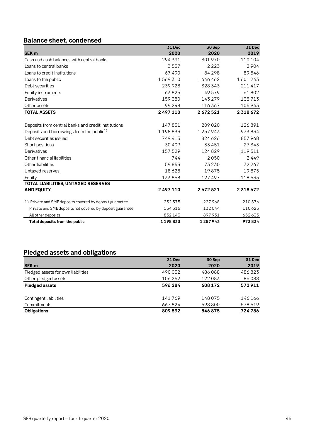# <span id="page-45-0"></span>**Balance sheet, condensed**

|                                                           | 31 Dec  | 30 Sep    | <b>31 Dec</b> |
|-----------------------------------------------------------|---------|-----------|---------------|
| <b>SEK m</b>                                              | 2020    | 2020      | 2019          |
| Cash and cash balances with central banks                 | 294 391 | 301970    | 110 104       |
| Loans to central banks                                    | 3537    | 2223      | 2904          |
| Loans to credit institutions                              | 67490   | 84 2 9 8  | 89546         |
| Loans to the public                                       | 1569310 | 1646462   | 1601243       |
| Debt securities                                           | 239928  | 328 343   | 211417        |
| Equity instruments                                        | 63825   | 49579     | 61802         |
| Derivatives                                               | 159 380 | 143279    | 135713        |
| Other assets                                              | 99 248  | 116 367   | 105 943       |
| <b>TOTAL ASSETS</b>                                       | 2497110 | 2672521   | 2318672       |
|                                                           |         |           |               |
| Deposits from central banks and credit institutions       | 147831  | 209 020   | 126891        |
| Deposits and borrowings from the public <sup>1)</sup>     | 1198833 | 1 257 943 | 973834        |
| Debt securities issued                                    | 749415  | 824 626   | 857968        |
| Short positions                                           | 30 40 9 | 33 451    | 27 343        |
| Derivatives                                               | 157529  | 124829    | 119511        |
| Other financial liabilities                               | 744     | 2050      | 2449          |
| Other liabilities                                         | 59853   | 73230     | 72 267        |
| Untaxed reserves                                          | 18628   | 19875     | 19875         |
| Equity                                                    | 133868  | 127497    | 118 535       |
| TOTAL LIABILITIES, UNTAXED RESERVES                       |         |           |               |
| <b>AND EQUITY</b>                                         | 2497110 | 2672521   | 2318672       |
| 1) Private and SME deposits covered by deposit guarantee  | 232375  | 227968    | 210576        |
| Private and SME deposits not covered by deposit guarantee | 134 315 | 132044    | 110625        |
| All other deposits                                        | 832143  | 897931    | 652633        |
| Total deposits from the public                            | 1198833 | 1257943   | 973834        |

# <span id="page-45-1"></span>**Pledged assets and obligations**

|                                    | <b>31 Dec</b> | 30 Sep  | 31 Dec  |
|------------------------------------|---------------|---------|---------|
| <b>SEK m</b>                       | 2020          | 2020    | 2019    |
| Pledged assets for own liabilities | 490032        | 486088  | 486823  |
| Other pledged assets               | 106 252       | 122083  | 86088   |
| <b>Pledged assets</b>              | 596 284       | 608 172 | 572911  |
| Contingent liabilities             | 141769        | 148075  | 146 166 |
| Commitments                        | 667824        | 698 800 | 578 619 |
| <b>Obligations</b>                 | 809 592       | 846875  | 724786  |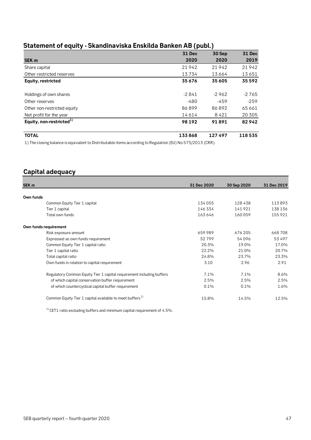<span id="page-46-0"></span>

| Statement of equity - Skandinaviska Enskilda Banken AB (publ.) |  |  |  |
|----------------------------------------------------------------|--|--|--|
|----------------------------------------------------------------|--|--|--|

|                                      | <b>31 Dec</b> | 30 Sep  | <b>31 Dec</b> |
|--------------------------------------|---------------|---------|---------------|
| SEK <sub>m</sub>                     | 2020          | 2020    | 2019          |
| Share capital                        | 21942         | 21942   | 21942         |
| Other restricted reserves            | 13734         | 13664   | 13651         |
| Equity, restricted                   | 35676         | 35 605  | 35 5 9 2      |
| Holdings of own shares               | $-2841$       | $-2962$ | $-2765$       |
| Other reserves                       | $-480$        | $-459$  | $-259$        |
| Other non-restricted equity          | 86899         | 86892   | 65 661        |
| Net profit for the year              | 14614         | 8421    | 20 30 5       |
| Equity, non-restricted <sup>1)</sup> | 98 192        | 91891   | 82942         |
| <b>TOTAL</b>                         | 133868        | 127497  | 118535        |

1) The closing balance is equivalent to Distributable items according to Regulation (EU) No 575/2013 (CRR).

# <span id="page-46-1"></span>**Capital adequacy**

| SEK <sub>m</sub>                                                      | 31 Dec 2020 | 30 Sep 2020 | 31 Dec 2019 |
|-----------------------------------------------------------------------|-------------|-------------|-------------|
|                                                                       |             |             |             |
| Own funds                                                             |             |             |             |
| Common Equity Tier 1 capital                                          | 134 055     | 128438      | 113893      |
| Tier 1 capital                                                        | 146 334     | 141921      | 138 136     |
| Total own funds                                                       | 163 646     | 160059      | 155921      |
| Own funds requirement                                                 |             |             |             |
| Risk exposure amount                                                  | 659 989     | 676 205     | 668708      |
| Expressed as own funds requirement                                    | 52799       | 54096       | 53 497      |
| Common Equity Tier 1 capital ratio                                    | 20.3%       | 19.0%       | 17.0%       |
| Tier 1 capital ratio                                                  | 22.2%       | 21.0%       | 20.7%       |
| Total capital ratio                                                   | 24.8%       | 23.7%       | 23.3%       |
| Own funds in relation to capital requirement                          | 3.10        | 2.96        | 2.91        |
| Regulatory Common Equity Tier 1 capital requirement including buffers | 7.1%        | 7.1%        | 8.6%        |
| of which capital conservation buffer requirement                      | 2.5%        | 2.5%        | 2.5%        |
| of which countercyclical capital buffer requirement                   | 0.1%        | 0.1%        | 1.6%        |
| Common Equity Tier 1 capital available to meet buffers <sup>1)</sup>  | 15.8%       | 14.5%       | 12.5%       |

 $1)$  CET1 ratio excluding buffers and minimum capital requirement of 4.5%.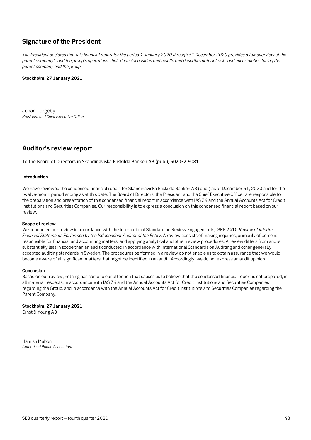# <span id="page-47-0"></span>**Signature of the President**

*The President declares that this financial report for the period 1 January 2020 through 31 December 2020 provides a fair overview of the parent company's and the group's operations, their financial position and results and describe material risks and uncertainties facing the parent company and the group.*

#### **Stockholm, 27 January 2021**

Johan Torgeby *President and Chief Executive Officer*

# <span id="page-47-1"></span>**Auditor's review report**

To the Board of Directors in Skandinaviska Enskilda Banken AB (publ), 502032-9081

#### **Introduction**

We have reviewed the condensed financial report for Skandinaviska Enskilda Banken AB (publ) as at December 31, 2020 and for the twelve-month period ending as at this date. The Board of Directors, the President and the Chief Executive Officer are responsible for the preparation and presentation of this condensed financial report in accordance with IAS 34 and the Annual Accounts Act for Credit Institutions and Securities Companies. Our responsibility is to express a conclusion on this condensed financial report based on our review.

#### **Scope of review**

We conducted our review in accordance with the International Standard on Review Engagements, ISRE 2410 *Review of Interim Financial Statements Performed by the Independent Auditor of the Entity*. A review consists of making inquiries, primarily of persons responsible for financial and accounting matters, and applying analytical and other review procedures. A review differs from and is substantially less in scope than an audit conducted in accordance with International Standards on Auditing and other generally accepted auditing standards in Sweden. The procedures performed in a review do not enable us to obtain assurance that we would become aware of all significant matters that might be identified in an audit. Accordingly, we do not express an audit opinion.

#### **Conclusion**

Based on our review, nothing has come to our attention that causes us to believe that the condensed financial report is not prepared, in all material respects, in accordance with IAS 34 and the Annual Accounts Act for Credit Institutions and Securities Companies regarding the Group, and in accordance with the Annual Accounts Act for Credit Institutions and Securities Companies regarding the Parent Company.

#### **Stockholm, 27 January 2021**

Ernst & Young AB

Hamish Mabon *Authorised Public Accountant*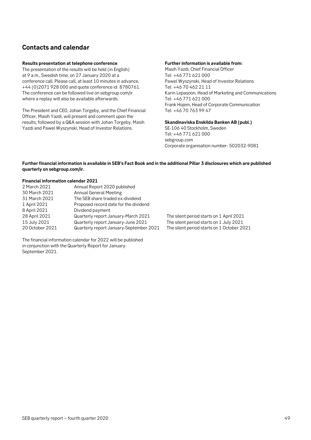# <span id="page-48-0"></span>**Contacts and calendar**

#### **Results presentation at telephone conference**

The presentation of the results will be held (in English) at 9 a.m., Swedish time, on 27 January 2020 at a conference call. Please call, at least 10 minutes in advance, +44 (0)2071 928 000 and quote conference id: 8780761. The conference can be followed live on sebgroup.com/ir where a replay will also be available afterwards.

The President and CEO, Johan Torgeby, and the Chief Financial Officer, Masih Yazdi, will present and comment upon the results, followed by a Q&A session with Johan Torgeby, Masih Yazdi and Pawel Wyszynski, Head of Investor Relations.

#### **Further information is available from:**

Masih Yazdi, Chief Financial Officer Tel: +46 771 621 000 Pawel Wyszynski, Head of Investor Relations Tel: +46 70 462 21 11 Karin Lepasoon, Head of Marketing and Communications Tel: +46 771 621 000 Frank Hojem, Head of Corporate Communication Tel: +46 70 763 99 47

**Skandinaviska Enskilda Banken AB (publ.)** SE-106 40 Stockholm, Sweden Tel: +46 771 621 000

sebgroup.com Corporate organisation number: 502032-9081

#### **Further financial information is available in SEB's Fact Book and in the additional Pillar 3 disclosures which are published quarterly on sebgroup.com/ir.**

#### **Financial information calendar 2021**

| Annual Report 2020 published            |  |
|-----------------------------------------|--|
| <b>Annual General Meeting</b>           |  |
| The SEB share traded ex-dividend        |  |
| Proposed record date for the dividend   |  |
| Dividend payment                        |  |
| Quarterly report January-March 2021     |  |
| Quarterly report January-June 2021      |  |
| Quarterly report January-September 2021 |  |
|                                         |  |

The silent period starts on 1 April 2021 The silent period starts on 1 July 2021 The silent period starts on 1 October 2021

The financial information calendar for 2022 will be published in conjunction with the Quarterly Report for January-September 2021.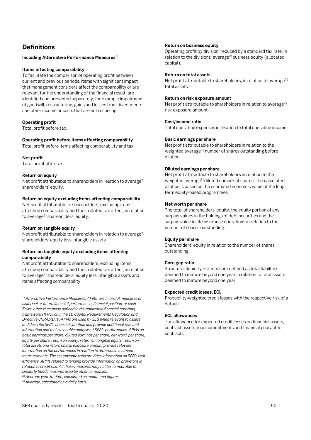# <span id="page-49-0"></span>**Definitions**

#### **Including Alternative Performance Measures**1)

#### **Items affecting comparability**

To facilitate the comparison of operating profit between current and previous periods, items with significant impact that management considers affect the comparability or are relevant for the understanding of the financial result, are identified and presented separately, for example impairment of goodwill, restructuring, gains and losses from divestments and other income or costs that are not recurring.

#### **Operating profit**

Total profit before tax.

#### **Operating profit before items affecting comparability**

Total profit before items affecting comparability and tax.

#### **Net profit**

Total profit after tax.

#### **Return on equity**

Net profit attributable to shareholders in relation to average<sup>2)</sup> shareholders' equity.

#### **Return on equity excluding items affecting comparability**

Net profit attributable to shareholders, excluding items affecting comparability and their related tax effect, in relation to average<sup>2)</sup> shareholders' equity.

#### **Return on tangible equity**

Net profit attributable to shareholders in relation to average<sup>2)</sup> shareholders' equity less intangible assets.

#### **Return on tangible equity excluding items affecting comparability**

Net profit attributable to shareholders, excluding items affecting comparability and their related tax effect, in relation to average<sup>2)</sup> shareholders' equity less intangible assets and items affecting comparability.

1) *Alternative Performance Measures, APMs, are financial measures of historical or future financial performance, financial position, or cash flows, other than those defined in the applicable financial reporting framework (IFRS) or in the EU Capital Requirements Regulation and Directive CRR/CRD IV. APMs are used by SEB when relevant to assess and describe SEB's financial situation and provide additional relevant information and tools to enable analysis of SEB's performance. APMs on basic earnings per share, diluted earnings per share, net worth per share, equity per share, return on equity, return on tangible equity, return on total assets and return on risk exposure amount provide relevant information on the performance in relation to different investment measurements. The cost/income ratio provides information on SEB's cost efficiency. APMs related to lending provide information on provisions in relation to credit risk. All these measures may not be comparable to similarly titled measures used by other companies.* 

2)*Average year-to-date, calculated on month-end figures.*

3)*Average, calculated on a daily basis.*

#### **Return on business equity**

Operating profit by division, reduced by a standard tax rate, in relation to the divisions' average<sup>2)</sup> business equity (allocated capital).

#### **Return on total assets**

Net profit attributable to shareholders, in relation to average<sup>2)</sup> total assets.

#### **Return on risk exposure amount**

Net profit attributable to shareholders in relation to average<sup>2)</sup> risk exposure amount.

#### **Cost/income ratio**

Total operating expenses in relation to total operating income.

#### **Basic earnings per share**

Net profit attributable to shareholders in relation to the weighted average<sup>3)</sup> number of shares outstanding before dilution.

#### **Diluted earnings per share**

Net profit attributable to shareholders in relation to the weighted average<sup>3)</sup> diluted number of shares. The calculated dilution is based on the estimated economic value of the longterm equity-based programmes.

#### **Net worth per share**

The total of shareholders' equity, the equity portion of any surplus values in the holdings of debt securities and the surplus value in life insurance operations in relation to the number of shares outstanding.

#### **Equity per share**

Shareholders' equity in relation to the number of shares outstanding.

#### **Core gap ratio**

Structural liquidity risk measure defined as total liabilities deemed to mature beyond one year in relation to total assets deemed to mature beyond one year.

#### **Expected credit losses, ECL**

Probability-weighted credit losses with the respective risk of a default.

#### **ECL allowances**

The allowance for expected credit losses on financial assets, contract assets, loan commitments and financial guarantee contracts.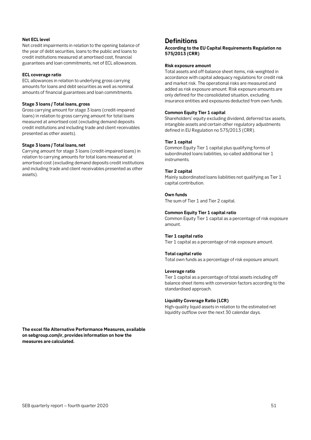#### **Net ECL level**

Net credit impairments in relation to the opening balance of the year of debt securities, loans to the public and loans to credit institutions measured at amortised cost, financial guarantees and loan commitments, net of ECL allowances.

#### **ECL coverage ratio**

ECL allowances in relation to underlying gross carrying amounts for loans and debt securities as well as nominal amounts of financial guarantees and loan commitments.

#### **Stage 3 loans / Total loans, gross**

Gross carrying amount for stage 3 loans (credit-impaired loans) in relation to gross carrying amount for total loans measured at amortised cost (excluding demand deposits credit institutions and including trade and client receivables presented as other assets).

#### **Stage 3 loans / Total loans, net**

Carrying amount for stage 3 loans (credit-impaired loans) in relation to carrying amounts for total loans measured at amortised cost (excluding demand deposits credit institutions and including trade and client receivables presented as other assets).

#### **Definitions**

**According to the EU Capital Requirements Regulation no 575/2013 (CRR)**

#### **Risk exposure amount**

Total assets and off-balance sheet items, risk-weighted in accordance with capital adequacy regulations for credit risk and market risk. The operational risks are measured and added as risk exposure amount. Risk exposure amounts are only defined for the consolidated situation, excluding insurance entities and exposures deducted from own funds.

#### **Common Equity Tier 1 capital**

Shareholders' equity excluding dividend, deferred tax assets, intangible assets and certain other regulatory adjustments defined in EU Regulation no 575/2013 (CRR).

#### **Tier 1 capital**

Common Equity Tier 1 capital plus qualifying forms of subordinated loans liabilities, so-called additional tier 1 instruments.

#### **Tier 2 capital**

Mainly subordinated loans liabilities not qualifying as Tier 1 capital contribution.

#### **Own funds**

The sum of Tier 1 and Tier 2 capital.

#### **Common Equity Tier 1 capital ratio**

Common Equity Tier 1 capital as a percentage of risk exposure amount.

#### **Tier 1 capital ratio**

Tier 1 capital as a percentage of risk exposure amount.

#### **Total capital ratio**

Total own funds as a percentage of risk exposure amount.

#### **Leverage ratio**

Tier 1 capital as a percentage of total assets including off balance sheet items with conversion factors according to the standardised approach.

#### **Liquidity Coverage Ratio (LCR)**

High-quality liquid assets in relation to the estimated net liquidity outflow over the next 30 calendar days.

**The excel file Alternative Performance Measures, available on sebgroup.com/ir, provides information on how the measures are calculated.**